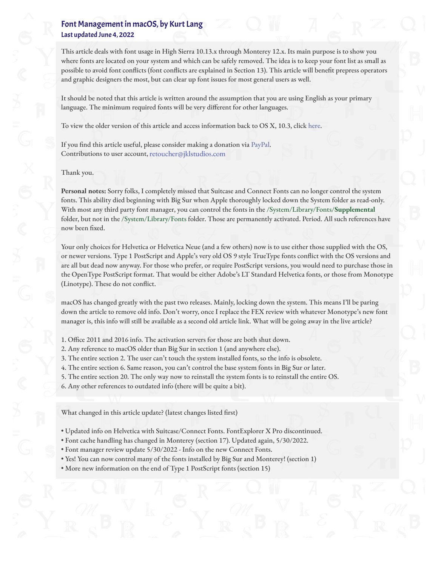# Font Management in macOS, by Kurt Lang Last updated June 4, 2022

This article deals with font usage in High Sierra 10.13.x through Monterey 12.x. Its main purpose is to show you where fonts are located on your system and which can be safely removed. The idea is to keep your font list as small as possible to avoid font conflicts (font conflicts are explained in Section 13). This article will benefit prepress operators and graphic designers the most, but can clear up font issues for most general users as well.

It should be noted that this article is written around the assumption that you are using English as your primary language. The minimum required fonts will be very different for other languages.

To view the older version of this article and access information back to OS X, 10.3, click [here.](http://www.jklstudios.com/misc/OldArticle/osxold.html)

If you find this article useful, please consider making a donation via [PayPal.](http://www.paypal.com/) Contributions to user account, retoucher@jklstudios.com

#### Thank you.

**Personal notes:** Sorry folks, I completely missed that Suitcase and Connect Fonts can no longer control the system fonts. This ability died beginning with Big Sur when Apple thoroughly locked down the System folder as read-only. With most any third party font manager, you can control the fonts in the /System/Library/Fonts/**Supplemental** folder, but not in the /System/Library/Fonts folder. Those are permanently activated. Period. All such references have now been fixed.

Your only choices for Helvetica or Helvetica Neue (and a few others) now is to use either those supplied with the OS, or newer versions. Type 1 PostScript and Apple's very old OS 9 style TrueType fonts conflict with the OS versions and are all but dead now anyway. For those who prefer, or require PostScript versions, you would need to purchase those in the OpenType PostScript format. That would be either Adobe's LT Standard Helvetica fonts, or those from Monotype (Linotype). These do not conflict.

macOS has changed greatly with the past two releases. Mainly, locking down the system. This means I'll be paring down the article to remove old info. Don't worry, once I replace the FEX review with whatever Monotype's new font manager is, this info will still be available as a second old article link. What will be going away in the live article?

- 1. Office 2011 and 2016 info. The activation servers for those are both shut down.
- 2. Any reference to macOS older than Big Sur in section 1 (and anywhere else).
- 3. The entire section 2. The user can't touch the system installed fonts, so the info is obsolete.
- 4. The entire section 6. Same reason, you can't control the base system fonts in Big Sur or later.
- 5. The entire section 20. The only way now to reinstall the system fonts is to reinstall the entire OS.
- 6. Any other references to outdated info (there will be quite a bit).

What changed in this article update? (latest changes listed first)

- Updated info on Helvetica with Suitcase/Connect Fonts. FontExplorer X Pro discontinued.
- Font cache handling has changed in Monterey (section 17). Updated again, 5/30/2022.
- Font manager review update 5/30/2022 Info on the new Connect Fonts.
- Yes! You can now control many of the fonts installed by Big Sur and Monterey! (section 1)
- More new information on the end of Type 1 PostScript fonts (section 15)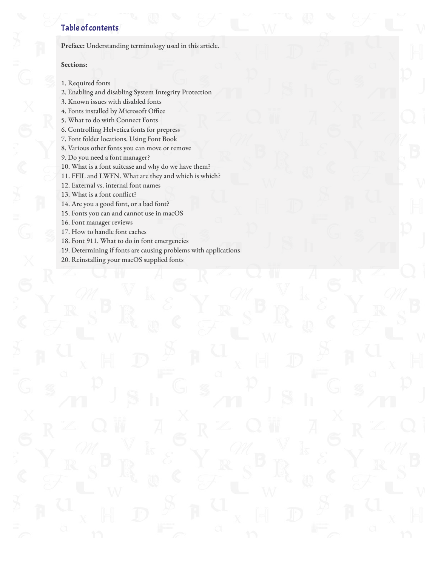# Table of contents

**Preface:** [Understanding terminology used in this article.](http://www.jklstudios.com/misc/index.html#preface)

#### **Sections:**

- 1. Required fonts
- 2. Enabling and disabling System Integrity Protection
- 3. Known issues with disabled fonts
- 4. Fonts installed by Microsoft Office
- 5. What to do with Connect Fonts
- 6. Controlling Helvetica fonts for prepress
- 7. Font folder locations. Using Font Book
- 8. Various other fonts you can move or remove
- 9. Do you need a font manager?
- 10. What is a font suitcase and why do we have them?
- 11. FFIL and LWFN. What are they and which is which?
- 12. External vs. internal font names
- 13. What is a font conflict?
- 14. Are you a good font, or a bad font?
- 15. Fonts you can and cannot use in macOS
- 16. Font manager reviews
- 17. How to handle font caches
- 18. Font 911. What to do in font emergencies
- 19. Determining if fonts are causing problems with applications
- 20. Reinstalling your macOS supplied fonts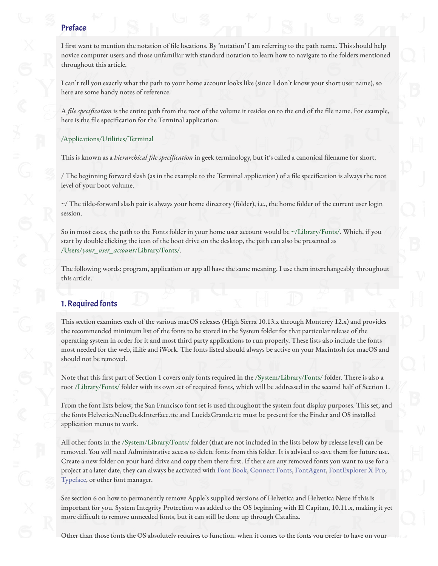### Preface

I first want to mention the notation of file locations. By 'notation' I am referring to the path name. This should help novice computer users and those unfamiliar with standard notation to learn how to navigate to the folders mentioned throughout this article.

I can't tell you exactly what the path to your home account looks like (since I don't know your short user name), so here are some handy notes of reference.

A *file specification* is the entire path from the root of the volume it resides on to the end of the "le name. For example, here is the file specification for the Terminal application:

/Applications/Utilities/Terminal

This is known as a *hierarchical file specification* in geek terminology, but it's called a canonical "lename for short.

/ The beginning forward slash (as in the example to the Terminal application) of a file specification is always the root level of your boot volume.

~/ The tilde-forward slash pair is always your home directory (folder), i.e., the home folder of the current user login session.

So in most cases, the path to the Fonts folder in your home user account would be ~/Library/Fonts/. Which, if you start by double clicking the icon of the boot drive on the desktop, the path can also be presented as /Users/*your\_user\_account*/Library/Fonts/.

The following words: program, application or app all have the same meaning. I use them interchangeably throughout this article.

# 1. Required fonts

This section examines each of the various macOS releases (High Sierra 10.13.x through Monterey 12.x) and provides the recommended minimum list of the fonts to be stored in the System folder for that particular release of the operating system in order for it and most third party applications to run properly. These lists also include the fonts most needed for the web, iLife and iWork. The fonts listed should always be active on your Macintosh for macOS and should not be removed.

Note that this first part of Section 1 covers only fonts required in the /System/Library/Fonts/ folder. There is also a root /Library/Fonts/ folder with its own set of required fonts, which will be addressed in the second half of Section 1.

From the font lists below, the San Francisco font set is used throughout the system font display purposes. This set, and the fonts HelveticaNeueDeskInterface.ttc and LucidaGrande.ttc must be present for the Finder and OS installed application menus to work.

All other fonts in the /System/Library/Fonts/ folder (that are not included in the lists below by release level) can be removed. You will need Administrative access to delete fonts from this folder. It is advised to save them for future use. Create a new folder on your hard drive and copy them there first. If there are any removed fonts you want to use for a project at a later date, they can always be activated with [Font Book](http://support.apple.com/kb/HT2509), [Connect Fonts](https://www.extensis.com/connect/fonts?hsLang=en), [FontAgent,](https://www.insidersoftware.com/font-managers/fontagent-mac/) [FontExplorer X Pro](http://www.fontexplorerx.com/), [Typeface](https://typefaceapp.com/), or other font manager.

See section 6 on how to permanently remove Apple's supplied versions of Helvetica and Helvetica Neue if this is important for you. System Integrity Protection was added to the OS beginning with El Capitan, 10.11.x, making it yet more difficult to remove unneeded fonts, but it can still be done up through Catalina.

Other than those fonts the OS absolutely requires to function, when it comes to the fonts you prefer to have on your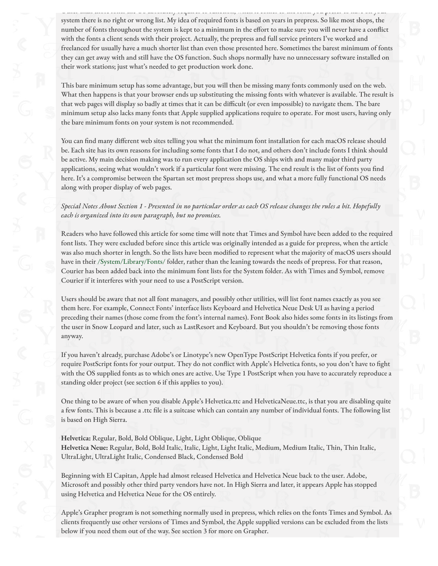system there is no right or wrong list. My idea of required fonts is based on years in prepress. So like most shops, the number of fonts throughout the system is kept to a minimum in the effort to make sure you will never have a conflict with the fonts a client sends with their project. Actually, the prepress and full service printers I've worked and freelanced for usually have a much shorter list than even those presented here. Sometimes the barest minimum of fonts they can get away with and still have the OS function. Such shops normally have no unnecessary software installed on their work stations; just what's needed to get production work done.

Other than those fonts the OS absolutely requires to function, when it comes to the fonts you prefer to have on your

This bare minimum setup has some advantage, but you will then be missing many fonts commonly used on the web. What then happens is that your browser ends up substituting the missing fonts with whatever is available. The result is that web pages will display so badly at times that it can be difficult (or even impossible) to navigate them. The bare minimum setup also lacks many fonts that Apple supplied applications require to operate. For most users, having only the bare minimum fonts on your system is not recommended.

You can find many different web sites telling you what the minimum font installation for each macOS release should be. Each site has its own reasons for including some fonts that I do not, and others don't include fonts I think should be active. My main decision making was to run every application the OS ships with and many major third party applications, seeing what wouldn't work if a particular font were missing. The end result is the list of fonts you find here. It's a compromise between the Spartan set most prepress shops use, and what a more fully functional OS needs along with proper display of web pages.

*Special Notes About Section 1 - Presented in no particular order as each OS release changes the rules a bit. Hopefully each is organized into its own paragraph, but no promises.*

Readers who have followed this article for some time will note that Times and Symbol have been added to the required font lists. They were excluded before since this article was originally intended as a guide for prepress, when the article was also much shorter in length. So the lists have been modified to represent what the majority of macOS users should have in their /System/Library/Fonts/ folder, rather than the leaning towards the needs of prepress. For that reason, Courier has been added back into the minimum font lists for the System folder. As with Times and Symbol, remove Courier if it interferes with your need to use a PostScript version.

Users should be aware that not all font managers, and possibly other utilities, will list font names exactly as you see them here. For example, Connect Fonts' interface lists Keyboard and Helvetica Neue Desk UI as having a period preceding their names (those come from the font's internal names). Font Book also hides some fonts in its listings from the user in Snow Leopard and later, such as LastResort and Keyboard. But you shouldn't be removing those fonts anyway.

If you haven't already, purchase Adobe's or Linotype's new OpenType PostScript Helvetica fonts if you prefer, or require PostScript fonts for your output. They do not conflict with Apple's Helvetica fonts, so you don't have to fight with the OS supplied fonts as to which ones are active. Use Type 1 PostScript when you have to accurately reproduce a standing older project (see section 6 if this applies to you).

One thing to be aware of when you disable Apple's Helvetica.ttc and HelveticaNeue.ttc, is that you are disabling quite a few fonts. This is because a .ttc file is a suitcase which can contain any number of individual fonts. The following list is based on High Sierra.

**Helvetica:** Regular, Bold, Bold Oblique, Light, Light Oblique, Oblique **Helvetica Neue:** Regular, Bold, Bold Italic, Italic, Light, Light Italic, Medium, Medium Italic, Thin, Thin Italic, UltraLight, UltraLight Italic, Condensed Black, Condensed Bold

Beginning with El Capitan, Apple had almost released Helvetica and Helvetica Neue back to the user. Adobe, Microsoft and possibly other third party vendors have not. In High Sierra and later, it appears Apple has stopped using Helvetica and Helvetica Neue for the OS entirely.

Apple's Grapher program is not something normally used in prepress, which relies on the fonts Times and Symbol. As clients frequently use other versions of Times and Symbol, the Apple supplied versions can be excluded from the lists below if you need them out of the way. See section 3 for more on Grapher.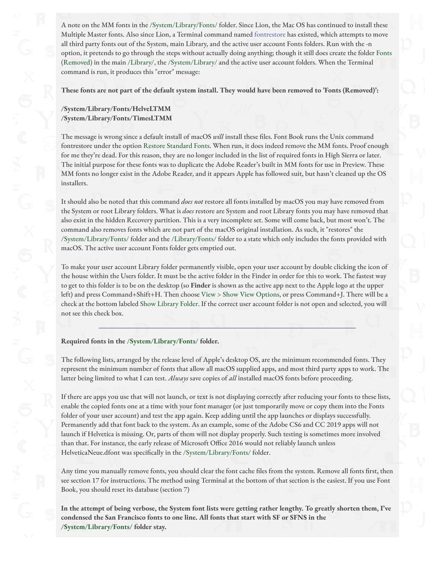A note on the MM fonts in the /System/Library/Fonts/ folder. Since Lion, the Mac OS has continued to install these Multiple Master fonts. Also since Lion, a Terminal command named [fontrestore](https://www.manpagez.com/man/8/fontrestore/) has existed, which attempts to move all third party fonts out of the System, main Library, and the active user account Fonts folders. Run with the -n option, it pretends to go through the steps without actually doing anything; though it still does create the folder Fonts (Removed) in the main /Library/, the /System/Library/ and the active user account folders. When the Terminal command is run, it produces this "error" message:

**These fonts are not part of the default system install. They would have been removed to 'Fonts (Removed)':**

### **/System/Library/Fonts/HelveLTMM /System/Library/Fonts/TimesLTMM**

The message is wrong since a default install of macOS *will* install these files. Font Book runs the Unix command fontrestore under the option Restore Standard Fonts. When run, it does indeed remove the MM fonts. Proof enough for me they're dead. For this reason, they are no longer included in the list of required fonts in High Sierra or later. The initial purpose for these fonts was to duplicate the Adobe Reader's built in MM fonts for use in Preview. These MM fonts no longer exist in the Adobe Reader, and it appears Apple has followed suit, but hasn't cleaned up the OS installers.

It should also be noted that this command *does not* restore all fonts installed by macOS you may have removed from the System or root Library folders. What is *does* restore are System and root Library fonts you may have removed that also exist in the hidden Recovery partition. This is a very incomplete set. Some will come back, but most won't. The command also removes fonts which are not part of the macOS original installation. As such, it "restores" the /System/Library/Fonts/ folder and the /Library/Fonts/ folder to a state which only includes the fonts provided with macOS. The active user account Fonts folder gets emptied out.

To make your user account Library folder permanently visible, open your user account by double clicking the icon of the house within the Users folder. It must be the active folder in the Finder in order for this to work. The fastest way to get to this folder is to be on the desktop (so **Finder** is shown as the active app next to the Apple logo at the upper left) and press Command+Shift+H. Then choose View > Show View Options, or press Command+J. There will be a check at the bottom labeled Show Library Folder. If the correct user account folder is not open and selected, you will not see this check box.

### **Required fonts in the /System/Library/Fonts/ folder.**

The following lists, arranged by the release level of Apple's desktop OS, are the minimum recommended fonts. They represent the minimum number of fonts that allow all macOS supplied apps, and most third party apps to work. The latter being limited to what I can test. *Always* save copies of *all* installed macOS fonts before proceeding.

If there are apps you use that will not launch, or text is not displaying correctly after reducing your fonts to these lists, enable the copied fonts one at a time with your font manager (or just temporarily move or copy them into the Fonts folder of your user account) and test the app again. Keep adding until the app launches or displays successfully. Permanently add that font back to the system. As an example, some of the Adobe CS6 and CC 2019 apps will not launch if Helvetica is missing. Or, parts of them will not display properly. Such testing is sometimes more involved than that. For instance, the early release of Microsoft Office 2016 would not reliably launch unless HelveticaNeue.dfont was specifically in the /System/Library/Fonts/ folder.

Any time you manually remove fonts, you should clear the font cache files from the system. Remove all fonts first, then see section 17 for instructions. The method using Terminal at the bottom of that section is the easiest. If you use Font Book, you should reset its database (section 7)

**In the attempt of being verbose, the System font lists were getting rather lengthy. To greatly shorten them, I've condensed the San Francisco fonts to one line. All fonts that start with SF or SFNS in the /System/Library/Fonts/ folder stay.**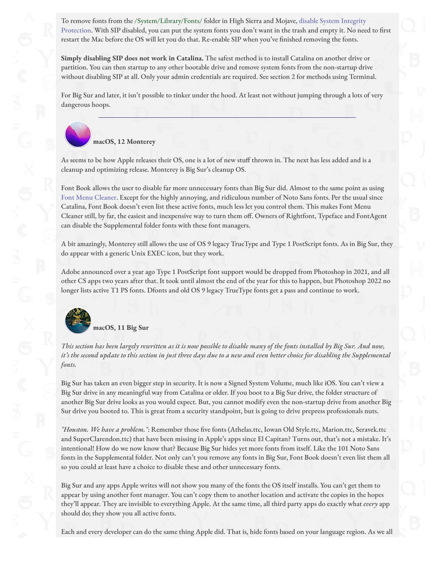[To remove fonts from the /System/Library/Fonts/ folder in High Sierra and Mojave, disable System Integrity](http://localhost:14444/page/7BE2F97D-1A4E-4E79-9B06-68B686847B24/#) Protection. With SIP disabled, you can put the system fonts you don't want in the trash and empty it. No need to first restart the Mac before the OS will let you do that. Re-enable SIP when you've finished removing the fonts.

**Simply disabling SIP does not work in Catalina.** The safest method is to install Catalina on another drive or partition. You can then startup to any other bootable drive and remove system fonts from the non-startup drive without disabling SIP at all. Only your admin credentials are required. See section 2 for methods using Terminal.

For Big Sur and later, it isn't possible to tinker under the hood. At least not without jumping through a lots of very dangerous hoops.



As seems to be how Apple releases their OS, one is a lot of new stuff thrown in. The next has less added and is a cleanup and optimizing release. Monterey is Big Sur's cleanup OS.

Font Book allows the user to disable far more unnecessary fonts than Big Sur did. Almost to the same point as using [Font Menu Cleaner.](https://fontmenucleaner.com/) Except for the highly annoying, and ridiculous number of Noto Sans fonts. Per the usual since Catalina, Font Book doesn't even list these active fonts, much less let you control them. This makes Font Menu Cleaner still, by far, the easiest and inexpensive way to turn them off. Owners of Rightfont, Typeface and FontAgent can disable the Supplemental folder fonts with these font managers.

A bit amazingly, Monterey still allows the use of OS 9 legacy TrueType and Type 1 PostScript fonts. As in Big Sur, they do appear with a generic Unix EXEC icon, but they work.

Adobe announced over a year ago Type 1 PostScript font support would be dropped from Photoshop in 2021, and all other CS apps two years after that. It took until almost the end of the year for this to happen, but Photoshop 2022 no longer lists active T1 PS fonts. Dfonts and old OS 9 legacy TrueType fonts get a pass and continue to work.



**macOS, 11 Big Sur**

*This section has been largely rewritten as it is now possible to disable many of the fonts installed by Big Sur. And now, it's the second update to this section in just three days due to a new and even better choice for disabling the Supplemental fonts.*

Big Sur has taken an even bigger step in security. It is now a Signed System Volume, much like iOS. You can't view a Big Sur drive in any meaningful way from Catalina or older. If you boot to a Big Sur drive, the folder structure of another Big Sur drive looks as you would expect. But, you cannot modify even the non-startup drive from another Big Sur drive you booted to. This is great from a security standpoint, but is going to drive prepress professionals nuts.

*"Houston. We have a problem."*: Remember those "ve fonts (Athelas.ttc, Iowan Old Style.ttc, Marion.ttc, Seravek.ttc and SuperClarendon.ttc) that have been missing in Apple's apps since El Capitan? Turns out, that's not a mistake. It's intentional! How do we now know that? Because Big Sur hides yet more fonts from itself. Like the 101 Noto Sans fonts in the Supplemental folder. Not only can't you remove any fonts in Big Sur, Font Book doesn't even list them all so you could at least have a choice to disable these and other unnecessary fonts.

Big Sur and any apps Apple writes will not show you many of the fonts the OS itself installs. You can't get them to appear by using another font manager. You can't copy them to another location and activate the copies in the hopes they'll appear. They are invisible to everything Apple. At the same time, all third party apps do exactly what *every* app should do; they show you all active fonts.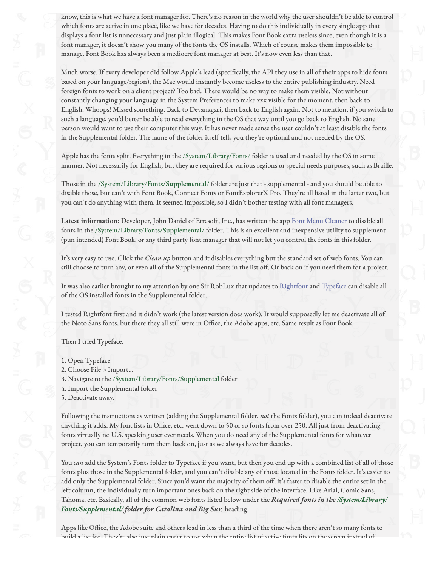know, this is what we have a font manager for. There's no reason in the world why the user shouldn't be able to control which fonts are active in one place, like we have for decades. Having to do this individually in every single app that displays a font list is unnecessary and just plain illogical. This makes Font Book extra useless since, even though it is a font manager, it doesn't show you many of the fonts the OS installs. Which of course makes them impossible to manage. Font Book has always been a mediocre font manager at best. It's now even less than that.

Much worse. If every developer did follow Apple's lead (specifically, the API they use in all of their apps to hide fonts based on your language/region), the Mac would instantly become useless to the entire publishing industry. Need foreign fonts to work on a client project? Too bad. There would be no way to make them visible. Not without constantly changing your language in the System Preferences to make xxx visible for the moment, then back to English. Whoops! Missed something. Back to Devanagari, then back to English again. Not to mention, if you switch to such a language, you'd better be able to read everything in the OS that way until you go back to English. No sane person would want to use their computer this way. It has never made sense the user couldn't at least disable the fonts in the Supplemental folder. The name of the folder itself tells you they're optional and not needed by the OS.

Apple has the fonts split. Everything in the /System/Library/Fonts/ folder is used and needed by the OS in some manner. Not necessarily for English, but they are required for various regions or special needs purposes, such as Braille.

Those in the /System/Library/Fonts/**Supplemental**/ folder are just that - supplemental - and you should be able to disable those, but can't with Font Book, Connect Fonts or FontExplorerX Pro. They're all listed in the latter two, but you can't do anything with them. It seemed impossible, so I didn't bother testing with all font managers.

**Latest information:** Developer, John Daniel of Etresoft, Inc., has written the app [Font Menu Cleaner](https://fontmenucleaner.com/) to disable all fonts in the /System/Library/Fonts/Supplemental/ folder. This is an excellent and inexpensive utility to supplement (pun intended) Font Book, or any third party font manager that will not let you control the fonts in this folder.

It's very easy to use. Click the *Clean up* button and it disables everything but the standard set of web fonts. You can still choose to turn any, or even all of the Supplemental fonts in the list off. Or back on if you need them for a project.

It was also earlier brought to my attention by one Sir RobLux that updates to [Rightfont](https://rightfontapp.com/) and [Typeface](https://typefaceapp.com/) can disable all of the OS installed fonts in the Supplemental folder.

I tested Rightfont first and it didn't work (the latest version does work). It would supposedly let me deactivate all of the Noto Sans fonts, but there they all still were in Office, the Adobe apps, etc. Same result as Font Book.

Then I tried Typeface.

- 1. Open Typeface
- 2. Choose File > Import…
- 3. Navigate to the /System/Library/Fonts/Supplemental folder
- 4. Import the Supplemental folder
- 5. Deactivate away.

Following the instructions as written (adding the Supplemental folder, *not* the Fonts folder), you can indeed deactivate anything it adds. My font lists in Office, etc. went down to 50 or so fonts from over 250. All just from deactivating fonts virtually no U.S. speaking user ever needs. When you do need any of the Supplemental fonts for whatever project, you can temporarily turn them back on, just as we always have for decades.

You *can* add the System's Fonts folder to Typeface if you want, but then you end up with a combined list of all of those fonts plus those in the Supplemental folder, and you can't disable any of those located in the Fonts folder. It's easier to add only the Supplemental folder. Since you'd want the majority of them off, it's faster to disable the entire set in the left column, the individually turn important ones back on the right side of the interface. Like Arial, Comic Sans, Tahoma, etc. Basically, all of the common web fonts listed below under the *Required fonts in the /System/Library/ Fonts/Supplemental/ folder for Catalina and Big Sur.* heading.

Apps like Office, the Adobe suite and others load in less than a third of the time when there aren't so many fonts to build a list for. They're also just plain easier to use when the entire list of active fonts fits on the screen instead of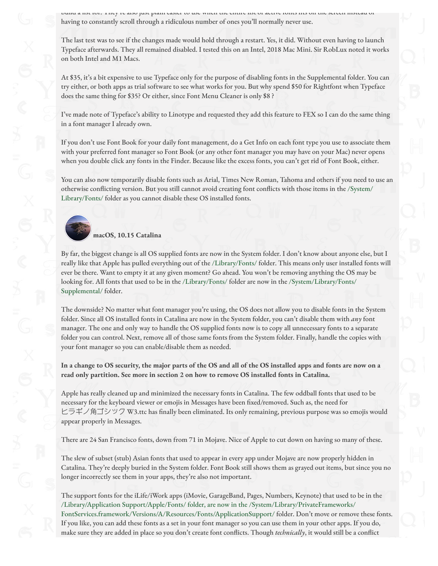build a list for. They're also just plain easier to use when the entire list of active fonts "ts on the screen instead of having to constantly scroll through a ridiculous number of ones you'll normally never use.

The last test was to see if the changes made would hold through a restart. Yes, it did. Without even having to launch Typeface afterwards. They all remained disabled. I tested this on an Intel, 2018 Mac Mini. Sir RobLux noted it works on both Intel and M1 Macs.

At \$35, it's a bit expensive to use Typeface only for the purpose of disabling fonts in the Supplemental folder. You can try either, or both apps as trial software to see what works for you. But why spend \$50 for Rightfont when Typeface does the same thing for \$35? Or either, since Font Menu Cleaner is only \$8 ?

I've made note of Typeface's ability to Linotype and requested they add this feature to FEX so I can do the same thing in a font manager I already own.

If you don't use Font Book for your daily font management, do a Get Info on each font type you use to associate them with your preferred font manager so Font Book (or any other font manager you may have on your Mac) never opens when you double click any fonts in the Finder. Because like the excess fonts, you can't get rid of Font Book, either.

You can also now temporarily disable fonts such as Arial, Times New Roman, Tahoma and others if you need to use an otherwise conflicting version. But you still cannot avoid creating font conflicts with those items in the /System/ Library/Fonts/ folder as you cannot disable these OS installed fonts.



By far, the biggest change is all OS supplied fonts are now in the System folder. I don't know about anyone else, but I really like that Apple has pulled everything out of the /Library/Fonts/ folder. This means only user installed fonts will ever be there. Want to empty it at any given moment? Go ahead. You won't be removing anything the OS may be looking for. All fonts that used to be in the /Library/Fonts/ folder are now in the /System/Library/Fonts/ Supplemental/ folder.

The downside? No matter what font manager you're using, the OS does not allow you to disable fonts in the System folder. Since all OS installed fonts in Catalina are now in the System folder, you can't disable them with *any* font manager. The one and only way to handle the OS supplied fonts now is to copy all unnecessary fonts to a separate folder you can control. Next, remove all of those same fonts from the System folder. Finally, handle the copies with your font manager so you can enable/disable them as needed.

**In a change to OS security, the major parts of the OS and all of the OS installed apps and fonts are now on a read only partition. See more in section 2 on how to remove OS installed fonts in Catalina.**

Apple has really cleaned up and minimized the necessary fonts in Catalina. The few oddball fonts that used to be necessary for the keyboard viewer or emojis in Messages have been fixed/removed. Such as, the need for ヒラギノ角ゴシック W3.ttc has finally been eliminated. Its only remaining, previous purpose was so emojis would appear properly in Messages.

There are 24 San Francisco fonts, down from 71 in Mojave. Nice of Apple to cut down on having so many of these.

The slew of subset (stub) Asian fonts that used to appear in every app under Mojave are now properly hidden in Catalina. They're deeply buried in the System folder. Font Book still shows them as grayed out items, but since you no longer incorrectly see them in your apps, they're also not important.

The support fonts for the iLife/iWork apps (iMovie, GarageBand, Pages, Numbers, Keynote) that used to be in the /Library/Application Support/Apple/Fonts/ folder, are now in the /System/Library/PrivateFrameworks/ FontServices.framework/Versions/A/Resources/Fonts/ApplicationSupport/ folder. Don't move or remove these fonts. If you like, you can add these fonts as a set in your font manager so you can use them in your other apps. If you do, make sure they are added in place so you don't create font conflicts. Though *technically*, it would still be a conflict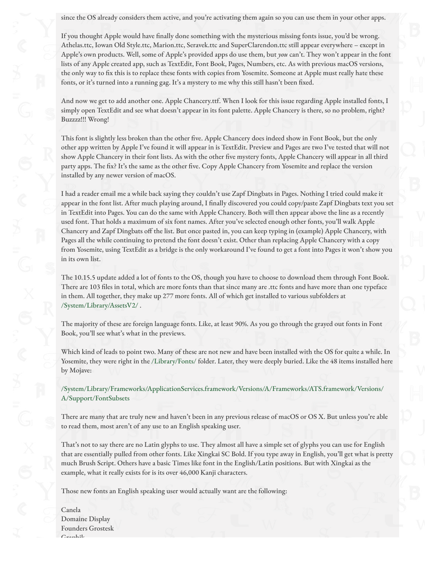since the OS already considers them active, and you're activating them again so you can use them in your other apps.

If you thought Apple would have finally done something with the mysterious missing fonts issue, you'd be wrong. Athelas.ttc, Iowan Old Style.ttc, Marion.ttc, Seravek.ttc and SuperClarendon.ttc still appear everywhere – except in Apple's own products. Well, some of Apple's provided apps do use them, but *you* can't. They won't appear in the font lists of any Apple created app, such as TextEdit, Font Book, Pages, Numbers, etc. As with previous macOS versions, the only way to fix this is to replace these fonts with copies from Yosemite. Someone at Apple must really hate these fonts, or it's turned into a running gag. It's a mystery to me why this still hasn't been fixed.

And now we get to add another one. Apple Chancery.ttf. When I look for this issue regarding Apple installed fonts, I simply open TextEdit and see what doesn't appear in its font palette. Apple Chancery is there, so no problem, right? Buzzzz!!! Wrong!

This font is slightly less broken than the other five. Apple Chancery does indeed show in Font Book, but the only other app written by Apple I've found it will appear in is TextEdit. Preview and Pages are two I've tested that will not show Apple Chancery in their font lists. As with the other five mystery fonts, Apple Chancery will appear in all third party apps. The fix? It's the same as the other five. Copy Apple Chancery from Yosemite and replace the version installed by any newer version of macOS.

I had a reader email me a while back saying they couldn't use Zapf Dingbats in Pages. Nothing I tried could make it appear in the font list. After much playing around, I finally discovered you could copy/paste Zapf Dingbats text you set in TextEdit into Pages. You can do the same with Apple Chancery. Both will then appear above the line as a recently used font. That holds a maximum of six font names. After you've selected enough other fonts, you'll walk Apple Chancery and Zapf Dingbats off the list. But once pasted in, you can keep typing in (example) Apple Chancery, with Pages all the while continuing to pretend the font doesn't exist. Other than replacing Apple Chancery with a copy from Yosemite, using TextEdit as a bridge is the only workaround I've found to get a font into Pages it won't show you in its own list.

The 10.15.5 update added a lot of fonts to the OS, though you have to choose to download them through Font Book. There are 103 files in total, which are more fonts than that since many are .ttc fonts and have more than one typeface in them. All together, they make up 277 more fonts. All of which get installed to various subfolders at /System/Library/AssetsV2/ .

The majority of these are foreign language fonts. Like, at least 90%. As you go through the grayed out fonts in Font Book, you'll see what's what in the previews.

Which kind of leads to point two. Many of these are not new and have been installed with the OS for quite a while. In Yosemite, they were right in the /Library/Fonts/ folder. Later, they were deeply buried. Like the 48 items installed here by Mojave:

/System/Library/Frameworks/ApplicationServices.framework/Versions/A/Frameworks/ATS.framework/Versions/ A/Support/FontSubsets

There are many that are truly new and haven't been in any previous release of macOS or OS X. But unless you're able to read them, most aren't of any use to an English speaking user.

That's not to say there are no Latin glyphs to use. They almost all have a simple set of glyphs you can use for English that are essentially pulled from other fonts. Like Xingkai SC Bold. If you type away in English, you'll get what is pretty much Brush Script. Others have a basic Times like font in the English/Latin positions. But with Xingkai as the example, what it really exists for is its over 46,000 Kanji characters.

Those new fonts an English speaking user would actually want are the following:

Canela Domaine Display Founders Grostesk  $C$ raphil.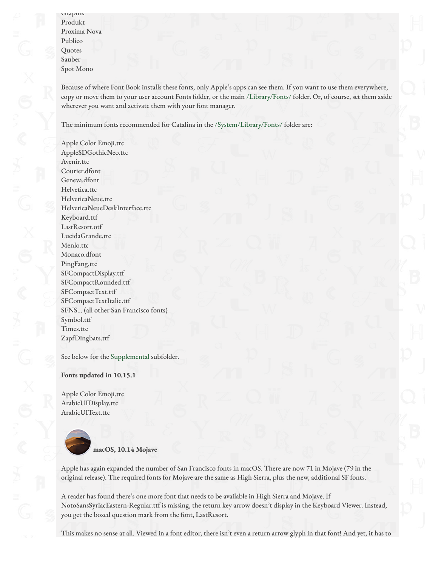Because of where Font Book installs these fonts, only Apple's apps can see them. If you want to use them everywhere, copy or move them to your user account Fonts folder, or the main /Library/Fonts/ folder. Or, of course, set them aside wherever you want and activate them with your font manager.

The minimum fonts recommended for Catalina in the /System/Library/Fonts/ folder are:

Apple Color Emoji.ttc AppleSDGothicNeo.ttc Avenir.ttc Courier.dfont Geneva.dfont Helvetica.ttc HelveticaNeue.ttc HelveticaNeueDeskInterface.ttc Keyboard.ttf LastResort.otf LucidaGrande.ttc Menlo.ttc Monaco.dfont PingFang.ttc SFCompactDisplay.ttf SFCompactRounded.ttf SFCompactText.ttf SFCompactTextItalic.ttf SFNS… (all other San Francisco fonts) Symbol.ttf Times.ttc ZapfDingbats.ttf

See below for the Supplemental subfolder.

**Fonts updated in 10.15.1**

Apple Color Emoji.ttc ArabicUIDisplay.ttc ArabicUIText.ttc



Apple has again expanded the number of San Francisco fonts in macOS. There are now 71 in Mojave (79 in the original release). The required fonts for Mojave are the same as High Sierra, plus the new, additional SF fonts.

A reader has found there's one more font that needs to be available in High Sierra and Mojave. If NotoSansSyriacEastern-Regular.ttf is missing, the return key arrow doesn't display in the Keyboard Viewer. Instead, you get the boxed question mark from the font, LastResort.

This makes no sense at all. Viewed in a font editor, there isn't even a return arrow glyph in that font! And yet, it has to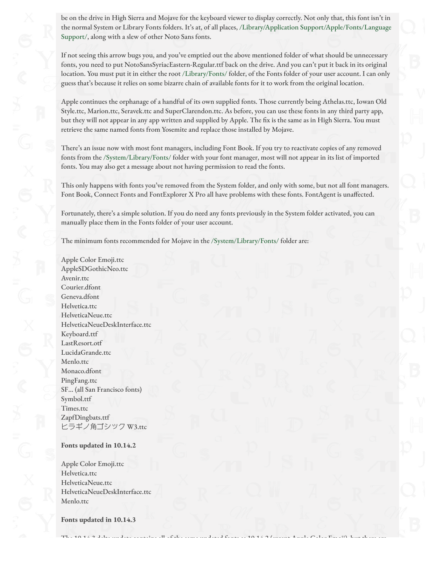be on the drive in High Sierra and Mojave for the keyboard viewer to display correctly. Not only that, this font isn't in the normal System or Library Fonts folders. It's at, of all places, /Library/Application Support/Apple/Fonts/Language Support/, along with a slew of other Noto Sans fonts.

If not seeing this arrow bugs you, and you've emptied out the above mentioned folder of what should be unnecessary fonts, you need to put NotoSansSyriacEastern-Regular.ttf back on the drive. And you can't put it back in its original location. You must put it in either the root /Library/Fonts/ folder, of the Fonts folder of your user account. I can only guess that's because it relies on some bizarre chain of available fonts for it to work from the original location.

Apple continues the orphanage of a handful of its own supplied fonts. Those currently being Athelas.ttc, Iowan Old Style.ttc, Marion.ttc, Seravek.ttc and SuperClarendon.ttc. As before, you can use these fonts in any third party app, but they will not appear in any app written and supplied by Apple. The fix is the same as in High Sierra. You must retrieve the same named fonts from Yosemite and replace those installed by Mojave.

There's an issue now with most font managers, including Font Book. If you try to reactivate copies of any removed fonts from the /System/Library/Fonts/ folder with your font manager, most will not appear in its list of imported fonts. You may also get a message about not having permission to read the fonts.

This only happens with fonts you've removed from the System folder, and only with some, but not all font managers. Font Book, Connect Fonts and FontExplorer X Pro all have problems with these fonts. FontAgent is unaffected.

Fortunately, there's a simple solution. If you do need any fonts previously in the System folder activated, you can manually place them in the Fonts folder of your user account.

The 10.14.3 delta update contains all of the same updated fonts as 10.14.2 (except Apple Color Emoji), but there are

The minimum fonts recommended for Mojave in the /System/Library/Fonts/ folder are:

Apple Color Emoji.ttc AppleSDGothicNeo.ttc Avenir.ttc Courier.dfont Geneva.dfont Helvetica.ttc HelveticaNeue.ttc HelveticaNeueDeskInterface.ttc Keyboard.ttf LastResort.otf LucidaGrande.ttc Menlo.ttc Monaco.dfont PingFang.ttc SF… (all San Francisco fonts) Symbol.ttf Times.ttc ZapfDingbats.ttf ヒラギノ⾓ゴシック W3.ttc

### **Fonts updated in 10.14.2**

Apple Color Emoji.ttc Helvetica.ttc HelveticaNeue.ttc HelveticaNeueDeskInterface.ttc Menlo.ttc

**Fonts updated in 10.14.3**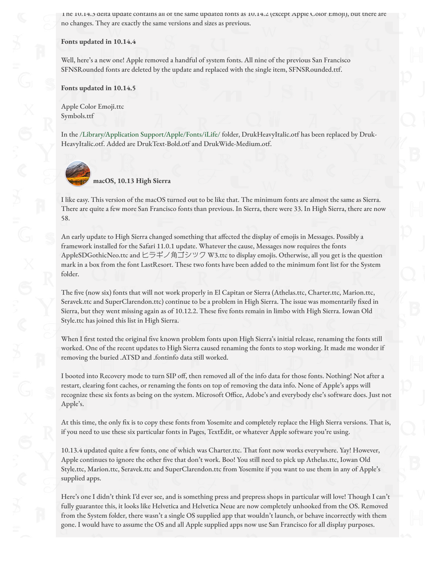The 10.14.3 delta update contains all of the same updated fonts as 10.14.2 (except Apple Color Emoji), but there are no changes. They are exactly the same versions and sizes as previous.

#### **Fonts updated in 10.14.4**

Well, here's a new one! Apple removed a handful of system fonts. All nine of the previous San Francisco SFNSRounded fonts are deleted by the update and replaced with the single item, SFNSRounded.ttf.

#### **Fonts updated in 10.14.5**

Apple Color Emoji.ttc Symbols.ttf

In the /Library/Application Support/Apple/Fonts/iLife/ folder, DrukHeavyItalic.otf has been replaced by Druk-HeavyItalic.otf. Added are DrukText-Bold.otf and DrukWide-Medium.otf.



**macOS, 10.13 High Sierra**

I like easy. This version of the macOS turned out to be like that. The minimum fonts are almost the same as Sierra. There are quite a few more San Francisco fonts than previous. In Sierra, there were 33. In High Sierra, there are now 58.

An early update to High Sierra changed something that a#ected the display of emojis in Messages. Possibly a framework installed for the Safari 11.0.1 update. Whatever the cause, Messages now requires the fonts AppleSDGothicNeo.ttc and ヒラギノ角ゴシック W3.ttc to display emojis. Otherwise, all you get is the question mark in a box from the font LastResort. These two fonts have been added to the minimum font list for the System folder.

The five (now six) fonts that will not work properly in El Capitan or Sierra (Athelas.ttc, Charter.ttc, Marion.ttc, Seravek.ttc and SuperClarendon.ttc) continue to be a problem in High Sierra. The issue was momentarily fixed in Sierra, but they went missing again as of 10.12.2. These five fonts remain in limbo with High Sierra. Iowan Old Style.ttc has joined this list in High Sierra.

When I first tested the original five known problem fonts upon High Sierra's initial release, renaming the fonts still worked. One of the recent updates to High Sierra caused renaming the fonts to stop working. It made me wonder if removing the buried .ATSD and .fontinfo data still worked.

I booted into Recovery mode to turn SIP off, then removed all of the info data for those fonts. Nothing! Not after a restart, clearing font caches, or renaming the fonts on top of removing the data info. None of Apple's apps will recognize these six fonts as being on the system. Microsoft Office, Adobe's and everybody else's software does. Just not Apple's.

At this time, the only fix is to copy these fonts from Yosemite and completely replace the High Sierra versions. That is, if you need to use these six particular fonts in Pages, TextEdit, or whatever Apple software you're using.

10.13.4 updated quite a few fonts, one of which was Charter.ttc. That font now works everywhere. Yay! However, Apple continues to ignore the other five that don't work. Boo! You still need to pick up Athelas.ttc, Iowan Old Style.ttc, Marion.ttc, Seravek.ttc and SuperClarendon.ttc from Yosemite if you want to use them in any of Apple's supplied apps.

Here's one I didn't think I'd ever see, and is something press and prepress shops in particular will love! Though I can't fully guarantee this, it looks like Helvetica and Helvetica Neue are now completely unhooked from the OS. Removed from the System folder, there wasn't a single OS supplied app that wouldn't launch, or behave incorrectly with them gone. I would have to assume the OS and all Apple supplied apps now use San Francisco for all display purposes.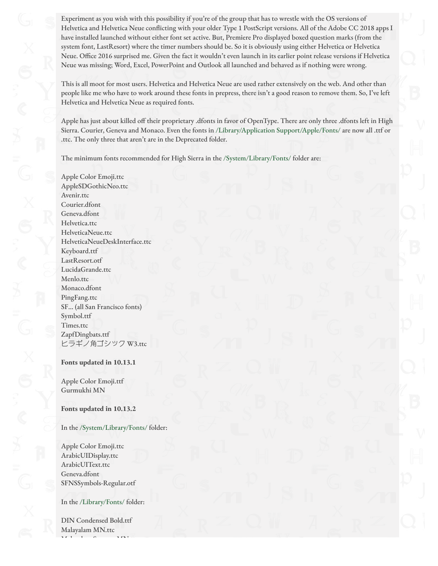Experiment as you wish with this possibility if you're of the group that has to wrestle with the OS versions of Helvetica and Helvetica Neue conflicting with your older Type 1 PostScript versions. All of the Adobe CC 2018 apps I have installed launched without either font set active. But, Premiere Pro displayed boxed question marks (from the system font, LastResort) where the timer numbers should be. So it is obviously using either Helvetica or Helvetica Neue. Office 2016 surprised me. Given the fact it wouldn't even launch in its earlier point release versions if Helvetica Neue was missing; Word, Excel, PowerPoint and Outlook all launched and behaved as if nothing were wrong.

This is all moot for most users. Helvetica and Helvetica Neue are used rather extensively on the web. And other than people like me who have to work around these fonts in prepress, there isn't a good reason to remove them. So, I've left Helvetica and Helvetica Neue as required fonts.

Apple has just about killed off their proprietary .dfonts in favor of OpenType. There are only three .dfonts left in High Sierra. Courier, Geneva and Monaco. Even the fonts in /Library/Application Support/Apple/Fonts/ are now all .ttf or .ttc. The only three that aren't are in the Deprecated folder.

The minimum fonts recommended for High Sierra in the /System/Library/Fonts/ folder are:

Apple Color Emoji.ttc AppleSDGothicNeo.ttc Avenir.ttc Courier.dfont Geneva.dfont Helvetica.ttc HelveticaNeue.ttc HelveticaNeueDeskInterface.ttc Keyboard.ttf LastResort.otf LucidaGrande.ttc Menlo.ttc Monaco.dfont PingFang.ttc SF… (all San Francisco fonts) Symbol.ttf Times.ttc ZapfDingbats.ttf ヒラギノ⾓ゴシック W3.ttc

#### **Fonts updated in 10.13.1**

Apple Color Emoji.ttf Gurmukhi MN

### **Fonts updated in 10.13.2**

### In the /System/Library/Fonts/ folder:

Apple Color Emoji.ttc ArabicUIDisplay.ttc ArabicUIText.ttc Geneva.dfont SFNSSymbols-Regular.otf

### In the /Library/Fonts/ folder:

DIN Condensed Bold.ttf Malayalam MN.ttc  $M$ ist $\alpha$  Mn.ttp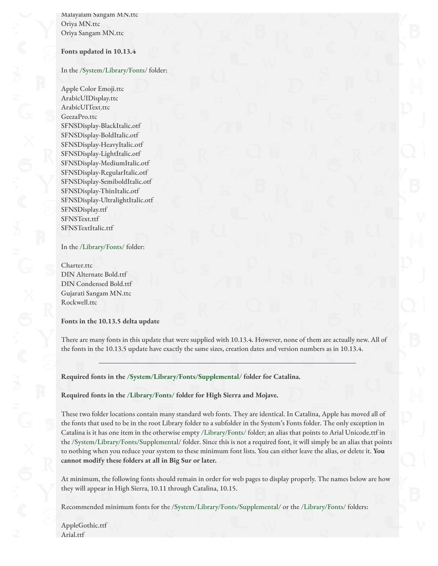Malayalam Sangam MN.ttc Oriya MN.ttc Oriya Sangam MN.ttc

#### **Fonts updated in 10.13.4**

#### In the /System/Library/Fonts/ folder:

Apple Color Emoji.ttc ArabicUIDisplay.ttc ArabicUIText.ttc GeezaPro.ttc SFNSDisplay-BlackItalic.otf SFNSDisplay-BoldItalic.otf SFNSDisplay-HeavyItalic.otf SFNSDisplay-LightItalic.otf SFNSDisplay-MediumItalic.otf SFNSDisplay-RegularItalic.otf SFNSDisplay-SemiboldItalic.otf SFNSDisplay-ThinItalic.otf SFNSDisplay-UltralightItalic.otf SFNSDisplay.ttf SFNSText.ttf SFNSTextItalic.ttf

#### In the /Library/Fonts/ folder:

Charter.ttc DIN Alternate Bold.ttf DIN Condensed Bold.ttf Gujarati Sangam MN.ttc Rockwell.ttc

#### **Fonts in the 10.13.5 delta update**

There are many fonts in this update that were supplied with 10.13.4. However, none of them are actually new. All of the fonts in the 10.13.5 update have exactly the same sizes, creation dates and version numbers as in 10.13.4.

**Required fonts in the /System/Library/Fonts/Supplemental/ folder for Catalina.**

### **Required fonts in the /Library/Fonts/ folder for High Sierra and Mojave.**

These two folder locations contain many standard web fonts. They are identical. In Catalina, Apple has moved all of the fonts that used to be in the root Library folder to a subfolder in the System's Fonts folder. The only exception in Catalina is it has one item in the otherwise empty /Library/Fonts/ folder; an alias that points to Arial Unicode.ttf in the /System/Library/Fonts/Supplemental/ folder. Since this is not a required font, it will simply be an alias that points to nothing when you reduce your system to these minimum font lists. You can either leave the alias, or delete it. **You cannot modify these folders at all in Big Sur or later.**

At minimum, the following fonts should remain in order for web pages to display properly. The names below are how they will appear in High Sierra, 10.11 through Catalina, 10.15.

Recommended minimum fonts for the /System/Library/Fonts/Supplemental/ or the /Library/Fonts/ folders:

AppleGothic.ttf Arial.ttf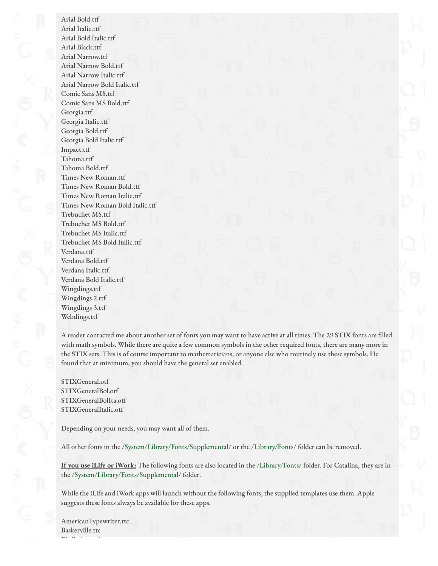Arial Italic.ttf Arial Bold Italic.ttf Arial Black.ttf Arial Narrow.ttf Arial Narrow Bold.ttf Arial Narrow Italic.ttf Arial Narrow Bold Italic.ttf Comic Sans MS.ttf Comic Sans MS Bold.ttf Georgia.ttf Georgia Italic.ttf Georgia Bold.ttf Georgia Bold Italic.ttf Impact.ttf Tahoma.ttf Tahoma Bold.ttf Times New Roman.ttf Times New Roman Bold.ttf Times New Roman Italic.ttf Times New Roman Bold Italic.ttf Trebuchet MS.ttf Trebuchet MS Bold.ttf Trebuchet MS Italic.ttf Trebuchet MS Bold Italic.ttf Verdana.ttf Verdana Bold.ttf Verdana Italic.ttf Verdana Bold Italic.ttf Wingdings.ttf Wingdings 2.ttf Wingdings 3.ttf Webdings.ttf

Arial Bold.ttf

A reader contacted me about another set of fonts you may want to have active at all times. The 29 STIX fonts are filled with math symbols. While there are quite a few common symbols in the other required fonts, there are many more in the STIX sets. This is of course important to mathematicians, or anyone else who routinely use these symbols. He found that at minimum, you should have the general set enabled.

STIXGeneral.otf STIXGeneralBol.otf STIXGeneralBolIta.otf STIXGeneralItalic.otf

Depending on your needs, you may want all of them.

All other fonts in the /System/Library/Fonts/Supplemental/ or the /Library/Fonts/ folder can be removed.

**If you use iLife or iWork:** The following fonts are also located in the /Library/Fonts/ folder. For Catalina, they are in the /System/Library/Fonts/Supplemental/ folder.

While the iLife and iWork apps will launch without the following fonts, the supplied templates use them. Apple suggests these fonts always be available for these apps.

AmericanTypewriter.ttc Baskerville.ttc BigCaslon.ttf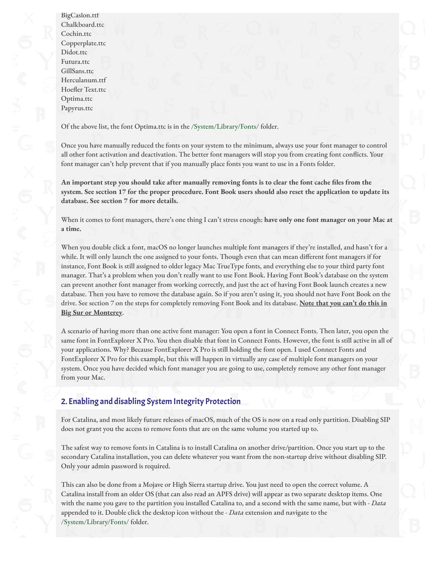BigCaslon.ttf Chalkboard.ttc Cochin.ttc Copperplate.ttc Didot.ttc Futura.ttc GillSans.ttc Herculanum.ttf Hoefler Text.ttc Optima.ttc Papyrus.ttc

Of the above list, the font Optima.ttc is in the /System/Library/Fonts/ folder.

Once you have manually reduced the fonts on your system to the minimum, always use your font manager to control all other font activation and deactivation. The better font managers will stop you from creating font conflicts. Your font manager can't help prevent that if you manually place fonts you want to use in a Fonts folder.

**An important step you should take after manually removing fonts is to clear the font cache !les from the system. See section 17 for the proper procedure. Font Book users should also reset the application to update its database. See section 7 for more details.**

When it comes to font managers, there's one thing I can't stress enough: **have only one font manager on your Mac at a time.**

When you double click a font, macOS no longer launches multiple font managers if they're installed, and hasn't for a while. It will only launch the one assigned to your fonts. Though even that can mean different font managers if for instance, Font Book is still assigned to older legacy Mac TrueType fonts, and everything else to your third party font manager. That's a problem when you don't really want to use Font Book. Having Font Book's database on the system can prevent another font manager from working correctly, and just the act of having Font Book launch creates a new database. Then you have to remove the database again. So if you aren't using it, you should not have Font Book on the drive. See section 7 on the steps for completely removing Font Book and its database. **Note that you can't do this in Big Sur or Monterey**.

A scenario of having more than one active font manager: You open a font in Connect Fonts. Then later, you open the same font in FontExplorer X Pro. You then disable that font in Connect Fonts. However, the font is still active in all of your applications. Why? Because FontExplorer X Pro is still holding the font open. I used Connect Fonts and FontExplorer X Pro for this example, but this will happen in virtually any case of multiple font managers on your system. Once you have decided which font manager you are going to use, completely remove any other font manager from your Mac.

# 2. Enabling and disabling System Integrity Protection

For Catalina, and most likely future releases of macOS, much of the OS is now on a read only partition. Disabling SIP does not grant you the access to remove fonts that are on the same volume you started up to.

The safest way to remove fonts in Catalina is to install Catalina on another drive/partition. Once you start up to the secondary Catalina installation, you can delete whatever you want from the non-startup drive without disabling SIP. Only your admin password is required.

This can also be done from a Mojave or High Sierra startup drive. You just need to open the correct volume. A Catalina install from an older OS (that can also read an APFS drive) will appear as two separate desktop items. One with the name you gave to the partition you installed Catalina to, and a second with the same name, but with *- Data* appended to it. Double click the desktop icon without the *- Data* extension and navigate to the /System/Library/Fonts/ folder.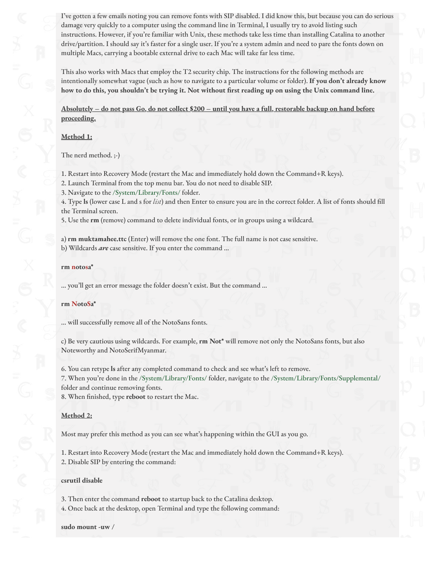I've gotten a few emails noting you can remove fonts with SIP disabled. I did know this, but because you can do serious damage very quickly to a computer using the command line in Terminal, I usually try to avoid listing such instructions. However, if you're familiar with Unix, these methods take less time than installing Catalina to another drive/partition. I should say it's faster for a single user. If you're a system admin and need to pare the fonts down on multiple Macs, carrying a bootable external drive to each Mac will take far less time.

This also works with Macs that employ the T2 security chip. The instructions for the following methods are intentionally somewhat vague (such as how to navigate to a particular volume or folder). **If you don't already know how to do this, you shouldn't be trying it. Not without !rst reading up on using the Unix command line.**

**Absolutely – do not pass Go, do not collect \$200 – until you have a full, restorable backup on hand before proceeding.**

### **Method 1:**

The nerd method. ;-)

1. Restart into Recovery Mode (restart the Mac and immediately hold down the Command+R keys).

2. Launch Terminal from the top menu bar. You do not need to disable SIP.

3. Navigate to the /System/Library/Fonts/ folder.

4. Type **ls** (lower case L and s for *list*) and then Enter to ensure you are in the correct folder. A list of fonts should "ll the Terminal screen.

5. Use the **rm** (remove) command to delete individual fonts, or in groups using a wildcard.

a) **rm muktamahee.ttc** (Enter) will remove the one font. The full name is not case sensitive. b) Wildcards *are* case sensitive. If you enter the command …

#### **rm notosa\***

… you'll get an error message the folder doesn't exist. But the command …

#### **rm NotoSa\***

… will successfully remove all of the NotoSans fonts.

c) Be very cautious using wildcards. For example, **rm Not\*** will remove not only the NotoSans fonts, but also Noteworthy and NotoSerifMyanmar.

6. You can retype **ls** after any completed command to check and see what's left to remove.

7. When you're done in the /System/Library/Fonts/ folder, navigate to the /System/Library/Fonts/Supplemental/ folder and continue removing fonts.

8. When finished, type **reboot** to restart the Mac.

### **Method 2:**

Most may prefer this method as you can see what's happening within the GUI as you go.

1. Restart into Recovery Mode (restart the Mac and immediately hold down the Command+R keys).

2. Disable SIP by entering the command:

#### **csrutil disable**

3. Then enter the command **reboot** to startup back to the Catalina desktop.

4. Once back at the desktop, open Terminal and type the following command:

**sudo mount -uw /**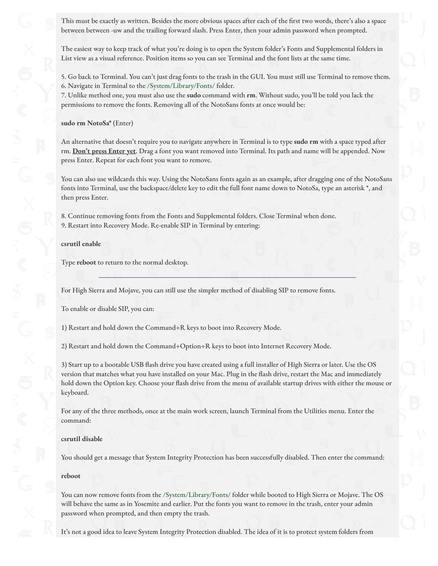This must be exactly as written. Besides the more obvious spaces after each of the first two words, there's also a space between between -uw and the trailing forward slash. Press Enter, then your admin password when prompted.

The easiest way to keep track of what you're doing is to open the System folder's Fonts and Supplemental folders in List view as a visual reference. Position items so you can see Terminal and the font lists at the same time.

5. Go back to Terminal. You can't just drag fonts to the trash in the GUI. You must still use Terminal to remove them. 6. Navigate in Terminal to the /System/Library/Fonts/ folder.

7. Unlike method one, you must also use the **sudo** command with **rm**. Without sudo, you'll be told you lack the permissions to remove the fonts. Removing all of the NotoSans fonts at once would be:

#### **sudo rm NotoSa\*** (Enter)

An alternative that doesn't require you to navigate anywhere in Terminal is to type **sudo rm** with a space typed after rm. **Don't press Enter yet**. Drag a font you want removed into Terminal. Its path and name will be appended. Now press Enter. Repeat for each font you want to remove.

You can also use wildcards this way. Using the NotoSans fonts again as an example, after dragging one of the NotoSans fonts into Terminal, use the backspace/delete key to edit the full font name down to NotoSa, type an asterisk \*, and then press Enter.

8. Continue removing fonts from the Fonts and Supplemental folders. Close Terminal when done. 9. Restart into Recovery Mode. Re-enable SIP in Terminal by entering:

#### **csrutil enable**

Type **reboot** to return to the normal desktop.

For High Sierra and Mojave, you can still use the simpler method of disabling SIP to remove fonts.

To enable or disable SIP, you can:

1) Restart and hold down the Command+R keys to boot into Recovery Mode.

2) Restart and hold down the Command+Option+R keys to boot into Internet Recovery Mode.

3) Start up to a bootable USB flash drive you have created using a full installer of High Sierra or later. Use the OS version that matches what you have installed on your Mac. Plug in the flash drive, restart the Mac and immediately hold down the Option key. Choose your flash drive from the menu of available startup drives with either the mouse or keyboard.

For any of the three methods, once at the main work screen, launch Terminal from the Utilities menu. Enter the command:

#### **csrutil disable**

You should get a message that System Integrity Protection has been successfully disabled. Then enter the command:

#### **reboot**

You can now remove fonts from the /System/Library/Fonts/ folder while booted to High Sierra or Mojave. The OS will behave the same as in Yosemite and earlier. Put the fonts you want to remove in the trash, enter your admin password when prompted, and then empty the trash.

It's not a good idea to leave System Integrity Protection disabled. The idea of it is to protect system folders from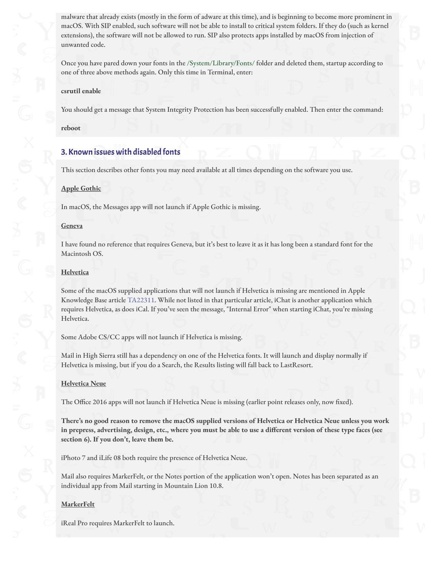malware that already exists (mostly in the form of adware at this time), and is beginning to become more prominent in macOS. With SIP enabled, such software will not be able to install to critical system folders. If they do (such as kernel extensions), the software will not be allowed to run. SIP also protects apps installed by macOS from injection of unwanted code.

Once you have pared down your fonts in the /System/Library/Fonts/ folder and deleted them, startup according to one of three above methods again. Only this time in Terminal, enter:

#### **csrutil enable**

You should get a message that System Integrity Protection has been successfully enabled. Then enter the command:

**reboot**

### 3. Known issues with disabled fonts

This section describes other fonts you may need available at all times depending on the software you use.

#### **Apple Gothic**

In macOS, the Messages app will not launch if Apple Gothic is missing.

#### **Geneva**

I have found no reference that requires Geneva, but it's best to leave it as it has long been a standard font for the Macintosh OS.

#### **Helvetica**

Some of the macOS supplied applications that will not launch if Helvetica is missing are mentioned in Apple Knowledge Base article [TA22311](http://support.apple.com/kb/TA22311?viewlocale=en_US). While not listed in that particular article, iChat is another application which requires Helvetica, as does iCal. If you've seen the message, "Internal Error" when starting iChat, you're missing Helvetica.

Some Adobe CS/CC apps will not launch if Helvetica is missing.

Mail in High Sierra still has a dependency on one of the Helvetica fonts. It will launch and display normally if Helvetica is missing, but if you do a Search, the Results listing will fall back to LastResort.

#### **Helvetica Neue**

The Office 2016 apps will not launch if Helvetica Neue is missing (earlier point releases only, now fixed).

**There's no good reason to remove the macOS supplied versions of Helvetica or Helvetica Neue unless you work in prepress, advertising, design, etc., where you must be able to use a di"erent version of these type faces (see section 6). If you don't, leave them be.**

iPhoto 7 and iLife 08 both require the presence of Helvetica Neue.

Mail also requires MarkerFelt, or the Notes portion of the application won't open. Notes has been separated as an individual app from Mail starting in Mountain Lion 10.8.

#### **MarkerFelt**

iReal Pro requires MarkerFelt to launch.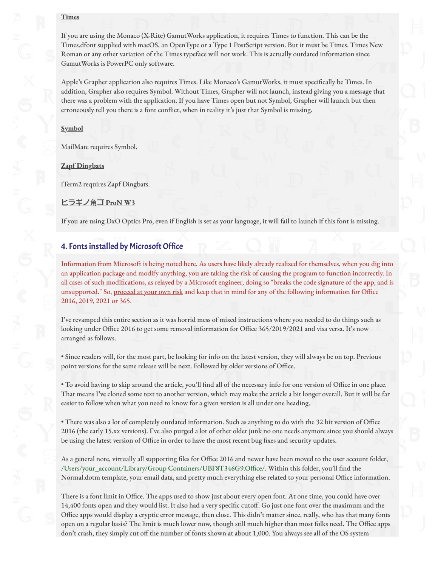### **Times**

If you are using the Monaco (X-Rite) GamutWorks application, it requires Times to function. This can be the Times.dfont supplied with macOS, an OpenType or a Type 1 PostScript version. But it must be Times. Times New Roman or any other variation of the Times typeface will not work. This is actually outdated information since GamutWorks is PowerPC only software.

Apple's Grapher application also requires Times. Like Monaco's GamutWorks, it must specifically be Times. In addition, Grapher also requires Symbol. Without Times, Grapher will not launch, instead giving you a message that there was a problem with the application. If you have Times open but not Symbol, Grapher will launch but then erroneously tell you there is a font conflict, when in reality it's just that Symbol is missing.

**Symbol**

MailMate requires Symbol.

**Zapf Dingbats**

iTerm2 requires Zapf Dingbats.

<u>ヒラギノ角ゴ ProN W3</u>

If you are using DxO Optics Pro, even if English is set as your language, it will fail to launch if this font is missing.

### 4. Fonts installed by Microsoft Office

Information from Microsoft is being noted here. As users have likely already realized for themselves, when you dig into an application package and modify anything, you are taking the risk of causing the program to function incorrectly. In all cases of such modifications, as relayed by a Microsoft engineer, doing so "breaks the code signature of the app, and is unsupported." So, proceed at your own risk and keep that in mind for any of the following information for Office 2016, 2019, 2021 or 365.

I've revamped this entire section as it was horrid mess of mixed instructions where you needed to do things such as looking under Office 2016 to get some removal information for Office 365/2019/2021 and visa versa. It's now arranged as follows.

• Since readers will, for the most part, be looking for info on the latest version, they will always be on top. Previous point versions for the same release will be next. Followed by older versions of Office.

• To avoid having to skip around the article, you'll find all of the necessary info for one version of Office in one place. That means I've cloned some text to another version, which may make the article a bit longer overall. But it will be far easier to follow when what you need to know for a given version is all under one heading.

• There was also a lot of completely outdated information. Such as anything to do with the 32 bit version of Office 2016 (the early 15.xx versions). I've also purged a lot of other older junk no one needs anymore since you should always be using the latest version of Office in order to have the most recent bug fixes and security updates.

As a general note, virtually all supporting files for Office 2016 and newer have been moved to the user account folder, /Users/your\_account/Library/Group Containers/UBF8T346G9.Office/. Within this folder, you'll find the Normal.dotm template, your email data, and pretty much everything else related to your personal Office information.

There is a font limit in Office. The apps used to show just about every open font. At one time, you could have over 14,400 fonts open and they would list. It also had a very specific cutoff. Go just one font over the maximum and the Office apps would display a cryptic error message, then close. This didn't matter since, really, who has that many fonts open on a regular basis? The limit is much lower now, though still much higher than most folks need. The Office apps don't crash, they simply cut off the number of fonts shown at about 1,000. You always see all of the OS system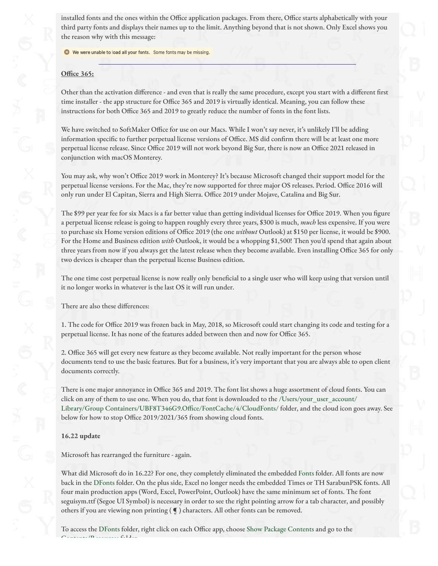installed fonts and the ones within the Office application packages. From there, Office starts alphabetically with your third party fonts and displays their names up to the limit. Anything beyond that is not shown. Only Excel shows you the reason why with this message:

We were unable to load all your fonts. Some fonts may be missing.

### **O#ce 365:**

Other than the activation difference - and even that is really the same procedure, except you start with a different first time installer - the app structure for Office 365 and 2019 is virtually identical. Meaning, you can follow these instructions for both Office 365 and 2019 to greatly reduce the number of fonts in the font lists.

We have switched to SoftMaker Office for use on our Macs. While I won't say never, it's unlikely I'll be adding information specific to further perpetual license versions of Office. MS did confirm there will be at least one more perpetual license release. Since Office 2019 will not work beyond Big Sur, there is now an Office 2021 released in conjunction with macOS Monterey.

You may ask, why won't Office 2019 work in Monterey? It's because Microsoft changed their support model for the perpetual license versions. For the Mac, they're now supported for three major OS releases. Period. Office 2016 will only run under El Capitan, Sierra and High Sierra. Office 2019 under Mojave, Catalina and Big Sur.

The \$99 per year fee for six Macs is a far better value than getting individual licenses for Office 2019. When you figure a perpetual license release is going to happen roughly every three years, \$300 is much, *much* less expensive. If you were to purchase six Home version editions of Office 2019 (the one *without* Outlook) at \$150 per license, it would be \$900. For the Home and Business edition *with* Outlook, it would be a whopping \$1,500! Then you'd spend that again about three years from now if you always get the latest release when they become available. Even installing Office 365 for only two devices is cheaper than the perpetual license Business edition.

The one time cost perpetual license is now really only beneficial to a single user who will keep using that version until it no longer works in whatever is the last OS it will run under.

There are also these differences:

1. The code for Office 2019 was frozen back in May, 2018, so Microsoft could start changing its code and testing for a perpetual license. It has none of the features added between then and now for Office 365.

2. Office 365 will get every new feature as they become available. Not really important for the person whose documents tend to use the basic features. But for a business, it's very important that you are always able to open client documents correctly.

There is one major annoyance in Office 365 and 2019. The font list shows a huge assortment of cloud fonts. You can click on any of them to use one. When you do, that font is downloaded to the /Users/your\_user\_account/ Library/Group Containers/UBF8T346G9.Office/FontCache/4/CloudFonts/ folder, and the cloud icon goes away. See below for how to stop Office 2019/2021/365 from showing cloud fonts.

### **16.22 update**

Microsoft has rearranged the furniture - again.

What did Microsoft do in 16.22? For one, they completely eliminated the embedded Fonts folder. All fonts are now back in the DFonts folder. On the plus side, Excel no longer needs the embedded Times or TH SarabunPSK fonts. All four main production apps (Word, Excel, PowerPoint, Outlook) have the same minimum set of fonts. The font seguisym.ttf (Segoe UI Symbol) is necessary in order to see the right pointing arrow for a tab character, and possibly others if you are viewing non printing ( ¶ ) characters. All other fonts can be removed.

To access the DFonts folder, right click on each Office app, choose Show Package Contents and go to the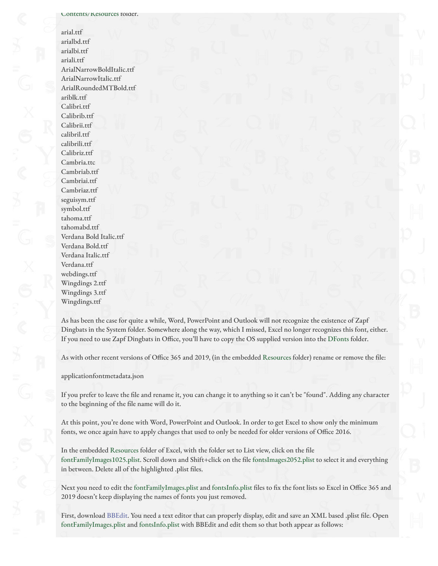#### Contents/Resources folder.

arial.ttf arialbd.ttf arialbi.ttf ariali.ttf ArialNarrowBoldItalic.ttf ArialNarrowItalic.ttf ArialRoundedMTBold.ttf ariblk.ttf Calibri.ttf Calibrib.ttf Calibrii.ttf calibril.ttf calibrili.ttf Calibriz.ttf Cambria.ttc Cambriab.ttf Cambriai.ttf Cambriaz.ttf seguisym.ttf symbol.ttf tahoma.ttf tahomabd.ttf Verdana Bold Italic.ttf Verdana Bold.ttf Verdana Italic.ttf Verdana.ttf webdings.ttf Wingdings 2.ttf Wingdings 3.ttf Wingdings.ttf

As has been the case for quite a while, Word, PowerPoint and Outlook will not recognize the existence of Zapf Dingbats in the System folder. Somewhere along the way, which I missed, Excel no longer recognizes this font, either. If you need to use Zapf Dingbats in Office, you'll have to copy the OS supplied version into the DFonts folder.

As with other recent versions of Office 365 and 2019, (in the embedded Resources folder) rename or remove the file:

applicationfontmetadata.json

If you prefer to leave the file and rename it, you can change it to anything so it can't be "found". Adding any character to the beginning of the file name will do it.

At this point, you're done with Word, PowerPoint and Outlook. In order to get Excel to show only the minimum fonts, we once again have to apply changes that used to only be needed for older versions of Office 2016.

In the embedded Resources folder of Excel, with the folder set to List view, click on the file fontFamilyImages1025.plist. Scroll down and Shift+click on the file fontsImages2052.plist to select it and everything in between. Delete all of the highlighted .plist files.

Next you need to edit the fontFamilyImages.plist and fontsInfo.plist files to fix the font lists so Excel in Office 365 and 2019 doesn't keep displaying the names of fonts you just removed.

First, download [BBEdit](https://www.barebones.com/products/bbedit/). You need a text editor that can properly display, edit and save an XML based .plist file. Open fontFamilyImages.plist and fontsInfo.plist with BBEdit and edit them so that both appear as follows: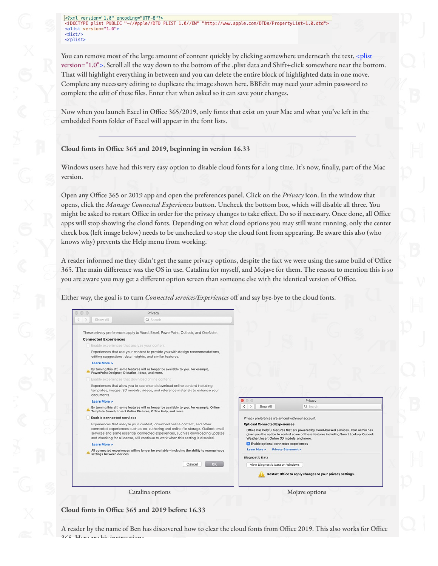You can remove most of the large amount of content quickly by clicking somewhere underneath the text, <plist version="1.0">. Scroll all the way down to the bottom of the .plist data and Shift+click somewhere near the bottom. That will highlight everything in between and you can delete the entire block of highlighted data in one move. Complete any necessary editing to duplicate the image shown here. BBEdit may need your admin password to complete the edit of these files. Enter that when asked so it can save your changes.

Now when you launch Excel in Office 365/2019, only fonts that exist on your Mac and what you've left in the embedded Fonts folder of Excel will appear in the font lists.

### **Cloud fonts in O#ce 365 and 2019, beginning in version 16.33**

Windows users have had this very easy option to disable cloud fonts for a long time. It's now, finally, part of the Mac version.

Open any Office 365 or 2019 app and open the preferences panel. Click on the *Privacy* icon. In the window that opens, click the *Manage Connected Experiences* button. Uncheck the bottom box, which will disable all three. You might be asked to restart Office in order for the privacy changes to take effect. Do so if necessary. Once done, all Office apps will stop showing the cloud fonts. Depending on what cloud options you may still want running, only the center check box (left image below) needs to be unchecked to stop the cloud font from appearing. Be aware this also (who knows why) prevents the Help menu from working.

A reader informed me they didn't get the same privacy options, despite the fact we were using the same build of Office 365. The main difference was the OS in use. Catalina for myself, and Mojave for them. The reason to mention this is so you are aware you may get a different option screen than someone else with the identical version of Office.

Either way, the goal is to turn *Connected services/Experiences* off and say bye-bye to the cloud fonts.

|                                                                                                                            | Privacy                                                                                                                                                                                                                                                                                                                              |                                                                                                                                                                                                                                                                                                                    |
|----------------------------------------------------------------------------------------------------------------------------|--------------------------------------------------------------------------------------------------------------------------------------------------------------------------------------------------------------------------------------------------------------------------------------------------------------------------------------|--------------------------------------------------------------------------------------------------------------------------------------------------------------------------------------------------------------------------------------------------------------------------------------------------------------------|
| Show All                                                                                                                   | Q Search                                                                                                                                                                                                                                                                                                                             |                                                                                                                                                                                                                                                                                                                    |
|                                                                                                                            | These privacy preferences apply to Word, Excel, PowerPoint, Outlook, and OneNote.                                                                                                                                                                                                                                                    |                                                                                                                                                                                                                                                                                                                    |
| <b>Connected Experiences</b>                                                                                               |                                                                                                                                                                                                                                                                                                                                      |                                                                                                                                                                                                                                                                                                                    |
| Enable experiences that analyze your content                                                                               |                                                                                                                                                                                                                                                                                                                                      |                                                                                                                                                                                                                                                                                                                    |
|                                                                                                                            | Experiences that use your content to provide you with design recommendations,<br>editing suggestions, data insights, and similar features.                                                                                                                                                                                           |                                                                                                                                                                                                                                                                                                                    |
| Learn More >                                                                                                               |                                                                                                                                                                                                                                                                                                                                      |                                                                                                                                                                                                                                                                                                                    |
|                                                                                                                            | By turning this off, some features will no longer be available to you. For example,<br>PowerPoint Designer, Dictation, Ideas, and more.                                                                                                                                                                                              |                                                                                                                                                                                                                                                                                                                    |
|                                                                                                                            | Enable experiences that download online content                                                                                                                                                                                                                                                                                      |                                                                                                                                                                                                                                                                                                                    |
| documents.                                                                                                                 | Experiences that allow you to search and download online content including<br>templates, images, 3D models, videos, and reference materials to enhance your                                                                                                                                                                          |                                                                                                                                                                                                                                                                                                                    |
| Learn More >                                                                                                               |                                                                                                                                                                                                                                                                                                                                      | $\bullet$ $\circ$ $\circ$<br>Privacy                                                                                                                                                                                                                                                                               |
|                                                                                                                            | By turning this off, some features will no longer be available to you. For example, Online<br>Template Search, Insert Online Pictures, Office Help, and more.                                                                                                                                                                        | $\rightarrow$<br>Show All<br>Q Search<br>$\langle$                                                                                                                                                                                                                                                                 |
| <b>Enable connected services</b>                                                                                           |                                                                                                                                                                                                                                                                                                                                      | Privacy preferences are synced with your account.                                                                                                                                                                                                                                                                  |
| Learn More >                                                                                                               | Experiences that analyze your content, download online content, and other<br>connected experiences such as co-authoring and online file storage. Outlook email<br>services and some essential connected experiences, such as downloading updates<br>and checking for a license, will continue to work when this setting is disabled. | <b>Optional Connected Experiences</b><br>Office has helpful features that are powered by cloud-backed services. Your admin has<br>given you the option to control some of these features including Smart Lookup, Outlook<br>Weather, Insert Online 3D models, and more.<br>C Enable optional connected experiences |
| All connected experiences will no longer be available - including the ability to roam privacy<br>settings between devices. |                                                                                                                                                                                                                                                                                                                                      | Learn More ><br><b>Privacy Statement &gt;</b><br><b>Diagnostic Data</b>                                                                                                                                                                                                                                            |
|                                                                                                                            | <b>OK</b><br>Cancel                                                                                                                                                                                                                                                                                                                  | View Diagnostic Data on Windows                                                                                                                                                                                                                                                                                    |
|                                                                                                                            |                                                                                                                                                                                                                                                                                                                                      | Restart Office to apply changes to your privacy settings.                                                                                                                                                                                                                                                          |
| Catalina options                                                                                                           |                                                                                                                                                                                                                                                                                                                                      | Mojave options                                                                                                                                                                                                                                                                                                     |

**Cloud fonts in O#ce 365 and 2019 before 16.33**

A reader by the name of Ben has discovered how to clear the cloud fonts from Office 2019. This also works for Office 365. Here are his instructions.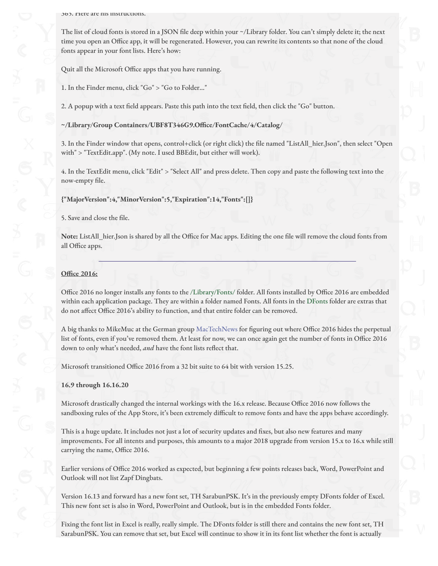365. Here are his instructions.

The list of cloud fonts is stored in a JSON file deep within your ~/Library folder. You can't simply delete it; the next time you open an Office app, it will be regenerated. However, you can rewrite its contents so that none of the cloud fonts appear in your font lists. Here's how:

Quit all the Microsoft Office apps that you have running.

1. In the Finder menu, click "Go" > "Go to Folder…"

2. A popup with a text field appears. Paste this path into the text field, then click the "Go" button.

**~/Library/Group Containers/UBF8T346G9.O#ce/FontCache/4/Catalog/**

3. In the Finder window that opens, control+click (or right click) the file named "ListAll\_hier.Json", then select "Open with" > "TextEdit.app". (My note. I used BBEdit, but either will work).

4. In the TextEdit menu, click "Edit" > "Select All" and press delete. Then copy and paste the following text into the now-empty file.

**{"MajorVersion":4,"MinorVersion":5,"Expiration":14,"Fonts":[]}**

5. Save and close the file.

Note: ListAll hier.Json is shared by all the Office for Mac apps. Editing the one file will remove the cloud fonts from all Office apps.

### **O#ce 2016:**

Office 2016 no longer installs any fonts to the /Library/Fonts/ folder. All fonts installed by Office 2016 are embedded within each application package. They are within a folder named Fonts. All fonts in the DFonts folder are extras that do not affect Office 2016's ability to function, and that entire folder can be removed.

A big thanks to MikeMuc at the German group [MacTechNews](https://www.mactechnews.de/) for figuring out where Office 2016 hides the perpetual list of fonts, even if you've removed them. At least for now, we can once again get the number of fonts in Office 2016 down to only what's needed, and have the font lists reflect that.

Microsoft transitioned Office 2016 from a 32 bit suite to 64 bit with version 15.25.

### **16.9 through 16.16.20**

Microsoft drastically changed the internal workings with the 16.x release. Because Office 2016 now follows the sandboxing rules of the App Store, it's been extremely difficult to remove fonts and have the apps behave accordingly.

This is a huge update. It includes not just a lot of security updates and fixes, but also new features and many improvements. For all intents and purposes, this amounts to a major 2018 upgrade from version 15.x to 16.x while still carrying the name, Office 2016.

Earlier versions of Office 2016 worked as expected, but beginning a few points releases back, Word, PowerPoint and Outlook will not list Zapf Dingbats.

Version 16.13 and forward has a new font set, TH SarabunPSK. It's in the previously empty DFonts folder of Excel. This new font set is also in Word, PowerPoint and Outlook, but is in the embedded Fonts folder.

Fixing the font list in Excel is really, really simple. The DFonts folder is still there and contains the new font set, TH SarabunPSK. You can remove that set, but Excel will continue to show it in its font list whether the font is actually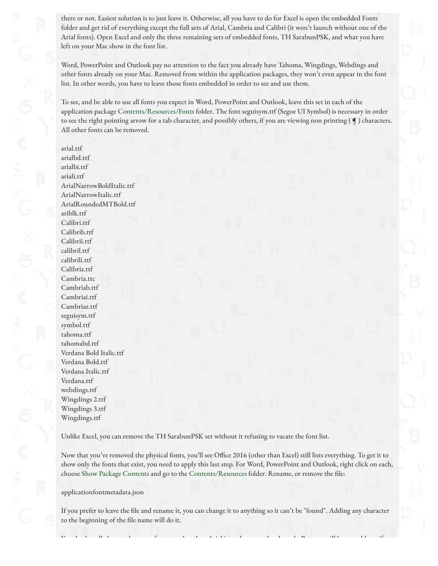there or not. Easiest solution is to just leave it. Otherwise, all you have to do for Excel is open the embedded Fonts folder and get rid of everything except the full sets of Arial, Cambria and Calibri (it won't launch without one of the Arial fonts). Open Excel and only the three remaining sets of embedded fonts, TH SarabunPSK, and what you have left on your Mac show in the font list.

Word, PowerPoint and Outlook pay no attention to the fact you already have Tahoma, Wingdings, Webdings and other fonts already on your Mac. Removed from within the application packages, they won't even appear in the font list. In other words, you have to leave those fonts embedded in order to see and use them.

To see, and be able to use all fonts you expect in Word, PowerPoint and Outlook, leave this set in each of the application package Contents/Resources/Fonts folder. The font seguisym.ttf (Segoe UI Symbol) is necessary in order to see the right pointing arrow for a tab character, and possibly others, if you are viewing non printing  $(\P)$  characters. All other fonts can be removed.

arial.ttf arialbd.ttf arialbi.ttf ariali.ttf ArialNarrowBoldItalic.ttf ArialNarrowItalic.ttf ArialRoundedMTBold.ttf ariblk.ttf Calibri.ttf Calibrib.ttf Calibrii.ttf calibril.ttf calibrili.ttf Calibriz.ttf Cambria.ttc Cambriab.ttf Cambriai.ttf Cambriaz.ttf seguisym.ttf symbol.ttf tahoma.ttf tahomabd.ttf Verdana Bold Italic.ttf Verdana Bold.ttf Verdana Italic.ttf Verdana.ttf webdings.ttf Wingdings 2.ttf Wingdings 3.ttf Wingdings.ttf

Unlike Excel, you can remove the TH SarabunPSK set without it refusing to vacate the font list.

Now that you've removed the physical fonts, you'll see Office 2016 (other than Excel) still lists everything. To get it to show only the fonts that exist, you need to apply this last step. For Word, PowerPoint and Outlook, right click on each, choose Show Package Contents and go to the Contents/Resources folder. Rename, or remove the file:

applicationfontmetadata.json

If you prefer to leave the file and rename it, you can change it to anything so it can't be "found". Adding any character to the beginning of the file name will do it.

 $Y$  do that really have any font set other than  $\alpha$  than  $\alpha$  they launch. But you will have problems if  $\alpha$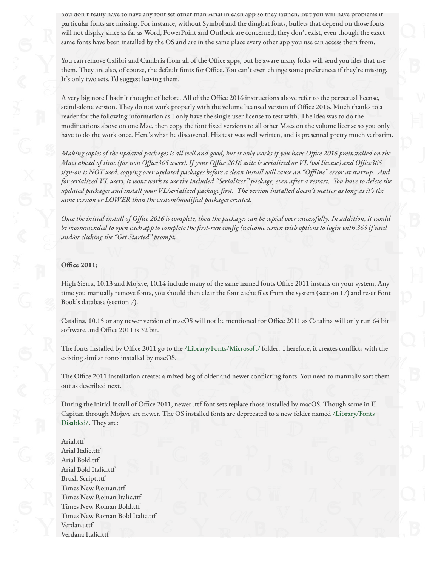You don't really have to have any font set other than Arial in each app so they launch. But you will have problems if particular fonts are missing. For instance, without Symbol and the dingbat fonts, bullets that depend on those fonts will not display since as far as Word, PowerPoint and Outlook are concerned, they don't exist, even though the exact same fonts have been installed by the OS and are in the same place every other app you use can access them from.

You can remove Calibri and Cambria from all of the Office apps, but be aware many folks will send you files that use them. They are also, of course, the default fonts for Office. You can't even change some preferences if they're missing. It's only two sets. I'd suggest leaving them.

A very big note I hadn't thought of before. All of the Office 2016 instructions above refer to the perpetual license, stand-alone version. They do not work properly with the volume licensed version of Office 2016. Much thanks to a reader for the following information as I only have the single user license to test with. The idea was to do the modifications above on one Mac, then copy the font fixed versions to all other Macs on the volume license so you only have to do the work once. Here's what he discovered. His text was well written, and is presented pretty much verbatim.

*Making copies of the updated packages is all well and good, but it only works if you have Office 2016 preinstalled on the Macs ahead of time (for non Office365 users). If your Office 2016 suite is serialized or VL (vol license) and Office365 sign-on is NOT used, copying over updated packages before a clean install will cause an "Offline" error at startup. And for serialized VL users, it wont work to use the included "Serializer" package, even after a restart. You have to delete the updated packages and install your VL/serialized package first. The version installed doesn't matter as long as it's the same version or LOWER than the custom/modified packages created.*

*Once the initial install of Office 2016 is complete, then the packages can be copied over successfully. In addition, it would be recommended to open each app to complete the first-run config (welcome screen with options to login with 365 if used and/or clicking the "Get Started" prompt.*

### **O#ce 2011:**

High Sierra, 10.13 and Mojave, 10.14 include many of the same named fonts Office 2011 installs on your system. Any time you manually remove fonts, you should then clear the font cache files from the system (section 17) and reset Font Book's database (section 7).

Catalina, 10.15 or any newer version of macOS will not be mentioned for Office 2011 as Catalina will only run 64 bit software, and Office 2011 is 32 bit.

The fonts installed by Office 2011 go to the /Library/Fonts/Microsoft/ folder. Therefore, it creates conflicts with the existing similar fonts installed by macOS.

The Office 2011 installation creates a mixed bag of older and newer conflicting fonts. You need to manually sort them out as described next.

During the initial install of Office 2011, newer .ttf font sets replace those installed by macOS. Though some in El Capitan through Mojave are newer. The OS installed fonts are deprecated to a new folder named /Library/Fonts Disabled/. They are:

Arial.ttf Arial Italic.ttf Arial Bold.ttf Arial Bold Italic.ttf Brush Script.ttf Times New Roman.ttf Times New Roman Italic.ttf Times New Roman Bold.ttf Times New Roman Bold Italic.ttf Verdana.ttf Verdana Italic.ttf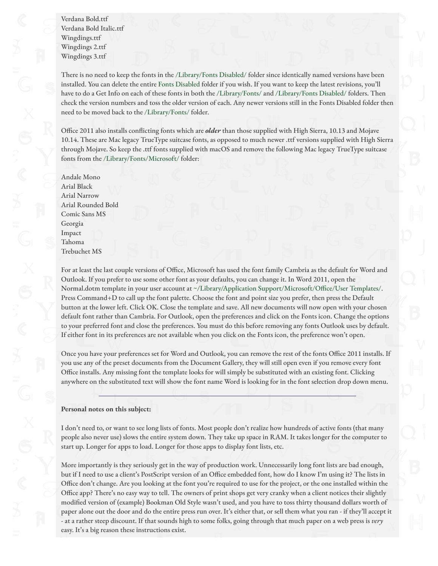Verdana Bold.ttf Verdana Bold Italic.ttf Wingdings.ttf Wingdings 2.ttf Wingdings 3.ttf

There is no need to keep the fonts in the /Library/Fonts Disabled/ folder since identically named versions have been installed. You can delete the entire Fonts Disabled folder if you wish. If you want to keep the latest revisions, you'll have to do a Get Info on each of these fonts in both the /Library/Fonts/ and /Library/Fonts Disabled/ folders. Then check the version numbers and toss the older version of each. Any newer versions still in the Fonts Disabled folder then need to be moved back to the /Library/Fonts/ folder.

Office 2011 also installs conflicting fonts which are *older* than those supplied with High Sierra, 10.13 and Mojave 10.14. These are Mac legacy TrueType suitcase fonts, as opposed to much newer .ttf versions supplied with High Sierra through Mojave. So keep the .ttf fonts supplied with macOS and remove the following Mac legacy TrueType suitcase fonts from the /Library/Fonts/Microsoft/ folder:

Andale Mono Arial Black Arial Narrow Arial Rounded Bold Comic Sans MS Georgia Impact Tahoma Trebuchet MS

For at least the last couple versions of Office, Microsoft has used the font family Cambria as the default for Word and Outlook. If you prefer to use some other font as your defaults, you can change it. In Word 2011, open the Normal.dotm template in your user account at ~/Library/Application Support/Microsoft/Office/User Templates/. Press Command+D to call up the font palette. Choose the font and point size you prefer, then press the Default button at the lower left. Click OK. Close the template and save. All new documents will now open with your chosen default font rather than Cambria. For Outlook, open the preferences and click on the Fonts icon. Change the options to your preferred font and close the preferences. You must do this before removing any fonts Outlook uses by default. If either font in its preferences are not available when you click on the Fonts icon, the preference won't open.

Once you have your preferences set for Word and Outlook, you can remove the rest of the fonts Office 2011 installs. If you use any of the preset documents from the Document Gallery, they will still open even if you remove every font Office installs. Any missing font the template looks for will simply be substituted with an existing font. Clicking anywhere on the substituted text will show the font name Word is looking for in the font selection drop down menu.

### **Personal notes on this subject:**

I don't need to, or want to see long lists of fonts. Most people don't realize how hundreds of active fonts (that many people also never use) slows the entire system down. They take up space in RAM. It takes longer for the computer to start up. Longer for apps to load. Longer for those apps to display font lists, etc.

More importantly is they seriously get in the way of production work. Unnecessarily long font lists are bad enough, but if I need to use a client's PostScript version of an Office embedded font, how do I know I'm using it? The lists in Office don't change. Are you looking at the font you're required to use for the project, or the one installed within the Office app? There's no easy way to tell. The owners of print shops get very cranky when a client notices their slightly modified version of (example) Bookman Old Style wasn't used, and you have to toss thirty thousand dollars worth of paper alone out the door and do the entire press run over. It's either that, or sell them what you ran - if they'll accept it - at a rather steep discount. If that sounds high to some folks, going through that much paper on a web press is *very* easy. It's a big reason these instructions exist.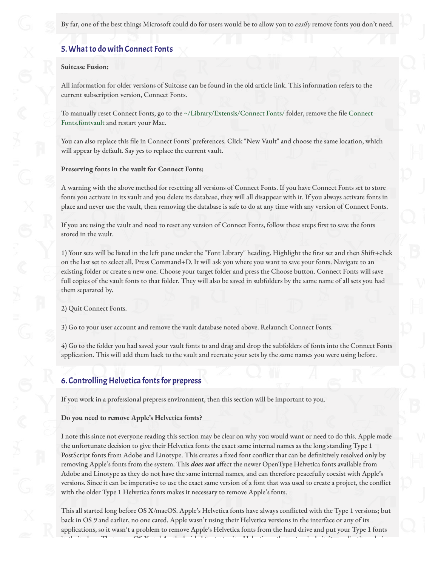By far, one of the best things Microsoft could do for users would be to allow you to *easily* remove fonts you don't need.

# 5. What to do with Connect Fonts

### **Suitcase Fusion:**

All information for older versions of Suitcase can be found in the old article link. This information refers to the current subscription version, Connect Fonts.

To manually reset Connect Fonts, go to the ~/Library/Extensis/Connect Fonts/ folder, remove the file Connect Fonts.fontvault and restart your Mac.

You can also replace this file in Connect Fonts' preferences. Click "New Vault" and choose the same location, which will appear by default. Say yes to replace the current vault.

**Preserving fonts in the vault for Connect Fonts:**

A warning with the above method for resetting all versions of Connect Fonts. If you have Connect Fonts set to store fonts you activate in its vault and you delete its database, they will all disappear with it. If you always activate fonts in place and never use the vault, then removing the database is safe to do at any time with any version of Connect Fonts.

If you are using the vault and need to reset any version of Connect Fonts, follow these steps first to save the fonts stored in the vault.

1) Your sets will be listed in the left pane under the "Font Library" heading. Highlight the first set and then Shift+click on the last set to select all. Press Command+D. It will ask you where you want to save your fonts. Navigate to an existing folder or create a new one. Choose your target folder and press the Choose button. Connect Fonts will save full copies of the vault fonts to that folder. They will also be saved in subfolders by the same name of all sets you had them separated by.

2) Quit Connect Fonts.

3) Go to your user account and remove the vault database noted above. Relaunch Connect Fonts.

4) Go to the folder you had saved your vault fonts to and drag and drop the subfolders of fonts into the Connect Fonts application. This will add them back to the vault and recreate your sets by the same names you were using before.

# 6. Controlling Helvetica fonts for prepress

If you work in a professional prepress environment, then this section will be important to you.

**Do you need to remove Apple's Helvetica fonts?**

I note this since not everyone reading this section may be clear on why you would want or need to do this. Apple made the unfortunate decision to give their Helvetica fonts the exact same internal names as the long standing Type 1 PostScript fonts from Adobe and Linotype. This creates a fixed font conflict that can be definitively resolved only by removing Apple's fonts from the system. This **does not** affect the newer OpenType Helvetica fonts available from Adobe and Linotype as they do not have the same internal names, and can therefore peacefully coexist with Apple's versions. Since it can be imperative to use the exact same version of a font that was used to create a project, the conflict with the older Type 1 Helvetica fonts makes it necessary to remove Apple's fonts.

This all started long before OS X/macOS. Apple's Helvetica fonts have always conflicted with the Type 1 versions; but back in OS 9 and earlier, no one cared. Apple wasn't using their Helvetica versions in the interface or any of its applications, so it wasn't a problem to remove Apple's Helvetica fonts from the hard drive and put your Type 1 fonts in their place. Then came OS X and Apple decided to start using Helvetica rather extensively in its applications design,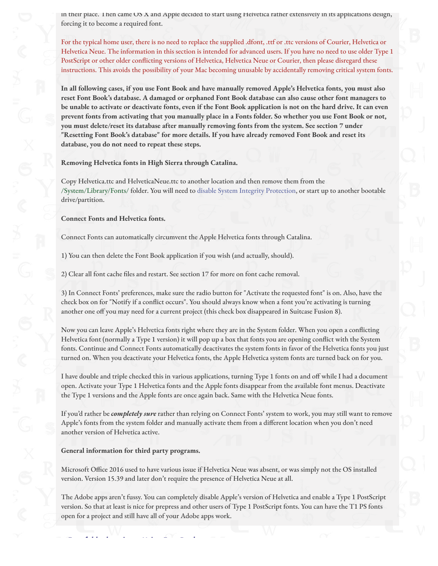in their place. I hen came OS X and Apple decided to start using Helvetica rather extensively in its applications design, forcing it to become a required font.

For the typical home user, there is no need to replace the supplied .dfont, .ttf or .ttc versions of Courier, Helvetica or Helvetica Neue. The information in this section is intended for advanced users. If you have no need to use older Type 1 PostScript or other older conflicting versions of Helvetica, Helvetica Neue or Courier, then please disregard these instructions. This avoids the possibility of your Mac becoming unusable by accidentally removing critical system fonts.

**In all following cases, if you use Font Book and have manually removed Apple's Helvetica fonts, you must also reset Font Book's database. A damaged or orphaned Font Book database can also cause other font managers to be unable to activate or deactivate fonts, even if the Font Book application is not on the hard drive. It can even prevent fonts from activating that you manually place in a Fonts folder. So whether you use Font Book or not, you must delete/reset its database after manually removing fonts from the system. See section 7 under "Resetting Font Book's database" for more details. If you have already removed Font Book and reset its database, you do not need to repeat these steps.**

**Removing Helvetica fonts in High Sierra through Catalina.**

Copy Helvetica.ttc and HelveticaNeue.ttc to another location and then remove them from the /System/Library/Fonts/ folder. You will need to [disable System Integrity Protection,](http://localhost:14444/page/7BE2F97D-1A4E-4E79-9B06-68B686847B24/#) or start up to another bootable drive/partition.

**Connect Fonts and Helvetica fonts.**

Connect Fonts can automatically circumvent the Apple Helvetica fonts through Catalina.

1) You can then delete the Font Book application if you wish (and actually, should).

2) Clear all font cache files and restart. See section 17 for more on font cache removal.

3) In Connect Fonts' preferences, make sure the radio button for "Activate the requested font" is on. Also, have the check box on for "Notify if a conflict occurs". You should always know when a font you're activating is turning another one off you may need for a current project (this check box disappeared in Suitcase Fusion 8).

Now you can leave Apple's Helvetica fonts right where they are in the System folder. When you open a conflicting Helvetica font (normally a Type 1 version) it will pop up a box that fonts you are opening conflict with the System fonts. Continue and Connect Fonts automatically deactivates the system fonts in favor of the Helvetica fonts you just turned on. When you deactivate your Helvetica fonts, the Apple Helvetica system fonts are turned back on for you.

I have double and triple checked this in various applications, turning Type 1 fonts on and off while I had a document open. Activate your Type 1 Helvetica fonts and the Apple fonts disappear from the available font menus. Deactivate the Type 1 versions and the Apple fonts are once again back. Same with the Helvetica Neue fonts.

If you'd rather be *completely sure* rather than relying on Connect Fonts' system to work, you may still want to remove Apple's fonts from the system folder and manually activate them from a different location when you don't need another version of Helvetica active.

**General information for third party programs.**

7. Font folder locations - Using Font Book

Microsoft Office 2016 used to have various issue if Helvetica Neue was absent, or was simply not the OS installed version. Version 15.39 and later don't require the presence of Helvetica Neue at all.

The Adobe apps aren't fussy. You can completely disable Apple's version of Helvetica and enable a Type 1 PostScript version. So that at least is nice for prepress and other users of Type 1 PostScript fonts. You can have the T1 PS fonts open for a project and still have all of your Adobe apps work.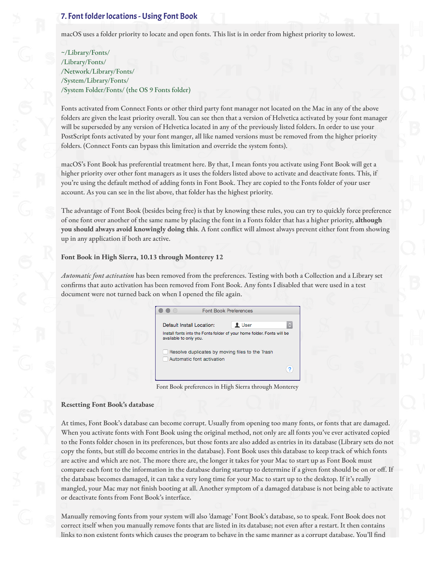# 7. Font folder locations - Using Font Book

macOS uses a folder priority to locate and open fonts. This list is in order from highest priority to lowest.

~/Library/Fonts/ /Library/Fonts/ /Network/Library/Fonts/ /System/Library/Fonts/ /System Folder/Fonts/ (the OS 9 Fonts folder)

Fonts activated from Connect Fonts or other third party font manager not located on the Mac in any of the above folders are given the least priority overall. You can see then that a version of Helvetica activated by your font manager will be superseded by any version of Helvetica located in any of the previously listed folders. In order to use your PostScript fonts activated by your font manger, all like named versions must be removed from the higher priority folders. (Connect Fonts can bypass this limitation and override the system fonts).

macOS's Font Book has preferential treatment here. By that, I mean fonts you activate using Font Book will get a higher priority over other font managers as it uses the folders listed above to activate and deactivate fonts. This, if you're using the default method of adding fonts in Font Book. They are copied to the Fonts folder of your user account. As you can see in the list above, that folder has the highest priority.

The advantage of Font Book (besides being free) is that by knowing these rules, you can try to quickly force preference of one font over another of the same name by placing the font in a Fonts folder that has a higher priority, **although you should always avoid knowingly doing this**. A font conflict will almost always prevent either font from showing up in any application if both are active.

### **Font Book in High Sierra, 10.13 through Monterey 12**

*Automatic font activation* has been removed from the preferences. Testing with both a Collection and a Library set confirms that auto activation has been removed from Font Book. Any fonts I disabled that were used in a test document were not turned back on when I opened the file again.



Font Book preferences in High Sierra through Monterey

#### **Resetting Font Book's database**

At times, Font Book's database can become corrupt. Usually from opening too many fonts, or fonts that are damaged. When you activate fonts with Font Book using the original method, not only are all fonts you've ever activated copied to the Fonts folder chosen in its preferences, but those fonts are also added as entries in its database (Library sets do not copy the fonts, but still do become entries in the database). Font Book uses this database to keep track of which fonts are active and which are not. The more there are, the longer it takes for your Mac to start up as Font Book must compare each font to the information in the database during startup to determine if a given font should be on or off. If the database becomes damaged, it can take a very long time for your Mac to start up to the desktop. If it's really mangled, your Mac may not finish booting at all. Another symptom of a damaged database is not being able to activate or deactivate fonts from Font Book's interface.

Manually removing fonts from your system will also 'damage' Font Book's database, so to speak. Font Book does not correct itself when you manually remove fonts that are listed in its database; not even after a restart. It then contains links to non existent fonts which causes the program to behave in the same manner as a corrupt database. You'll find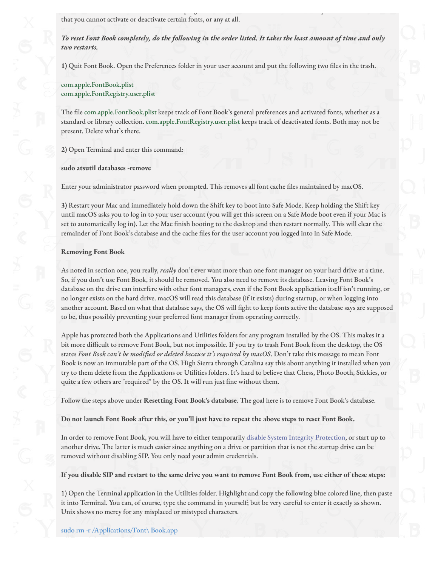that you cannot activate or deactivate certain fonts, or any at all.

*To reset Font Book completely, do the following in the order listed. It takes the least amount of time and only two restarts.*

 $\mathcal{L}$  is the program to behave in the program to behave in the same manner as a correct database. You il "non the same manner"  $\mathcal{L}$ 

**1)** Quit Font Book. Open the Preferences folder in your user account and put the following two "les in the trash.

com.apple.FontBook.plist com.apple.FontRegistry.user.plist

The file com.apple.FontBook.plist keeps track of Font Book's general preferences and activated fonts, whether as a standard or library collection. com.apple.FontRegistry.user.plist keeps track of deactivated fonts. Both may not be present. Delete what's there.

**2)** Open Terminal and enter this command:

**sudo atsutil databases -remove**

Enter your administrator password when prompted. This removes all font cache files maintained by macOS.

**3)** Restart your Mac and immediately hold down the Shift key to boot into Safe Mode. Keep holding the Shift key until macOS asks you to log in to your user account (you will get this screen on a Safe Mode boot even if your Mac is set to automatically log in). Let the Mac finish booting to the desktop and then restart normally. This will clear the remainder of Font Book's database and the cache files for the user account you logged into in Safe Mode.

#### **Removing Font Book**

As noted in section one, you really, *really* don't ever want more than one font manager on your hard drive at a time. So, if you don't use Font Book, it should be removed. You also need to remove its database. Leaving Font Book's database on the drive can interfere with other font managers, even if the Font Book application itself isn't running, or no longer exists on the hard drive. macOS will read this database (if it exists) during startup, or when logging into another account. Based on what that database says, the OS will fight to keep fonts active the database says are supposed to be, thus possibly preventing your preferred font manager from operating correctly.

Apple has protected both the Applications and Utilities folders for any program installed by the OS. This makes it a bit more difficult to remove Font Book, but not impossible. If you try to trash Font Book from the desktop, the OS states *Font Book can't be modified or deleted because it's required by macOS*. Don't take this message to mean Font Book is now an immutable part of the OS. High Sierra through Catalina say this about anything it installed when you try to them delete from the Applications or Utilities folders. It's hard to believe that Chess, Photo Booth, Stickies, or quite a few others are "required" by the OS. It will run just fine without them.

Follow the steps above under **Resetting Font Book's database**. The goal here is to remove Font Book's database.

**Do not launch Font Book after this, or you'll just have to repeat the above steps to reset Font Book.**

In order to remove Font Book, you will have to either temporarily [disable System Integrity Protection,](http://localhost:14444/page/7BE2F97D-1A4E-4E79-9B06-68B686847B24/#) or start up to another drive. The latter is much easier since anything on a drive or partition that is not the startup drive can be removed without disabling SIP. You only need your admin credentials.

**If you disable SIP and restart to the same drive you want to remove Font Book from, use either of these steps:**

1) Open the Terminal application in the Utilities folder. Highlight and copy the following blue colored line, then paste it into Terminal. You can, of course, type the command in yourself; but be very careful to enter it exactly as shown. Unix shows no mercy for any misplaced or mistyped characters.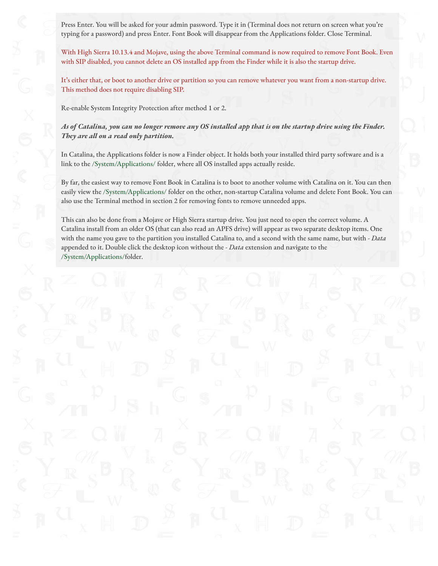Press Enter. You will be asked for your admin password. Type it in (Terminal does not return on screen what you're typing for a password) and press Enter. Font Book will disappear from the Applications folder. Close Terminal.

With High Sierra 10.13.4 and Mojave, using the above Terminal command is now required to remove Font Book. Even with SIP disabled, you cannot delete an OS installed app from the Finder while it is also the startup drive.

It's either that, or boot to another drive or partition so you can remove whatever you want from a non-startup drive. This method does not require disabling SIP.

Re-enable System Integrity Protection after method 1 or 2.

*As of Catalina, you can no longer remove any OS installed app that is on the startup drive using the Finder. They are all on a read only partition.*

In Catalina, the Applications folder is now a Finder object. It holds both your installed third party software and is a link to the /System/Applications/ folder, where all OS installed apps actually reside.

By far, the easiest way to remove Font Book in Catalina is to boot to another volume with Catalina on it. You can then easily view the /System/Applications/ folder on the other, non-startup Catalina volume and delete Font Book. You can also use the Terminal method in section 2 for removing fonts to remove unneeded apps.

This can also be done from a Mojave or High Sierra startup drive. You just need to open the correct volume. A Catalina install from an older OS (that can also read an APFS drive) will appear as two separate desktop items. One with the name you gave to the partition you installed Catalina to, and a second with the same name, but with *- Data* appended to it. Double click the desktop icon without the *- Data* extension and navigate to the /System/Applications/folder.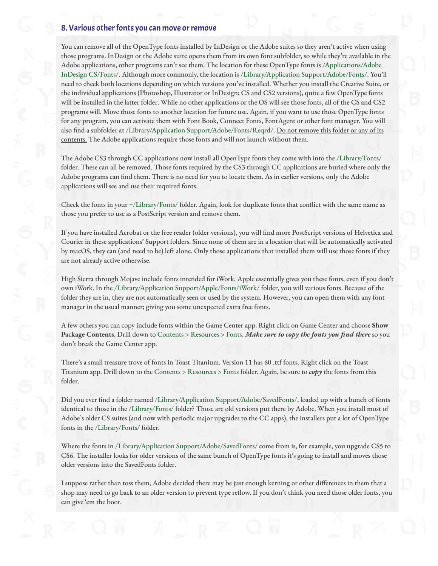### 8. Various other fonts you can move or remove

You can remove all of the OpenType fonts installed by InDesign or the Adobe suites so they aren't active when using those programs. InDesign or the Adobe suite opens them from its own font subfolder, so while they're available in the Adobe applications, other programs can't see them. The location for these OpenType fonts is /Applications/Adobe InDesign CS/Fonts/. Although more commonly, the location is /Library/Application Support/Adobe/Fonts/. You'll need to check both locations depending on which versions you've installed. Whether you install the Creative Suite, or the individual applications (Photoshop, Illustrator or InDesign; CS and CS2 versions), quite a few OpenType fonts will be installed in the latter folder. While no other applications or the OS will see those fonts, all of the CS and CS2 programs will. Move those fonts to another location for future use. Again, if you want to use those OpenType fonts for any program, you can activate them with Font Book, Connect Fonts, FontAgent or other font manager. You will also find a subfolder at /Library/Application Support/Adobe/Fonts/Reqrd/. Do not remove this folder or any of its contents. The Adobe applications require those fonts and will not launch without them.

The Adobe CS3 through CC applications now install all OpenType fonts they come with into the /Library/Fonts/ folder. These can all be removed. Those fonts required by the CS3 through CC applications are buried where only the Adobe programs can find them. There is no need for you to locate them. As in earlier versions, only the Adobe applications will see and use their required fonts.

Check the fonts in your ~/Library/Fonts/ folder. Again, look for duplicate fonts that conflict with the same name as those you prefer to use as a PostScript version and remove them.

If you have installed Acrobat or the free reader (older versions), you will find more PostScript versions of Helvetica and Courier in these applications' Support folders. Since none of them are in a location that will be automatically activated by macOS, they can (and need to be) left alone. Only those applications that installed them will use those fonts if they are not already active otherwise.

High Sierra through Mojave include fonts intended for iWork. Apple essentially gives you these fonts, even if you don't own iWork. In the /Library/Application Support/Apple/Fonts/iWork/ folder, you will various fonts. Because of the folder they are in, they are not automatically seen or used by the system. However, you can open them with any font manager in the usual manner; giving you some unexpected extra free fonts.

A few others you can copy include fonts within the Game Center app. Right click on Game Center and choose **Show Package Contents**. Drill down to Contents > Resources > Fonts. *Make sure to copy the fonts you find there* so you don't break the Game Center app.

There's a small treasure trove of fonts in Toast Titanium. Version 11 has 60 .ttf fonts. Right click on the Toast Titanium app. Drill down to the Contents > Resources > Fonts folder. Again, be sure to *copy* the fonts from this folder.

Did you ever find a folder named /Library/Application Support/Adobe/SavedFonts/, loaded up with a bunch of fonts identical to those in the /Library/Fonts/ folder? Those are old versions put there by Adobe. When you install most of Adobe's older CS suites (and now with periodic major upgrades to the CC apps), the installers put a lot of OpenType fonts in the /Library/Fonts/ folder.

Where the fonts in /Library/Application Support/Adobe/SavedFonts/ come from is, for example, you upgrade CS5 to CS6. The installer looks for older versions of the same bunch of OpenType fonts it's going to install and moves those older versions into the SavedFonts folder.

I suppose rather than toss them, Adobe decided there may be just enough kerning or other differences in them that a shop may need to go back to an older version to prevent type reflow. If you don't think you need those older fonts, you can give 'em the boot.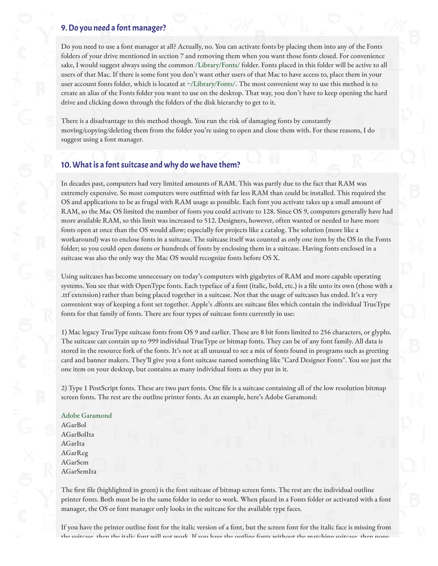### 9. Do you need a font manager?

Do you need to use a font manager at all? Actually, no. You can activate fonts by placing them into any of the Fonts folders of your drive mentioned in section 7 and removing them when you want those fonts closed. For convenience sake, I would suggest always using the common /Library/Fonts/ folder. Fonts placed in this folder will be active to all users of that Mac. If there is some font you don't want other users of that Mac to have access to, place them in your user account fonts folder, which is located at ~/Library/Fonts/. The most convenient way to use this method is to create an alias of the Fonts folder you want to use on the desktop. That way, you don't have to keep opening the hard drive and clicking down through the folders of the disk hierarchy to get to it.

There is a disadvantage to this method though. You run the risk of damaging fonts by constantly moving/copying/deleting them from the folder you're using to open and close them with. For these reasons, I do suggest using a font manager.

### 10. What is a font suitcase and why do we have them?

In decades past, computers had very limited amounts of RAM. This was partly due to the fact that RAM was extremely expensive. So most computers were outfitted with far less RAM than could be installed. This required the OS and applications to be as frugal with RAM usage as possible. Each font you activate takes up a small amount of RAM, so the Mac OS limited the number of fonts you could activate to 128. Since OS 9, computers generally have had more available RAM, so this limit was increased to 512. Designers, however, often wanted or needed to have more fonts open at once than the OS would allow; especially for projects like a catalog. The solution (more like a workaround) was to enclose fonts in a suitcase. The suitcase itself was counted as only one item by the OS in the Fonts folder; so you could open dozens or hundreds of fonts by enclosing them in a suitcase. Having fonts enclosed in a suitcase was also the only way the Mac OS would recognize fonts before OS X.

Using suitcases has become unnecessary on today's computers with gigabytes of RAM and more capable operating systems. You see that with OpenType fonts. Each typeface of a font (italic, bold, etc.) is a file unto its own (those with a .ttf extension) rather than being placed together in a suitcase. Not that the usage of suitcases has ended. It's a very convenient way of keeping a font set together. Apple's .dfonts are suitcase "les which contain the individual TrueType fonts for that family of fonts. There are four types of suitcase fonts currently in use:

1) Mac legacy TrueType suitcase fonts from OS 9 and earlier. These are 8 bit fonts limited to 256 characters, or glyphs. The suitcase can contain up to 999 individual TrueType or bitmap fonts. They can be of any font family. All data is stored in the resource fork of the fonts. It's not at all unusual to see a mix of fonts found in programs such as greeting card and banner makers. They'll give you a font suitcase named something like "Card Designer Fonts". You see just the one item on your desktop, but contains as many individual fonts as they put in it.

2) Type 1 PostScript fonts. These are two part fonts. One file is a suitcase containing all of the low resolution bitmap screen fonts. The rest are the outline printer fonts. As an example, here's Adobe Garamond:

Adobe Garamond AGarBol AGarBolIta AGarIta AGarReg AGarSem AGarSemIta

The first file (highlighted in green) is the font suitcase of bitmap screen fonts. The rest are the individual outline printer fonts. Both must be in the same folder in order to work. When placed in a Fonts folder or activated with a font manager, the OS or font manager only looks in the suitcase for the available type faces.

If you have the printer outline font for the italic version of a font, but the screen font for the italic face is missing from the suitcase, then the italic font will not work. If you have the outline fonts without the matching suitcase, then none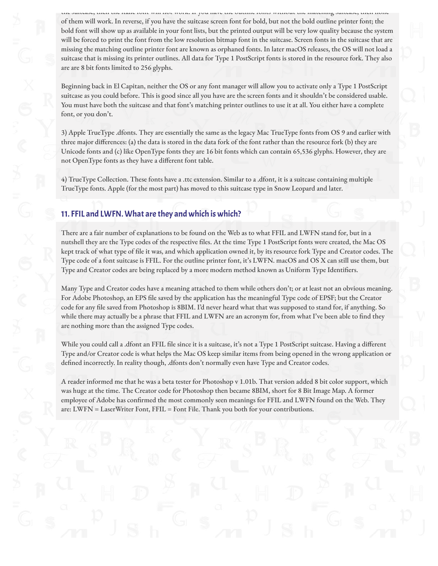the suitcase, then the italic font will not work. If you have the outline fonts without the matching suitcase, then none of them will work. In reverse, if you have the suitcase screen font for bold, but not the bold outline printer font; the bold font will show up as available in your font lists, but the printed output will be very low quality because the system will be forced to print the font from the low resolution bitmap font in the suitcase. Screen fonts in the suitcase that are missing the matching outline printer font are known as orphaned fonts. In later macOS releases, the OS will not load a suitcase that is missing its printer outlines. All data for Type 1 PostScript fonts is stored in the resource fork. They also are are 8 bit fonts limited to 256 glyphs.

Beginning back in El Capitan, neither the OS or any font manager will allow you to activate only a Type 1 PostScript suitcase as you could before. This is good since all you have are the screen fonts and it shouldn't be considered usable. You must have both the suitcase and that font's matching printer outlines to use it at all. You either have a complete font, or you don't.

3) Apple TrueType .dfonts. They are essentially the same as the legacy Mac TrueType fonts from OS 9 and earlier with three major differences: (a) the data is stored in the data fork of the font rather than the resource fork (b) they are Unicode fonts and (c) like OpenType fonts they are 16 bit fonts which can contain 65,536 glyphs. However, they are not OpenType fonts as they have a different font table.

4) TrueType Collection. These fonts have a .ttc extension. Similar to a .dfont, it is a suitcase containing multiple TrueType fonts. Apple (for the most part) has moved to this suitcase type in Snow Leopard and later.

# 11. FFIL and LWFN. What are they and which is which?

There are a fair number of explanations to be found on the Web as to what FFIL and LWFN stand for, but in a nutshell they are the Type codes of the respective files. At the time Type 1 PostScript fonts were created, the Mac OS kept track of what type of file it was, and which application owned it, by its resource fork Type and Creator codes. The Type code of a font suitcase is FFIL. For the outline printer font, it's LWFN. macOS and OS X can still use them, but Type and Creator codes are being replaced by a more modern method known as Uniform Type Identifiers.

Many Type and Creator codes have a meaning attached to them while others don't; or at least not an obvious meaning. For Adobe Photoshop, an EPS file saved by the application has the meaningful Type code of EPSF; but the Creator code for any "le saved from Photoshop is 8BIM. I'd never heard what that was supposed to stand for, if anything. So while there may actually be a phrase that FFIL and LWFN are an acronym for, from what I've been able to find they are nothing more than the assigned Type codes.

While you could call a .dfont an FFIL file since it is a suitcase, it's not a Type 1 PostScript suitcase. Having a different Type and/or Creator code is what helps the Mac OS keep similar items from being opened in the wrong application or defined incorrectly. In reality though, .dfonts don't normally even have Type and Creator codes.

A reader informed me that he was a beta tester for Photoshop v 1.01b. That version added 8 bit color support, which was huge at the time. The Creator code for Photoshop then became 8BIM, short for 8 Bit Image Map. A former employee of Adobe has confirmed the most commonly seen meanings for FFIL and LWFN found on the Web. They are: LWFN = LaserWriter Font, FFIL = Font File. Thank you both for your contributions.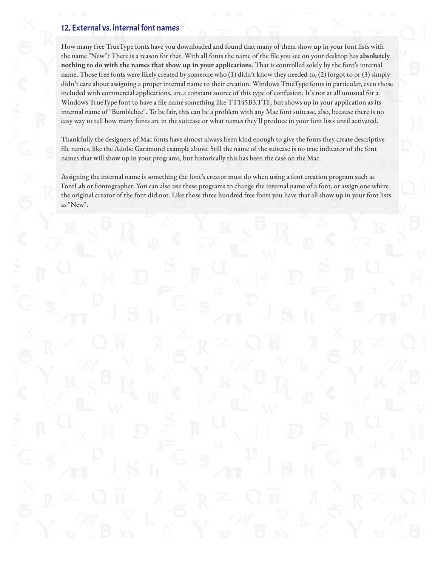# 12. External vs. internal font names

How many free TrueType fonts have you downloaded and found that many of them show up in your font lists with the name "New"? There is a reason for that. With all fonts the name of the "le you see on your desktop has **absolutely nothing to do with the names that show up in your applications**. That is controlled solely by the font's internal name. Those free fonts were likely created by someone who (1) didn't know they needed to, (2) forgot to or (3) simply didn't care about assigning a proper internal name to their creation. Windows TrueType fonts in particular, even those included with commercial applications, are a constant source of this type of confusion. It's not at all unusual for a Windows TrueType font to have a file name something like TT145B3.TTF, but shows up in your application as its internal name of "Bumblebee". To be fair, this can be a problem with any Mac font suitcase, also, because there is no easy way to tell how many fonts are in the suitcase or what names they'll produce in your font lists until activated.

Thankfully the designers of Mac fonts have almost always been kind enough to give the fonts they create descriptive file names, like the Adobe Garamond example above. Still the name of the suitcase is no true indicator of the font names that will show up in your programs, but historically this has been the case on the Mac.

Assigning the internal name is something the font's creator must do when using a font creation program such as FontLab or Fontographer. You can also use these programs to change the internal name of a font, or assign one where the original creator of the font did not. Like those three hundred free fonts you have that all show up in your font lists as "New".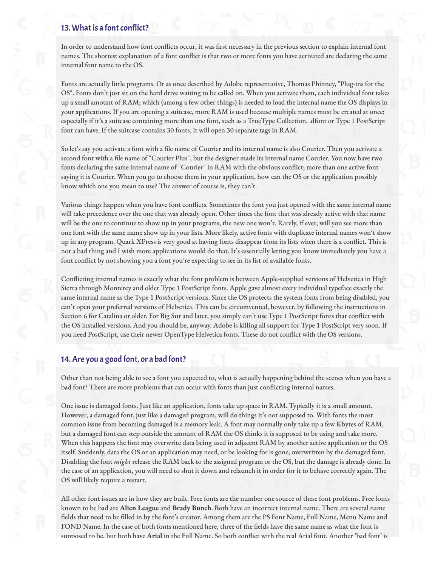# 13. What is a font conflict?

In order to understand how font conflicts occur, it was first necessary in the previous section to explain internal font names. The shortest explanation of a font conflict is that two or more fonts you have activated are declaring the same internal font name to the OS.

Fonts are actually little programs. Or as once described by Adobe representative, Thomas Phinney, "Plug-ins for the OS". Fonts don't just sit on the hard drive waiting to be called on. When you activate them, each individual font takes up a small amount of RAM; which (among a few other things) is needed to load the internal name the OS displays in your applications. If you are opening a suitcase, more RAM is used because multiple names must be created at once; especially if it's a suitcase containing more than one font, such as a TrueType Collection, .dfont or Type 1 PostScript font can have. If the suitcase contains 30 fonts, it will open 30 separate tags in RAM.

So let's say you activate a font with a file name of Courier and its internal name is also Courier. Then you activate a second font with a file name of "Courier Plus", but the designer made its internal name Courier. You now have two fonts declaring the same internal name of "Courier" in RAM with the obvious conflict; more than one active font saying it is Courier. When you go to choose them in your application, how can the OS or the application possibly know which one you mean to use? The answer of course is, they can't.

Various things happen when you have font conflicts. Sometimes the font you just opened with the same internal name will take precedence over the one that was already open. Other times the font that was already active with that name will be the one to continue to show up in your programs, the new one won't. Rarely, if ever, will you see more than one font with the same name show up in your lists. More likely, active fonts with duplicate internal names won't show up in any program. Quark XPress is very good at having fonts disappear from its lists when there is a conflict. This is not a bad thing and I wish more applications would do that. It's essentially letting you know immediately you have a font conflict by not showing you a font you're expecting to see in its list of available fonts.

Conflicting internal names is exactly what the font problem is between Apple-supplied versions of Helvetica in High Sierra through Monterey and older Type 1 PostScript fonts. Apple gave almost every individual typeface exactly the same internal name as the Type 1 PostScript versions. Since the OS protects the system fonts from being disabled, you can't open your preferred versions of Helvetica. This can be circumvented, however, by following the instructions in Section 6 for Catalina or older. For Big Sur and later, you simply can't use Type 1 PostScript fonts that conflict with the OS installed versions. And you should be, anyway. Adobe is killing all support for Type 1 PostScript very soon. If you need PostScript, use their newer OpenType Helvetica fonts. These do not conflict with the OS versions.

# 14. Are you a good font, or a bad font?

Other than not being able to see a font you expected to, what is actually happening behind the scenes when you have a bad font? There are more problems that can occur with fonts than just conflicting internal names.

One issue is damaged fonts. Just like an application, fonts take up space in RAM. Typically it is a small amount. However, a damaged font, just like a damaged program, will do things it's not supposed to. With fonts the most common issue from becoming damaged is a memory leak. A font may normally only take up a few Kbytes of RAM, but a damaged font can step outside the amount of RAM the OS thinks it is supposed to be using and take more. When this happens the font may overwrite data being used in adjacent RAM by another active application or the OS itself. Suddenly, data the OS or an application may need, or be looking for is gone; overwritten by the damaged font. Disabling the font *might* release the RAM back to the assigned program or the OS, but the damage is already done. In the case of an application, you will need to shut it down and relaunch it in order for it to behave correctly again. The OS will likely require a restart.

All other font issues are in how they are built. Free fonts are the number one source of these font problems. Free fonts known to be bad are **Alien League** and **Brady Bunch**. Both have an incorrect internal name. There are several name fields that need to be filled in by the font's creator. Among them are the PS Font Name, Full Name, Menu Name and FOND Name. In the case of both fonts mentioned here, three of the fields have the same name as what the font is supposed to be, but both have Arial in the Full Name. So both conflict with the real Arial font. Another 'bad font' is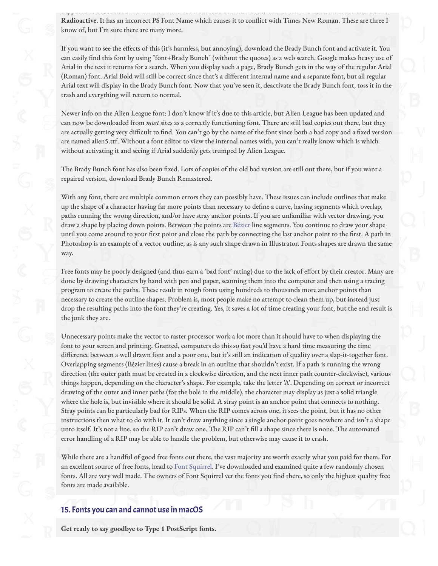If you want to see the effects of this (it's harmless, but annoying), download the Brady Bunch font and activate it. You can easily find this font by using "font+Brady Bunch" (without the quotes) as a web search. Google makes heavy use of Arial in the text it returns for a search. When you display such a page, Brady Bunch gets in the way of the regular Arial (Roman) font. Arial Bold will still be correct since that's a different internal name and a separate font, but all regular Arial text will display in the Brady Bunch font. Now that you've seen it, deactivate the Brady Bunch font, toss it in the trash and everything will return to normal.

Newer info on the Alien League font: I don't know if it's due to this article, but Alien League has been updated and can now be downloaded from *most* sites as a correctly functioning font. There are still bad copies out there, but they are actually getting very difficult to find. You can't go by the name of the font since both a bad copy and a fixed version are named alien5.ttf. Without a font editor to view the internal names with, you can't really know which is which without activating it and seeing if Arial suddenly gets trumped by Alien League.

The Brady Bunch font has also been fixed. Lots of copies of the old bad version are still out there, but if you want a repaired version, download Brady Bunch Remastered.

With any font, there are multiple common errors they can possibly have. These issues can include outlines that make up the shape of a character having far more points than necessary to define a curve, having segments which overlap, paths running the wrong direction, and/or have stray anchor points. If you are unfamiliar with vector drawing, you draw a shape by placing down points. Between the points are [Bézier](http://en.wikipedia.org/wiki/B%C3%A9zier_curve) line segments. You continue to draw your shape until you come around to your first point and close the path by connecting the last anchor point to the first. A path in Photoshop is an example of a vector outline, as is any such shape drawn in Illustrator. Fonts shapes are drawn the same way.

Free fonts may be poorly designed (and thus earn a 'bad font' rating) due to the lack of effort by their creator. Many are done by drawing characters by hand with pen and paper, scanning them into the computer and then using a tracing program to create the paths. These result in rough fonts using hundreds to thousands more anchor points than necessary to create the outline shapes. Problem is, most people make no attempt to clean them up, but instead just drop the resulting paths into the font they're creating. Yes, it saves a lot of time creating your font, but the end result is the junk they are.

Unnecessary points make the vector to raster processor work a lot more than it should have to when displaying the font to your screen and printing. Granted, computers do this so fast you'd have a hard time measuring the time difference between a well drawn font and a poor one, but it's still an indication of quality over a slap-it-together font. Overlapping segments (Bézier lines) cause a break in an outline that shouldn't exist. If a path is running the wrong direction (the outer path must be created in a clockwise direction, and the next inner path counter-clockwise), various things happen, depending on the character's shape. For example, take the letter 'A'. Depending on correct or incorrect drawing of the outer and inner paths (for the hole in the middle), the character may display as just a solid triangle where the hole is, but invisible where it should be solid. A stray point is an anchor point that connects to nothing. Stray points can be particularly bad for RIPs. When the RIP comes across one, it sees the point, but it has no other instructions then what to do with it. It can't draw anything since a single anchor point goes nowhere and isn't a shape unto itself. It's not a line, so the RIP can't draw one. The RIP can't fill a shape since there is none. The automated error handling of a RIP may be able to handle the problem, but otherwise may cause it to crash.

While there are a handful of good free fonts out there, the vast majority are worth exactly what you paid for them. For an excellent source of free fonts, head to [Font Squirrel](http://www.fontsquirrel.com/). I've downloaded and examined quite a few randomly chosen fonts. All are very well made. The owners of Font Squirrel vet the fonts you find there, so only the highest quality free fonts are made available.

# 15. Fonts you can and cannot use in macOS

**Get ready to say goodbye to Type 1 PostScript fonts.**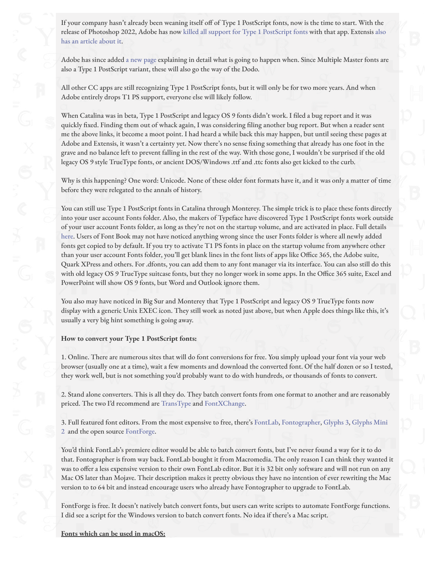If your company hasn't already been weaning itself off of Type 1 PostScript fonts, now is the time to start. With the [release of Photoshop 2022, Adobe has now](https://www.extensis.com/blog/how-to-prepare-for-photoshop-discontinuing-support-for-postscript-type-1-fonts?mkt_tok=eyJpIjoiWmpoaE1URTRaVE5rTURJNSIsInQiOiJtbk13aUdHc2NFdm9jWU5odGZZa2tqUmI5SWdFdktcLzZuNWR0UjN0cEJ4RHo5dTNIS3JZbWExaXdKQnpBWWYwVHM5TzVmNjFVbGc3VWJGSDRsTkxqOXZ0d0trWExxYmxWMWlCVWQ2Q3ZDRVJLOVBPczA0V0lyT2hEZER5aURTYWkifQ%3D%3D) [killed all support for Type 1 PostScript font](https://helpx.adobe.com/photoshop/kb/announcement-end-of-support-postscript-type-1-fonts.html)[s with that app. Extensis also](https://www.extensis.com/blog/how-to-prepare-for-photoshop-discontinuing-support-for-postscript-type-1-fonts?mkt_tok=eyJpIjoiWmpoaE1URTRaVE5rTURJNSIsInQiOiJtbk13aUdHc2NFdm9jWU5odGZZa2tqUmI5SWdFdktcLzZuNWR0UjN0cEJ4RHo5dTNIS3JZbWExaXdKQnpBWWYwVHM5TzVmNjFVbGc3VWJGSDRsTkxqOXZ0d0trWExxYmxWMWlCVWQ2Q3ZDRVJLOVBPczA0V0lyT2hEZER5aURTYWkifQ%3D%3D) has an article about it.

Adobe has since added [a new page](https://helpx.adobe.com/fonts/kb/postscript-type-1-fonts-end-of-support.html) explaining in detail what is going to happen when. Since Multiple Master fonts are also a Type 1 PostScript variant, these will also go the way of the Dodo.

All other CC apps are still recognizing Type 1 PostScript fonts, but it will only be for two more years. And when Adobe entirely drops T1 PS support, everyone else will likely follow.

When Catalina was in beta, Type 1 PostScript and legacy OS 9 fonts didn't work. I filed a bug report and it was quickly fixed. Finding them out of whack again, I was considering filing another bug report. But when a reader sent me the above links, it become a moot point. I had heard a while back this may happen, but until seeing these pages at Adobe and Extensis, it wasn't a certainty yet. Now there's no sense fixing something that already has one foot in the grave and no balance left to prevent falling in the rest of the way. With those gone, I wouldn't be surprised if the old legacy OS 9 style TrueType fonts, or ancient DOS/Windows .ttf and .ttc fonts also get kicked to the curb.

Why is this happening? One word: Unicode. None of these older font formats have it, and it was only a matter of time before they were relegated to the annals of history.

You can still use Type 1 PostScript fonts in Catalina through Monterey. The simple trick is to place these fonts directly into your user account Fonts folder. Also, the makers of Typeface have discovered Type 1 PostScript fonts work outside of your user account Fonts folder, as long as they're not on the startup volume, and are activated in place. Full details [here](https://typefaceapp.com/help/tips/postscript). Users of Font Book may not have noticed anything wrong since the user Fonts folder is where all newly added fonts get copied to by default. If you try to activate T1 PS fonts in place on the startup volume from anywhere other than your user account Fonts folder, you'll get blank lines in the font lists of apps like Office 365, the Adobe suite, Quark XPress and others. For .dfonts, you can add them to any font manager via its interface. You can also still do this with old legacy OS 9 TrueType suitcase fonts, but they no longer work in some apps. In the Office 365 suite, Excel and PowerPoint will show OS 9 fonts, but Word and Outlook ignore them.

You also may have noticed in Big Sur and Monterey that Type 1 PostScript and legacy OS 9 TrueType fonts now display with a generic Unix EXEC icon. They still work as noted just above, but when Apple does things like this, it's usually a very big hint something is going away.

### **How to convert your Type 1 PostScript fonts:**

1. Online. There are numerous sites that will do font conversions for free. You simply upload your font via your web browser (usually one at a time), wait a few moments and download the converted font. Of the half dozen or so I tested, they work well, but is not something you'd probably want to do with hundreds, or thousands of fonts to convert.

2. Stand alone converters. This is all they do. They batch convert fonts from one format to another and are reasonably priced. The two I'd recommend are [TransType](https://www.fontlab.com/font-converter/transtype/) and [FontXChange](http://fontgear.com/fontxchange.html).

[3. Full featured font editors. From the most expensive to free, there's F](https://glyphsapp.com/news/glyphs-mini-2)[ontLa](https://www.fontlab.com/font-editor/fontlab/)[b, F](https://glyphsapp.com/news/glyphs-mini-2)[ontographer](https://www.fontlab.com/font-editor/fontographer/)[,](https://glyphsapp.com/news/glyphs-mini-2) [Glyphs 3](https://glyphsapp.com/)[, Glyphs Mini](https://glyphsapp.com/news/glyphs-mini-2) 2 and the open source [FontForge](https://fontforge.org/en-US/).

You'd think FontLab's premiere editor would be able to batch convert fonts, but I've never found a way for it to do that. Fontographer is from way back. FontLab bought it from Macromedia. The only reason I can think they wanted it was to offer a less expensive version to their own FontLab editor. But it is 32 bit only software and will not run on any Mac OS later than Mojave. Their description makes it pretty obvious they have no intention of ever rewriting the Mac version to to 64 bit and instead encourage users who already have Fontographer to upgrade to FontLab.

FontForge is free. It doesn't natively batch convert fonts, but users can write scripts to automate FontForge functions. I did see a script for the Windows version to batch convert fonts. No idea if there's a Mac script.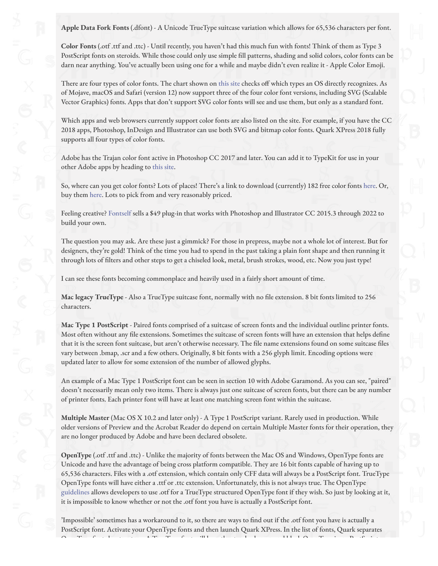**Apple Data Fork Fonts** (.dfont) - A Unicode TrueType suitcase variation which allows for 65,536 characters per font.

**Color Fonts** (.otf .ttf and .ttc) - Until recently, you haven't had this much fun with fonts! Think of them as Type 3 PostScript fonts on steroids. While those could only use simple fill patterns, shading and solid colors, color fonts can be darn near anything. You've actually been using one for a while and maybe didn't even realize it - Apple Color Emoji.

There are four types of color fonts. The chart shown on [this site](https://www.colorfonts.wtf/) checks off which types an OS directly recognizes. As of Mojave, macOS and Safari (version 12) now support three of the four color font versions, including SVG (Scalable Vector Graphics) fonts. Apps that don't support SVG color fonts will see and use them, but only as a standard font.

Which apps and web browsers currently support color fonts are also listed on the site. For example, if you have the CC 2018 apps, Photoshop, InDesign and Illustrator can use both SVG and bitmap color fonts. Quark XPress 2018 fully supports all four types of color fonts.

Adobe has the Trajan color font active in Photoshop CC 2017 and later. You can add it to TypeKit for use in your other Adobe apps by heading to [this site](https://typekit.com/fonts/trajan-color).

So, where can you get color fonts? Lots of places! There's a link to download (currently) 182 free color fonts [here](http://www.fontspace.com/category/color). Or, buy them [here](https://creativemarket.com/fontself/collections/359610/Color-fonts-made-with-Fontself?u=fontself&utm_source=Twitter&utm_medium=CM+Social+Share&utm_campaign=User+Collection+Social+Share&utm_content=Color+fonts+made+with+Fontself). Lots to pick from and very reasonably priced.

Feeling creative? [Fontself](https://www.fontself.com/) sells a \$49 plug-in that works with Photoshop and Illustrator CC 2015.3 through 2022 to build your own.

The question you may ask. Are these just a gimmick? For those in prepress, maybe not a whole lot of interest. But for designers, they're gold! Think of the time you had to spend in the past taking a plain font shape and then running it through lots of filters and other steps to get a chiseled look, metal, brush strokes, wood, etc. Now you just type!

I can see these fonts becoming commonplace and heavily used in a fairly short amount of time.

**Mac legacy TrueType** - Also a TrueType suitcase font, normally with no file extension. 8 bit fonts limited to 256 characters.

**Mac Type 1 PostScript** - Paired fonts comprised of a suitcase of screen fonts and the individual outline printer fonts. Most often without any file extensions. Sometimes the suitcase of screen fonts will have an extension that helps define that it is the screen font suitcase, but aren't otherwise necessary. The file name extensions found on some suitcase files vary between .bmap, .scr and a few others. Originally, 8 bit fonts with a 256 glyph limit. Encoding options were updated later to allow for some extension of the number of allowed glyphs.

An example of a Mac Type 1 PostScript font can be seen in section 10 with Adobe Garamond. As you can see, "paired" doesn't necessarily mean only two items. There is always just one suitcase of screen fonts, but there can be any number of printer fonts. Each printer font will have at least one matching screen font within the suitcase.

**Multiple Master** (Mac OS X 10.2 and later only) - A Type 1 PostScript variant. Rarely used in production. While older versions of Preview and the Acrobat Reader do depend on certain Multiple Master fonts for their operation, they are no longer produced by Adobe and have been declared obsolete.

**OpenType** (.otf .ttf and .ttc) - Unlike the majority of fonts between the Mac OS and Windows, OpenType fonts are Unicode and have the advantage of being cross platform compatible. They are 16 bit fonts capable of having up to 65,536 characters. Files with a .otf extension, which contain only CFF data will always be a PostScript font. TrueType OpenType fonts will have either a .ttf or .ttc extension. Unfortunately, this is not always true. The OpenType [guidelines](https://www.microsoft.com/typography/otspec/otff.htm) allows developers to use .otf for a TrueType structured OpenType font if they wish. So just by looking at it, it is impossible to know whether or not the .otf font you have is actually a PostScript font.

'Impossible' sometimes has a workaround to it, so there are ways to "nd out if the .otf font you have is actually a PostScript font. Activate your OpenType fonts and then launch Quark XPress. In the list of fonts, Quark separates OpenType fonts by structure. A TrueType font will have the standard green and black OpenType icon. PostScript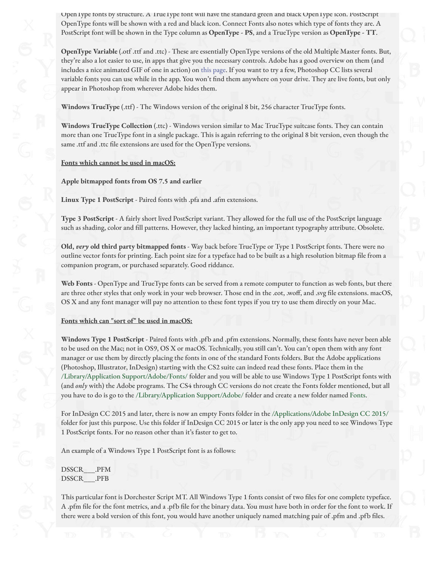Open Iype fonts by structure. A Irue Iype font will have the standard green and black Open Iype icon. PostScript OpenType fonts will be shown with a red and black icon. Connect Fonts also notes which type of fonts they are. A PostScript font will be shown in the Type column as **OpenType - PS**, and a TrueType version as **OpenType - TT**.

**OpenType Variable** (.otf .ttf and .ttc) - These are essentially OpenType versions of the old Multiple Master fonts. But, they're also a lot easier to use, in apps that give you the necessary controls. Adobe has a good overview on them (and includes a nice animated GIF of one in action) on [this page.](https://blog.typekit.com/2017/10/19/new-variable-fonts-from-adobe-originals/) If you want to try a few, Photoshop CC lists several variable fonts you can use while in the app. You won't find them anywhere on your drive. They are live fonts, but only appear in Photoshop from wherever Adobe hides them.

**Windows TrueType** (.ttf) - The Windows version of the original 8 bit, 256 character TrueType fonts.

**Windows TrueType Collection** (.ttc) - Windows version similar to Mac TrueType suitcase fonts. They can contain more than one TrueType font in a single package. This is again referring to the original 8 bit version, even though the same .ttf and .ttc file extensions are used for the OpenType versions.

#### **Fonts which cannot be used in macOS:**

**Apple bitmapped fonts from OS 7.5 and earlier**

**Linux Type 1 PostScript** - Paired fonts with .pfa and .afm extensions.

**Type 3 PostScript** - A fairly short lived PostScript variant. They allowed for the full use of the PostScript language such as shading, color and fill patterns. However, they lacked hinting, an important typography attribute. Obsolete.

**Old,** *very* **old third party bitmapped fonts** - Way back before TrueType or Type 1 PostScript fonts. There were no outline vector fonts for printing. Each point size for a typeface had to be built as a high resolution bitmap file from a companion program, or purchased separately. Good riddance.

**Web Fonts** - OpenType and TrueType fonts can be served from a remote computer to function as web fonts, but there are three other styles that only work in your web browser. Those end in the .eot, .woff, and .svg file extensions. macOS, OS X and any font manager will pay no attention to these font types if you try to use them directly on your Mac.

#### **Fonts which can "sort of" be used in macOS:**

**Windows Type 1 PostScript** - Paired fonts with .pfb and .pfm extensions. Normally, these fonts have never been able to be used on the Mac; not in OS9, OS X or macOS. Technically, you still can't. You can't open them with any font manager or use them by directly placing the fonts in one of the standard Fonts folders. But the Adobe applications (Photoshop, Illustrator, InDesign) starting with the CS2 suite can indeed read these fonts. Place them in the /Library/Application Support/Adobe/Fonts/ folder and you will be able to use Windows Type 1 PostScript fonts with (and *only* with) the Adobe programs. The CS4 through CC versions do not create the Fonts folder mentioned, but all you have to do is go to the /Library/Application Support/Adobe/ folder and create a new folder named Fonts.

For InDesign CC 2015 and later, there is now an empty Fonts folder in the /Applications/Adobe InDesign CC 2015/ folder for just this purpose. Use this folder if InDesign CC 2015 or later is the only app you need to see Windows Type 1 PostScript fonts. For no reason other than it's faster to get to.

An example of a Windows Type 1 PostScript font is as follows:

DSSCR\_\_\_.PFM DSSCR\_\_\_.PFB

This particular font is Dorchester Script MT. All Windows Type 1 fonts consist of two files for one complete typeface. A .pfm file for the font metrics, and a .pfb file for the binary data. You must have both in order for the font to work. If there were a bold version of this font, you would have another uniquely named matching pair of .pfm and .pfb files.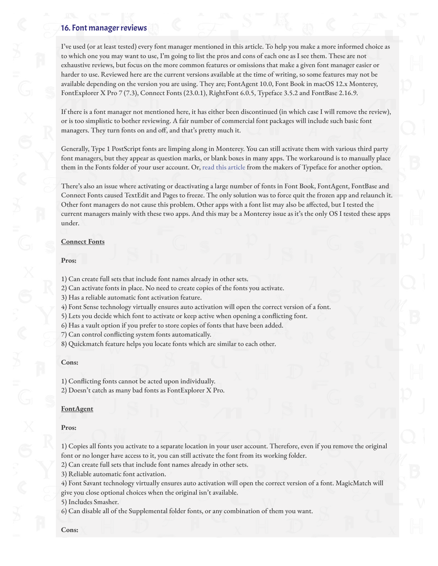### 16. Font manager reviews

I've used (or at least tested) every font manager mentioned in this article. To help you make a more informed choice as to which one you may want to use, I'm going to list the pros and cons of each one as I see them. These are not exhaustive reviews, but focus on the more common features or omissions that make a given font manager easier or harder to use. Reviewed here are the current versions available at the time of writing, so some features may not be available depending on the version you are using. They are; FontAgent 10.0, Font Book in macOS 12.x Monterey, FontExplorer X Pro 7 (7.3), Connect Fonts (23.0.1), RightFont 6.0.5, Typeface 3.5.2 and FontBase 2.16.9.

If there is a font manager not mentioned here, it has either been discontinued (in which case I will remove the review), or is too simplistic to bother reviewing. A fair number of commercial font packages will include such basic font managers. They turn fonts on and off, and that's pretty much it.

Generally, Type 1 PostScript fonts are limping along in Monterey. You can still activate them with various third party font managers, but they appear as question marks, or blank boxes in many apps. The workaround is to manually place them in the Fonts folder of your user account. Or, [read this article](https://typefaceapp.com/help/tips/postscript) from the makers of Typeface for another option.

There's also an issue where activating or deactivating a large number of fonts in Font Book, FontAgent, FontBase and Connect Fonts caused TextEdit and Pages to freeze. The only solution was to force quit the frozen app and relaunch it. Other font managers do not cause this problem. Other apps with a font list may also be affected, but I tested the current managers mainly with these two apps. And this may be a Monterey issue as it's the only OS I tested these apps under.

### **Connect Fonts**

### **Pros:**

1) Can create full sets that include font names already in other sets.

2) Can activate fonts in place. No need to create copies of the fonts you activate.

3) Has a reliable automatic font activation feature.

4) Font Sense technology virtually ensures auto activation will open the correct version of a font.

5) Lets you decide which font to activate or keep active when opening a conflicting font.

6) Has a vault option if you prefer to store copies of fonts that have been added.

7) Can control conflicting system fonts automatically.

8) Quickmatch feature helps you locate fonts which are similar to each other.

### **Cons:**

1) Conflicting fonts cannot be acted upon individually.

2) Doesn't catch as many bad fonts as FontExplorer X Pro.

### **FontAgent**

### **Pros:**

1) Copies all fonts you activate to a separate location in your user account. Therefore, even if you remove the original font or no longer have access to it, you can still activate the font from its working folder.

2) Can create full sets that include font names already in other sets.

3) Reliable automatic font activation.

4) Font Savant technology virtually ensures auto activation will open the correct version of a font. MagicMatch will give you close optional choices when the original isn't available.

5) Includes Smasher.

6) Can disable all of the Supplemental folder fonts, or any combination of them you want.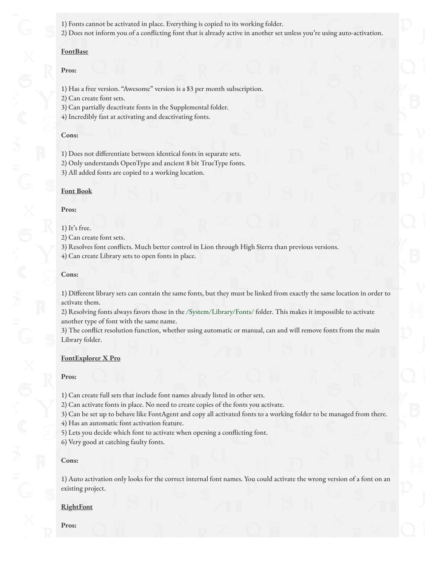1) Fonts cannot be activated in place. Everything is copied to its working folder.

2) Does not inform you of a conflicting font that is already active in another set unless you're using auto-activation.

#### **FontBase**

### **Pros:**

1) Has a free version. "Awesome" version is a \$3 per month subscription.

2) Can create font sets.

3) Can partially deactivate fonts in the Supplemental folder.

4) Incredibly fast at activating and deactivating fonts.

### **Cons:**

1) Does not differentiate between identical fonts in separate sets.

2) Only understands OpenType and ancient 8 bit TrueType fonts.

3) All added fonts are copied to a working location.

### **Font Book**

### **Pros:**

### 1) It's free.

2) Can create font sets.

3) Resolves font conflicts. Much better control in Lion through High Sierra than previous versions.

4) Can create Library sets to open fonts in place.

### **Cons:**

1) Different library sets can contain the same fonts, but they must be linked from exactly the same location in order to activate them.

2) Resolving fonts always favors those in the /System/Library/Fonts/ folder. This makes it impossible to activate another type of font with the same name.

3) The conflict resolution function, whether using automatic or manual, can and will remove fonts from the main Library folder.

### **FontExplorer X Pro**

### **Pros:**

1) Can create full sets that include font names already listed in other sets.

2) Can activate fonts in place. No need to create copies of the fonts you activate.

3) Can be set up to behave like FontAgent and copy all activated fonts to a working folder to be managed from there.

4) Has an automatic font activation feature.

5) Lets you decide which font to activate when opening a conflicting font.

6) Very good at catching faulty fonts.

### **Cons:**

1) Auto activation only looks for the correct internal font names. You could activate the wrong version of a font on an existing project.

### **RightFont**

**Pros:**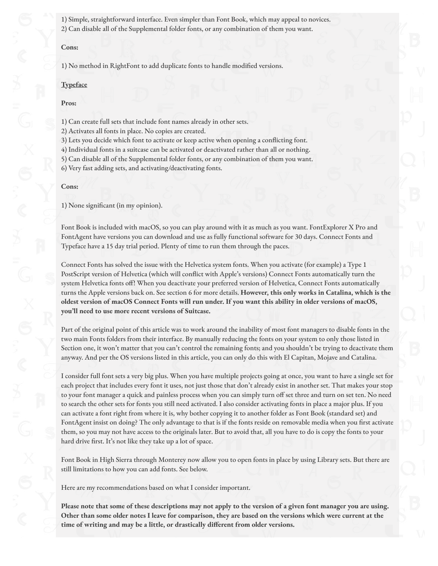1) Simple, straightforward interface. Even simpler than Font Book, which may appeal to novices. 2) Can disable all of the Supplemental folder fonts, or any combination of them you want.

### **Cons:**

1) No method in RightFont to add duplicate fonts to handle modified versions.

#### **Typeface**

#### **Pros:**

1) Can create full sets that include font names already in other sets.

2) Activates all fonts in place. No copies are created.

3) Lets you decide which font to activate or keep active when opening a conflicting font.

4) Individual fonts in a suitcase can be activated or deactivated rather than all or nothing.

5) Can disable all of the Supplemental folder fonts, or any combination of them you want. 6) Very fast adding sets, and activating/deactivating fonts.

#### **Cons:**

1) None significant (in my opinion).

Font Book is included with macOS, so you can play around with it as much as you want. FontExplorer X Pro and FontAgent have versions you can download and use as fully functional software for 30 days. Connect Fonts and Typeface have a 15 day trial period. Plenty of time to run them through the paces.

Connect Fonts has solved the issue with the Helvetica system fonts. When you activate (for example) a Type 1 PostScript version of Helvetica (which will conflict with Apple's versions) Connect Fonts automatically turn the system Helvetica fonts off! When you deactivate your preferred version of Helvetica, Connect Fonts automatically turns the Apple versions back on. See section 6 for more details. **However, this only works in Catalina, which is the oldest version of macOS Connect Fonts will run under. If you want this ability in older versions of macOS, you'll need to use more recent versions of Suitcase.**

Part of the original point of this article was to work around the inability of most font managers to disable fonts in the two main Fonts folders from their interface. By manually reducing the fonts on your system to only those listed in Section one, it won't matter that you can't control the remaining fonts; and you shouldn't be trying to deactivate them anyway. And per the OS versions listed in this article, you can only do this with El Capitan, Mojave and Catalina.

I consider full font sets a very big plus. When you have multiple projects going at once, you want to have a single set for each project that includes every font it uses, not just those that don't already exist in another set. That makes your stop to your font manager a quick and painless process when you can simply turn off set three and turn on set ten. No need to search the other sets for fonts you still need activated. I also consider activating fonts in place a major plus. If you can activate a font right from where it is, why bother copying it to another folder as Font Book (standard set) and FontAgent insist on doing? The only advantage to that is if the fonts reside on removable media when you first activate them, so you may not have access to the originals later. But to avoid that, all you have to do is copy the fonts to your hard drive first. It's not like they take up a lot of space.

Font Book in High Sierra through Monterey now allow you to open fonts in place by using Library sets. But there are still limitations to how you can add fonts. See below.

Here are my recommendations based on what I consider important.

**Please note that some of these descriptions may not apply to the version of a given font manager you are using. Other than some older notes I leave for comparison, they are based on the versions which were current at the** time of writing and may be a little, or drastically different from older versions.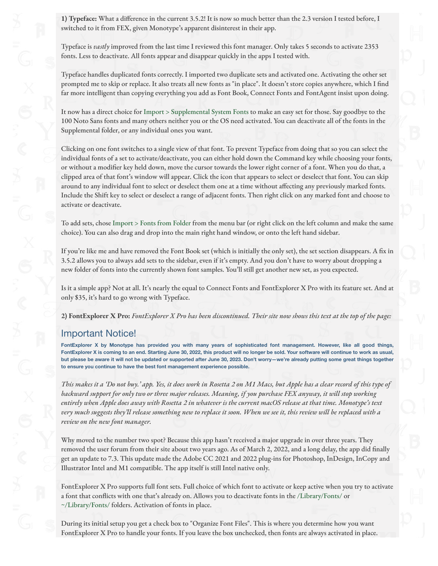**1) Typeface:** What a difference in the current 3.5.2! It is now so much better than the 2.3 version I tested before, I switched to it from FEX, given Monotype's apparent disinterest in their app.

Typeface is *vastly* improved from the last time I reviewed this font manager. Only takes 5 seconds to activate 2353 fonts. Less to deactivate. All fonts appear and disappear quickly in the apps I tested with.

Typeface handles duplicated fonts correctly. I imported two duplicate sets and activated one. Activating the other set prompted me to skip or replace. It also treats all new fonts as "in place". It doesn't store copies anywhere, which I find far more intelligent than copying everything you add as Font Book, Connect Fonts and FontAgent insist upon doing.

It now has a direct choice for Import > Supplemental System Fonts to make an easy set for those. Say goodbye to the 100 Noto Sans fonts and many others neither you or the OS need activated. You can deactivate all of the fonts in the Supplemental folder, or any individual ones you want.

Clicking on one font switches to a single view of that font. To prevent Typeface from doing that so you can select the individual fonts of a set to activate/deactivate, you can either hold down the Command key while choosing your fonts, or without a modifier key held down, move the cursor towards the lower right corner of a font. When you do that, a clipped area of that font's window will appear. Click the icon that appears to select or deselect that font. You can skip around to any individual font to select or deselect them one at a time without affecting any previously marked fonts. Include the Shift key to select or deselect a range of adjacent fonts. Then right click on any marked font and choose to activate or deactivate.

To add sets, chose Import > Fonts from Folder from the menu bar (or right click on the left column and make the same choice). You can also drag and drop into the main right hand window, or onto the left hand sidebar.

If you're like me and have removed the Font Book set (which is initially the only set), the set section disappears. A fix in 3.5.2 allows you to always add sets to the sidebar, even if it's empty. And you don't have to worry about dropping a new folder of fonts into the currently shown font samples. You'll still get another new set, as you expected.

Is it a simple app? Not at all. It's nearly the equal to Connect Fonts and FontExplorer X Pro with its feature set. And at only \$35, it's hard to go wrong with Typeface.

**2) FontExplorer X Pro:** *FontExplorer X Pro has been discontinued. Their site now shows this text at the top of the page:*

# Important Notice!

**FontExplorer X by Monotype has provided you with many years of sophisticated font management. However, like all good things, FontExplorer X is coming to an end. Starting June 30, 2022, this product will no longer be sold. Your software will continue to work as usual, but please be aware it will not be updated or supported after June 30, 2023. Don't worry—we're already putting some great things together to ensure you continue to have the best font management experience possible.**

*This makes it a 'Do not buy.' app. Yes, it does work in Rosetta 2 on M1 Macs, but Apple has a clear record of this type of backward support for only two or three major releases. Meaning, if you purchase FEX anyway, it will stop working entirely when Apple does away with Rosetta 2 in whatever is the current macOS release at that time. Monotype's text very much suggests they'll release something new to replace it soon. When we see it, this review will be replaced with a review on the new font manager.*

Why moved to the number two spot? Because this app hasn't received a major upgrade in over three years. They removed the user forum from their site about two years ago. As of March 2, 2022, and a long delay, the app did finally get an update to 7.3. This update made the Adobe CC 2021 and 2022 plug-ins for Photoshop, InDesign, InCopy and Illustrator Intel and M1 compatible. The app itself is still Intel native only.

FontExplorer X Pro supports full font sets. Full choice of which font to activate or keep active when you try to activate a font that conflicts with one that's already on. Allows you to deactivate fonts in the /Library/Fonts/ or ~/Library/Fonts/ folders. Activation of fonts in place.

During its initial setup you get a check box to "Organize Font Files". This is where you determine how you want FontExplorer X Pro to handle your fonts. If you leave the box unchecked, then fonts are always activated in place.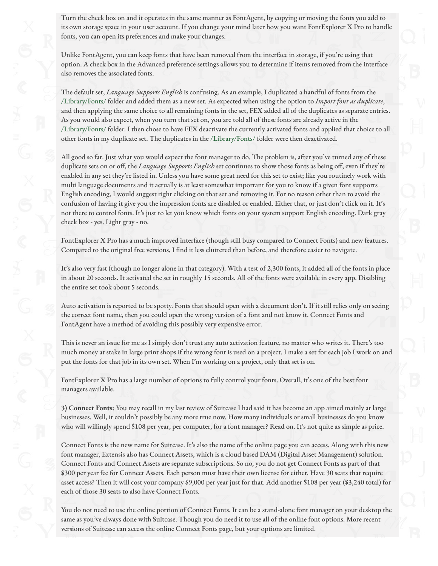Turn the check box on and it operates in the same manner as FontAgent, by copying or moving the fonts you add to its own storage space in your user account. If you change your mind later how you want FontExplorer X Pro to handle fonts, you can open its preferences and make your changes.

Unlike FontAgent, you can keep fonts that have been removed from the interface in storage, if you're using that option. A check box in the Advanced preference settings allows you to determine if items removed from the interface also removes the associated fonts.

The default set, *Language Supports English* is confusing. As an example, I duplicated a handful of fonts from the /Library/Fonts/ folder and added them as a new set. As expected when using the option to *Import font as duplicate*, and then applying the same choice to all remaining fonts in the set, FEX added all of the duplicates as separate entries. As you would also expect, when you turn that set on, you are told all of these fonts are already active in the /Library/Fonts/ folder. I then chose to have FEX deactivate the currently activated fonts and applied that choice to all other fonts in my duplicate set. The duplicates in the /Library/Fonts/ folder were then deactivated.

All good so far. Just what you would expect the font manager to do. The problem is, after you've turned any of these duplicate sets on or off, the *Language Supports English* set continues to show those fonts as being off, even if they're enabled in any set they're listed in. Unless you have some great need for this set to exist; like you routinely work with multi language documents and it actually is at least somewhat important for you to know if a given font supports English encoding, I would suggest right clicking on that set and removing it. For no reason other than to avoid the confusion of having it give you the impression fonts are disabled or enabled. Either that, or just don't click on it. It's not there to control fonts. It's just to let you know which fonts on your system support English encoding. Dark gray check box - yes. Light gray - no.

FontExplorer X Pro has a much improved interface (though still busy compared to Connect Fonts) and new features. Compared to the original free versions, I find it less cluttered than before, and therefore easier to navigate.

It's also very fast (though no longer alone in that category). With a test of 2,300 fonts, it added all of the fonts in place in about 20 seconds. It activated the set in roughly 15 seconds. All of the fonts were available in every app. Disabling the entire set took about 5 seconds.

Auto activation is reported to be spotty. Fonts that should open with a document don't. If it still relies only on seeing the correct font name, then you could open the wrong version of a font and not know it. Connect Fonts and FontAgent have a method of avoiding this possibly very expensive error.

This is never an issue for me as I simply don't trust any auto activation feature, no matter who writes it. There's too much money at stake in large print shops if the wrong font is used on a project. I make a set for each job I work on and put the fonts for that job in its own set. When I'm working on a project, only that set is on.

FontExplorer X Pro has a large number of options to fully control your fonts. Overall, it's one of the best font managers available.

**3) Connect Fonts:** You may recall in my last review of Suitcase I had said it has become an app aimed mainly at large businesses. Well, it couldn't possibly be any more true now. How many individuals or small businesses do you know who will willingly spend \$108 per year, per computer, for a font manager? Read on. It's not quite as simple as price.

Connect Fonts is the new name for Suitcase. It's also the name of the online page you can access. Along with this new font manager, Extensis also has Connect Assets, which is a cloud based DAM (Digital Asset Management) solution. Connect Fonts and Connect Assets are separate subscriptions. So no, you do not get Connect Fonts as part of that \$300 per year fee for Connect Assets. Each person must have their own license for either. Have 30 seats that require asset access? Then it will cost your company \$9,000 per year just for that. Add another \$108 per year (\$3,240 total) for each of those 30 seats to also have Connect Fonts.

You do not need to use the online portion of Connect Fonts. It can be a stand-alone font manager on your desktop the same as you've always done with Suitcase. Though you do need it to use all of the online font options. More recent versions of Suitcase can access the online Connect Fonts page, but your options are limited.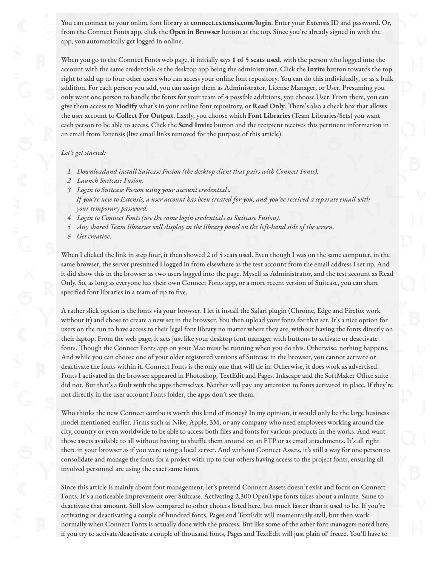You can connect to your online font library at **connect.extensis.com/login**. Enter your Extensis ID and password. Or, from the Connect Fonts app, click the **Open in Browser** button at the top. Since you're already signed in with the app, you automatically get logged in online.

When you go to the Connect Fonts web page, it initially says **1 of 5 seats used**, with the person who logged into the account with the same credentials as the desktop app being the administrator. Click the **Invite** button towards the top right to add up to four other users who can access your online font repository. You can do this individually, or as a bulk addition. For each person you add, you can assign them as Administrator, License Manager, or User. Presuming you only want one person to handle the fonts for your team of 4 possible additions, you choose User. From there, you can give them access to **Modify** what's in your online font repository, or **Read Only**. There's also a check box that allows the user account to **Collect For Output**. Lastly, you choose which **Font Libraries** (Team Libraries/Sets) you want each person to be able to access. Click the **Send Invite** button and the recipient receives this pertinent information in an email from Extensis (live email links removed for the purpose of this article):

### *Let's get started:*

- *1 Downloadand install Suitcase Fusion (the desktop client that pairs with Connect Fonts).*
- *2 Launch Suitcase Fusion.*
- *3 Login to Suitcase Fusion using your account credentials. If you're new to Extensis, a user account has been created for you, and you've received a separate email with your temporary password.*
- *4 Login to Connect Fonts (use the same login credentials as Suitcase Fusion).*
- *5 Any shared Team libraries will display in the library panel on the left-hand side of the screen.*
- *6 Get creative.*

When I clicked the link in step four, it then showed 2 of 5 seats used. Even though I was on the same computer, in the same browser, the server presumed I logged in from elsewhere as the test account from the email address I set up. And it did show this in the browser as two users logged into the page. Myself as Administrator, and the test account as Read Only. So, as long as everyone has their own Connect Fonts app, or a more recent version of Suitcase, you can share specified font libraries in a team of up to five.

A rather slick option is the fonts via your browser. I let it install the Safari plugin (Chrome, Edge and Firefox work without it) and chose to create a new set in the browser. You then upload your fonts for that set. It's a nice option for users on the run to have access to their legal font library no matter where they are, without having the fonts directly on their laptop. From the web page, it acts just like your desktop font manager with buttons to activate or deactivate fonts. Though the Connect Fonts app on your Mac must be running when you do this. Otherwise, nothing happens. And while you can choose one of your older registered versions of Suitcase in the browser, you cannot activate or deactivate the fonts within it. Connect Fonts is the only one that will tie in. Otherwise, it does work as advertised. Fonts I activated in the browser appeared in Photoshop, TextEdit and Pages. Inkscape and the SoftMaker Office suite did not. But that's a fault with the apps themselves. Neither will pay any attention to fonts activated in place. If they're not directly in the user account Fonts folder, the apps don't see them.

Who thinks the new Connect combo is worth this kind of money? In my opinion, it would only be the large business model mentioned earlier. Firms such as Nike, Apple, 3M, or any company who need employees working around the city, country or even worldwide to be able to access both files and fonts for various products in the works. And want those assets available to all without having to shuffle them around on an FTP or as email attachments. It's all right there in your browser as if you were using a local server. And without Connect Assets, it's still a way for one person to consolidate and manage the fonts for a project with up to four others having access to the project fonts, ensuring all involved personnel are using the exact same fonts.

Since this article is mainly about font management, let's pretend Connect Assets doesn't exist and focus on Connect Fonts. It's a noticeable improvement over Suitcase. Activating 2,300 OpenType fonts takes about a minute. Same to deactivate that amount. Still slow compared to other choices listed here, but much faster than it used to be. If you're activating or deactivating a couple of hundred fonts, Pages and TextEdit will momentarily stall, but then work normally when Connect Fonts is actually done with the process. But like some of the other font managers noted here, if you try to activate/deactivate a couple of thousand fonts, Pages and TextEdit will just plain ol' freeze. You'll have to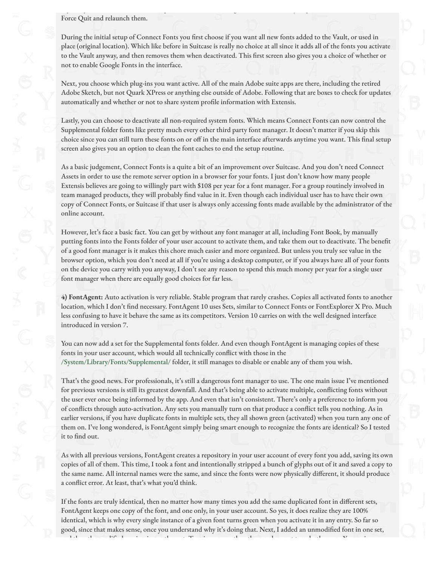Force Quit and relaunch them.

During the initial setup of Connect Fonts you first choose if you want all new fonts added to the Vault, or used in place (original location). Which like before in Suitcase is really no choice at all since it adds all of the fonts you activate to the Vault anyway, and then removes them when deactivated. This first screen also gives you a choice of whether or not to enable Google Fonts in the interface.

Next, you choose which plug-ins you want active. All of the main Adobe suite apps are there, including the retired Adobe Sketch, but not Quark XPress or anything else outside of Adobe. Following that are boxes to check for updates automatically and whether or not to share system profile information with Extensis.

Lastly, you can choose to deactivate all non-required system fonts. Which means Connect Fonts can now control the Supplemental folder fonts like pretty much every other third party font manager. It doesn't matter if you skip this choice since you can still turn these fonts on or off in the main interface afterwards anytime you want. This final setup screen also gives you an option to clean the font caches to end the setup routine.

As a basic judgement, Connect Fonts is a quite a bit of an improvement over Suitcase. And you don't need Connect Assets in order to use the remote server option in a browser for your fonts. I just don't know how many people Extensis believes are going to willingly part with \$108 per year for a font manager. For a group routinely involved in team managed products, they will probably find value in it. Even though each individual user has to have their own copy of Connect Fonts, or Suitcase if that user is always only accessing fonts made available by the administrator of the online account.

However, let's face a basic fact. You can get by without any font manager at all, including Font Book, by manually putting fonts into the Fonts folder of your user account to activate them, and take them out to deactivate. The benefit of a good font manager is it makes this chore much easier and more organized. But unless you truly see value in the browser option, which you don't need at all if you're using a desktop computer, or if you always have all of your fonts on the device you carry with you anyway, I don't see any reason to spend this much money per year for a single user font manager when there are equally good choices for far less.

**4) FontAgent:** Auto activation is very reliable. Stable program that rarely crashes. Copies all activated fonts to another location, which I don't find necessary. FontAgent 10 uses Sets, similar to Connect Fonts or FontExplorer X Pro. Much less confusing to have it behave the same as its competitors. Version 10 carries on with the well designed interface introduced in version 7.

You can now add a set for the Supplemental fonts folder. And even though FontAgent is managing copies of these fonts in your user account, which would all technically conflict with those in the /System/Library/Fonts/Supplemental/ folder, it still manages to disable or enable any of them you wish.

That's the good news. For professionals, it's still a dangerous font manager to use. The one main issue I've mentioned for previous versions is still its greatest downfall. And that's being able to activate multiple, conflicting fonts without the user ever once being informed by the app. And even that isn't consistent. There's only a preference to inform you of conflicts through auto-activation. Any sets you manually turn on that produce a conflict tells you nothing. As in earlier versions, if you have duplicate fonts in multiple sets, they all shown green (activated) when you turn any one of them on. I've long wondered, is FontAgent simply being smart enough to recognize the fonts are identical? So I tested it to find out.

As with all previous versions, FontAgent creates a repository in your user account of every font you add, saving its own copies of all of them. This time, I took a font and intentionally stripped a bunch of glyphs out of it and saved a copy to the same name. All internal names were the same, and since the fonts were now physically different, it should produce a conflict error. At least, that's what you'd think.

If the fonts are truly identical, then no matter how many times you add the same duplicated font in different sets, FontAgent keeps one copy of the font, and one only, in your user account. So yes, it does realize they are 100% identical, which is why every single instance of a given font turns green when you activate it in any entry. So far so good, since that makes sense, once you understand why it's doing that. Next, I added an unmodified font in one set, and then the modi"ed version in another set. Turning one or the other on does not turn both green. Yes, again.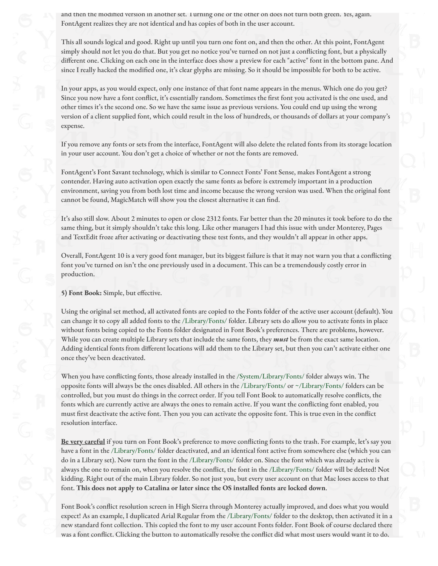and then the modified version in another set. I urning one or the other on does not turn both green. Yes, again. FontAgent realizes they are not identical and has copies of both in the user account.

This all sounds logical and good. Right up until you turn one font on, and then the other. At this point, FontAgent simply should not let you do that. But you get no notice you've turned on not just a conflicting font, but a physically different one. Clicking on each one in the interface does show a preview for each "active" font in the bottom pane. And since I really hacked the modified one, it's clear glyphs are missing. So it should be impossible for both to be active.

In your apps, as you would expect, only one instance of that font name appears in the menus. Which one do you get? Since you now have a font conflict, it's essentially random. Sometimes the first font you activated is the one used, and other times it's the second one. So we have the same issue as previous versions. You could end up using the wrong version of a client supplied font, which could result in the loss of hundreds, or thousands of dollars at your company's expense.

If you remove any fonts or sets from the interface, FontAgent will also delete the related fonts from its storage location in your user account. You don't get a choice of whether or not the fonts are removed.

FontAgent's Font Savant technology, which is similar to Connect Fonts' Font Sense, makes FontAgent a strong contender. Having auto activation open exactly the same fonts as before is extremely important in a production environment, saving you from both lost time and income because the wrong version was used. When the original font cannot be found, MagicMatch will show you the closest alternative it can find.

It's also still slow. About 2 minutes to open or close 2312 fonts. Far better than the 20 minutes it took before to do the same thing, but it simply shouldn't take this long. Like other managers I had this issue with under Monterey, Pages and TextEdit froze after activating or deactivating these test fonts, and they wouldn't all appear in other apps.

Overall, FontAgent 10 is a very good font manager, but its biggest failure is that it may not warn you that a conflicting font you've turned on isn't the one previously used in a document. This can be a tremendously costly error in production.

**5) Font Book:** Simple, but effective.

Using the original set method, all activated fonts are copied to the Fonts folder of the active user account (default). You can change it to copy all added fonts to the /Library/Fonts/ folder. Library sets do allow you to activate fonts in place without fonts being copied to the Fonts folder designated in Font Book's preferences. There are problems, however. While you can create multiple Library sets that include the same fonts, they *must* be from the exact same location. Adding identical fonts from different locations will add them to the Library set, but then you can't activate either one once they've been deactivated.

When you have conflicting fonts, those already installed in the /System/Library/Fonts/ folder always win. The opposite fonts will always be the ones disabled. All others in the /Library/Fonts/ or ~/Library/Fonts/ folders can be controlled, but you must do things in the correct order. If you tell Font Book to automatically resolve conflicts, the fonts which are currently active are always the ones to remain active. If you want the conflicting font enabled, you must first deactivate the active font. Then you you can activate the opposite font. This is true even in the conflict resolution interface.

Be very careful if you turn on Font Book's preference to move conflicting fonts to the trash. For example, let's say you have a font in the /Library/Fonts/ folder deactivated, and an identical font active from somewhere else (which you can do in a Library set). Now turn the font in the /Library/Fonts/ folder on. Since the font which was already active is always the one to remain on, when you resolve the conflict, the font in the /Library/Fonts/ folder will be deleted! Not kidding. Right out of the main Library folder. So not just you, but every user account on that Mac loses access to that font. **This does not apply to Catalina or later since the OS installed fonts are locked down**.

Font Book's conflict resolution screen in High Sierra through Monterey actually improved, and does what you would expect! As an example, I duplicated Arial Regular from the /Library/Fonts/ folder to the desktop, then activated it in a new standard font collection. This copied the font to my user account Fonts folder. Font Book of course declared there was a font conflict. Clicking the button to automatically resolve the conflict did what most users would want it to do.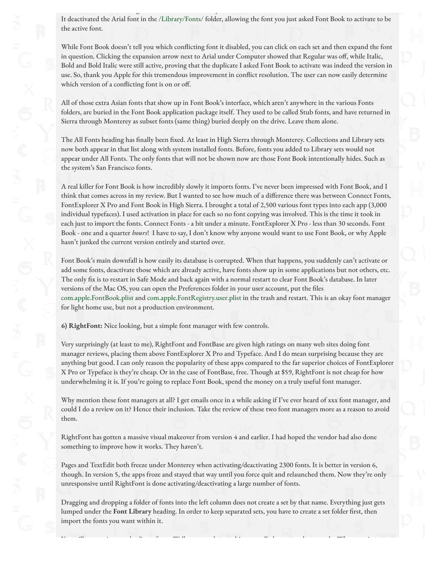It deactivated the Arial font in the /Library/Fonts/ folder, allowing the font you just asked Font Book to activate to be the active font.

was a font continuous the button to automatically resolve the con. It to do. It to do. It to do. It to do. It t

While Font Book doesn't tell you which conflicting font it disabled, you can click on each set and then expand the font in question. Clicking the expansion arrow next to Arial under Computer showed that Regular was off, while Italic, Bold and Bold Italic were still active, proving that the duplicate I asked Font Book to activate was indeed the version in use. So, thank you Apple for this tremendous improvement in conflict resolution. The user can now easily determine which version of a conflicting font is on or off.

All of those extra Asian fonts that show up in Font Book's interface, which aren't anywhere in the various Fonts folders, are buried in the Font Book application package itself. They used to be called Stub fonts, and have returned in Sierra through Monterey as subset fonts (same thing) buried deeply on the drive. Leave them alone.

The All Fonts heading has finally been fixed. At least in High Sierra through Monterey. Collections and Library sets now both appear in that list along with system installed fonts. Before, fonts you added to Library sets would not appear under All Fonts. The only fonts that will not be shown now are those Font Book intentionally hides. Such as the system's San Francisco fonts.

A real killer for Font Book is how incredibly slowly it imports fonts. I've never been impressed with Font Book, and I think that comes across in my review. But I wanted to see how much of a difference there was between Connect Fonts, FontExplorer X Pro and Font Book in High Sierra. I brought a total of 2,500 various font types into each app (3,000 individual typefaces). I used activation in place for each so no font copying was involved. This is the time it took in each just to import the fonts. Connect Fonts - a bit under a minute. FontExplorer X Pro - less than 30 seconds. Font Book - one and a quarter *hours*! I have to say, I don't know why anyone would want to use Font Book, or why Apple hasn't junked the current version entirely and started over.

Font Book's main downfall is how easily its database is corrupted. When that happens, you suddenly can't activate or add some fonts, deactivate those which are already active, have fonts show up in some applications but not others, etc. The only fix is to restart in Safe Mode and back again with a normal restart to clear Font Book's database. In later versions of the Mac OS, you can open the Preferences folder in your user account, put the files com.apple.FontBook.plist and com.apple.FontRegistry.user.plist in the trash and restart. This is an okay font manager for light home use, but not a production environment.

**6) RightFont:** Nice looking, but a simple font manager with few controls.

Very surprisingly (at least to me), RightFont and FontBase are given high ratings on many web sites doing font manager reviews, placing them above FontExplorer X Pro and Typeface. And I do mean surprising because they are anything but good. I can only reason the popularity of these apps compared to the far superior choices of FontExplorer X Pro or Typeface is they're cheap. Or in the case of FontBase, free. Though at \$59, RightFont is not cheap for how underwhelming it is. If you're going to replace Font Book, spend the money on a truly useful font manager.

Why mention these font managers at all? I get emails once in a while asking if I've ever heard of xxx font manager, and could I do a review on it? Hence their inclusion. Take the review of these two font managers more as a reason to avoid them.

RightFont has gotten a massive visual makeover from version 4 and earlier. I had hoped the vendor had also done something to improve how it works. They haven't.

Pages and TextEdit both freeze under Monterey when activating/deactivating 2300 fonts. It is better in version 6, though. In version 5, the apps froze and stayed that way until you force quit and relaunched them. Now they're only unresponsive until RightFont is done activating/deactivating a large number of fonts.

Dragging and dropping a folder of fonts into the left column does not create a set by that name. Everything just gets lumped under the Font Library heading. In order to keep separated sets, you have to create a set folder first, then import the fonts you want within it.

You still cannot import duplicate fonts. Well, you can, but nothing actually happens when you do. When you import a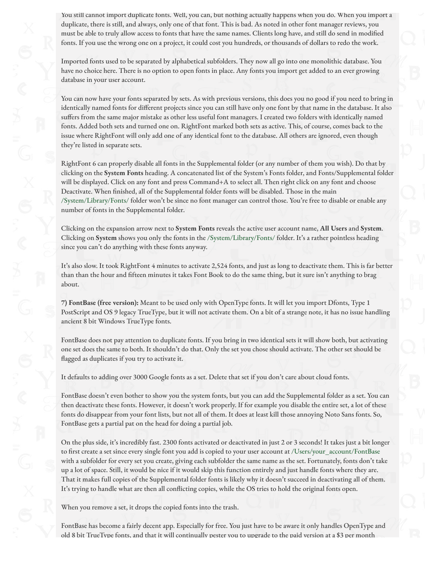You still cannot import duplicate fonts. Well, you can, but nothing actually happens when you do. When you import a duplicate, there is still, and always, only one of that font. This is bad. As noted in other font manager reviews, you must be able to truly allow access to fonts that have the same names. Clients long have, and still do send in modified fonts. If you use the wrong one on a project, it could cost you hundreds, or thousands of dollars to redo the work.

Imported fonts used to be separated by alphabetical subfolders. They now all go into one monolithic database. You have no choice here. There is no option to open fonts in place. Any fonts you import get added to an ever growing database in your user account.

You can now have your fonts separated by sets. As with previous versions, this does you no good if you need to bring in identically named fonts for different projects since you can still have only one font by that name in the database. It also suffers from the same major mistake as other less useful font managers. I created two folders with identically named fonts. Added both sets and turned one on. RightFont marked both sets as active. This, of course, comes back to the issue where RightFont will only add one of any identical font to the database. All others are ignored, even though they're listed in separate sets.

RightFont 6 can properly disable all fonts in the Supplemental folder (or any number of them you wish). Do that by clicking on the **System Fonts** heading. A concatenated list of the System's Fonts folder, and Fonts/Supplemental folder will be displayed. Click on any font and press Command+A to select all. Then right click on any font and choose Deactivate. When finished, all of the Supplemental folder fonts will be disabled. Those in the main /System/Library/Fonts/ folder won't be since no font manager can control those. You're free to disable or enable any number of fonts in the Supplemental folder.

Clicking on the expansion arrow next to **System Fonts** reveals the active user account name, **All Users** and **System**. Clicking on **System** shows you only the fonts in the /System/Library/Fonts/ folder. It's a rather pointless heading since you can't do anything with these fonts anyway.

It's also slow. It took RightFont 4 minutes to activate 2,524 fonts, and just as long to deactivate them. This is far better than than the hour and fifteen minutes it takes Font Book to do the same thing, but it sure isn't anything to brag about.

**7) FontBase (free version):** Meant to be used only with OpenType fonts. It will let you import Dfonts, Type 1 PostScript and OS 9 legacy TrueType, but it will not activate them. On a bit of a strange note, it has no issue handling ancient 8 bit Windows TrueType fonts.

FontBase does not pay attention to duplicate fonts. If you bring in two identical sets it will show both, but activating one set does the same to both. It shouldn't do that. Only the set you chose should activate. The other set should be flagged as duplicates if you try to activate it.

It defaults to adding over 3000 Google fonts as a set. Delete that set if you don't care about cloud fonts.

FontBase doesn't even bother to show you the system fonts, but you can add the Supplemental folder as a set. You can then deactivate these fonts. However, it doesn't work properly. If for example you disable the entire set, a lot of these fonts do disappear from your font lists, but not all of them. It does at least kill those annoying Noto Sans fonts. So, FontBase gets a partial pat on the head for doing a partial job.

On the plus side, it's incredibly fast. 2300 fonts activated or deactivated in just 2 or 3 seconds! It takes just a bit longer to first create a set since every single font you add is copied to your user account at /Users/your\_account/FontBase with a subfolder for every set you create, giving each subfolder the same name as the set. Fortunately, fonts don't take up a lot of space. Still, it would be nice if it would skip this function entirely and just handle fonts where they are. That it makes full copies of the Supplemental folder fonts is likely why it doesn't succeed in deactivating all of them. It's trying to handle what are then all conflicting copies, while the OS tries to hold the original fonts open.

When you remove a set, it drops the copied fonts into the trash.

FontBase has become a fairly decent app. Especially for free. You just have to be aware it only handles OpenType and old 8 bit TrueType fonts, and that it will continually pester you to upgrade to the paid version at a \$3 per month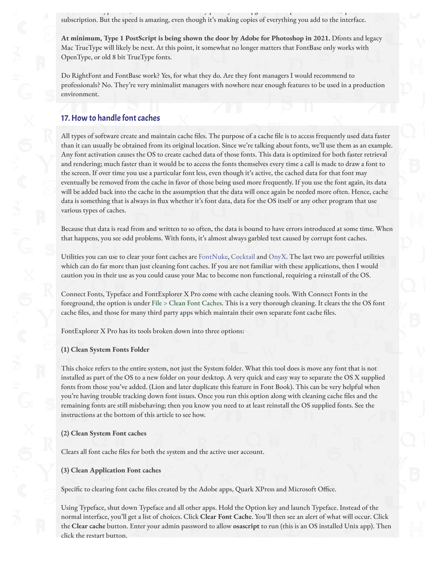old 8 bit TrueType for systems to that it will continue you to upgrade to the paid version at a 4 per month. subscription. But the speed is amazing, even though it's making copies of everything you add to the interface.

**At minimum, Type 1 PostScript is being shown the door by Adobe for Photoshop in 2021.** Dfonts and legacy Mac TrueType will likely be next. At this point, it somewhat no longer matters that FontBase only works with OpenType, or old 8 bit TrueType fonts.

Do RightFont and FontBase work? Yes, for what they do. Are they font managers I would recommend to professionals? No. They're very minimalist managers with nowhere near enough features to be used in a production environment.

# 17. How to handle font caches

All types of software create and maintain cache files. The purpose of a cache file is to access frequently used data faster than it can usually be obtained from its original location. Since we're talking about fonts, we'll use them as an example. Any font activation causes the OS to create cached data of those fonts. This data is optimized for both faster retrieval and rendering; much faster than it would be to access the fonts themselves every time a call is made to draw a font to the screen. If over time you use a particular font less, even though it's active, the cached data for that font may eventually be removed from the cache in favor of those being used more frequently. If you use the font again, its data will be added back into the cache in the assumption that the data will once again be needed more often. Hence, cache data is something that is always in flux whether it's font data, data for the OS itself or any other program that use various types of caches.

Because that data is read from and written to so often, the data is bound to have errors introduced at some time. When that happens, you see odd problems. With fonts, it's almost always garbled text caused by corrupt font caches.

Utilities you can use to clear your font caches are [FontNuke](http://www.jamapi.com/pr/fn/), [Cocktail](http://www.maintain.se/cocktail/) and [OnyX](https://www.titanium-software.fr/en/onyx.html). The last two are powerful utilities which can do far more than just cleaning font caches. If you are not familiar with these applications, then I would caution you in their use as you could cause your Mac to become non functional, requiring a reinstall of the OS.

Connect Fonts, Typeface and FontExplorer X Pro come with cache cleaning tools. With Connect Fonts in the foreground, the option is under File > Clean Font Caches. This is a very thorough cleaning. It clears the the OS font cache files, and those for many third party apps which maintain their own separate font cache files.

FontExplorer X Pro has its tools broken down into three options:

### **(1) Clean System Fonts Folder**

This choice refers to the entire system, not just the System folder. What this tool does is move any font that is not installed as part of the OS to a new folder on your desktop. A very quick and easy way to separate the OS X supplied fonts from those you've added. (Lion and later duplicate this feature in Font Book). This can be very helpful when you're having trouble tracking down font issues. Once you run this option along with cleaning cache files and the remaining fonts are still misbehaving; then you know you need to at least reinstall the OS supplied fonts. See the instructions at the bottom of this article to see how.

### **(2) Clean System Font caches**

Clears all font cache files for both the system and the active user account.

### **(3) Clean Application Font caches**

Specific to clearing font cache files created by the Adobe apps, Quark XPress and Microsoft Office.

Using Typeface, shut down Typeface and all other apps. Hold the Option key and launch Typeface. Instead of the normal interface, you'll get a list of choices. Click **Clear Font Cache**. You'll then see an alert of what will occur. Click the **Clear cache** button. Enter your admin password to allow **osascript** to run (this is an OS installed Unix app). Then click the restart button.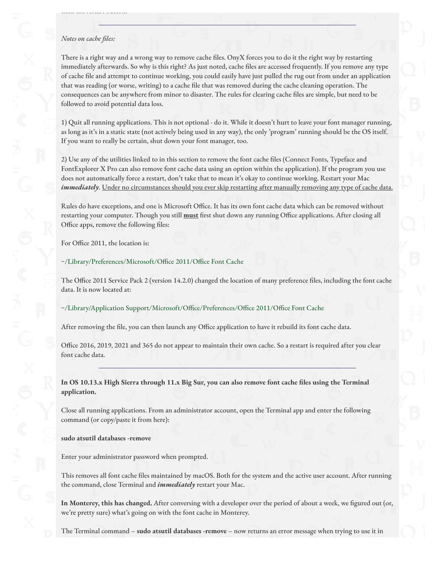### *Notes on cache files:*

click the restart button.

There is a right way and a wrong way to remove cache files. OnyX forces you to do it the right way by restarting immediately afterwards. So why is this right? As just noted, cache files are accessed frequently. If you remove any type of cache "le and attempt to continue working, you could easily have just pulled the rug out from under an application that was reading (or worse, writing) to a cache file that was removed during the cache cleaning operation. The consequences can be anywhere from minor to disaster. The rules for clearing cache files are simple, but need to be followed to avoid potential data loss.

1) Quit all running applications. This is not optional - do it. While it doesn't hurt to leave your font manager running, as long as it's in a static state (not actively being used in any way), the only 'program' running should be the OS itself. If you want to really be certain, shut down your font manager, too.

2) Use any of the utilities linked to in this section to remove the font cache "les (Connect Fonts, Typeface and FontExplorer X Pro can also remove font cache data using an option within the application). If the program you use does not automatically force a restart, don't take that to mean it's okay to continue working. Restart your Mac *immediately*. Under no circumstances should you ever skip restarting after manually removing any type of cache data.

Rules do have exceptions, and one is Microsoft Office. It has its own font cache data which can be removed without restarting your computer. Though you still **must** first shut down any running Office applications. After closing all Office apps, remove the following files:

For Office 2011, the location is:

### ~/Library/Preferences/Microsoft/Office 2011/Office Font Cache

The Office 2011 Service Pack 2 (version 14.2.0) changed the location of many preference files, including the font cache data. It is now located at:

### ~/Library/Application Support/Microsoft/Office/Preferences/Office 2011/Office Font Cache

After removing the file, you can then launch any Office application to have it rebuild its font cache data.

Office 2016, 2019, 2021 and 365 do not appear to maintain their own cache. So a restart is required after you clear font cache data.

**In OS 10.13.x High Sierra through 11.x Big Sur, you can also remove font cache !les using the Terminal application.**

Close all running applications. From an administrator account, open the Terminal app and enter the following command (or copy/paste it from here):

### **sudo atsutil databases -remove**

Enter your administrator password when prompted.

This removes all font cache files maintained by macOS. Both for the system and the active user account. After running the command, close Terminal and *immediately* restart your Mac.

In Monterey, this has changed. After conversing with a developer over the period of about a week, we figured out (or, we're pretty sure) what's going on with the font cache in Monterey.

The Terminal command – **sudo atsutil databases -remove** – now returns an error message when trying to use it in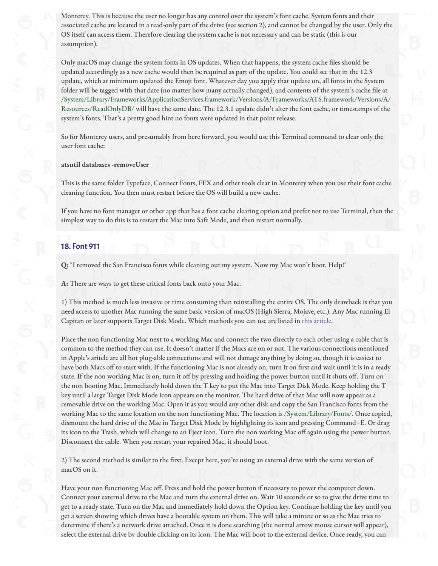Monterey. This is because the user no longer has any control over the system's font cache. System fonts and their associated cache are located in a read-only part of the drive (see section 2), and cannot be changed by the user. Only the OS itself can access them. Therefore clearing the system cache is not necessary and can be static (this is our assumption).

Only macOS may change the system fonts in OS updates. When that happens, the system cache files should be updated accordingly as a new cache would then be required as part of the update. You could see that in the 12.3 update, which at minimum updated the Emoji font. Whatever day you apply that update on, all fonts in the System folder will be tagged with that date (no matter how many actually changed), and contents of the system's cache file at /System/Library/Frameworks/ApplicationServices.framework/Versions/A/Frameworks/ATS.framework/Versions/A/ Resources/ReadOnlyDB/ will have the same date. The 12.3.1 update didn't alter the font cache, or timestamps of the system's fonts. That's a pretty good hint no fonts were updated in that point release.

So for Monterey users, and presumably from here forward, you would use this Terminal command to clear only the user font cache:

#### **atsutil databases -removeUser**

This is the same folder Typeface, Connect Fonts, FEX and other tools clear in Monterey when you use their font cache cleaning function. You then must restart before the OS will build a new cache.

If you have no font manager or other app that has a font cache clearing option and prefer not to use Terminal, then the simplest way to do this is to restart the Mac into Safe Mode, and then restart normally.

### 18. Font 911

**Q:** "I removed the San Francisco fonts while cleaning out my system. Now my Mac won't boot. Help!"

**A:** There are ways to get these critical fonts back onto your Mac.

1) This method is much less invasive or time consuming than reinstalling the entire OS. The only drawback is that you need access to another Mac running the same basic version of macOS (High Sierra, Mojave, etc.). Any Mac running El Capitan or later supports Target Disk Mode. Which methods you can use are listed in [this article](https://support.apple.com/en-us/HT201462).

Place the non functioning Mac next to a working Mac and connect the two directly to each other using a cable that is common to the method they can use. It doesn't matter if the Macs are on or not. The various connections mentioned in Apple's aritcle are all hot plug-able connections and will not damage anything by doing so, though it is easiest to have both Macs off to start with. If the functioning Mac is not already on, turn it on first and wait until it is in a ready state. If the non working Mac is on, turn it off by pressing and holding the power button until it shuts off. Turn on the non booting Mac. Immediately hold down the T key to put the Mac into Target Disk Mode. Keep holding the T key until a large Target Disk Mode icon appears on the monitor. The hard drive of that Mac will now appear as a removable drive on the working Mac. Open it as you would any other disk and copy the San Francisco fonts from the working Mac to the same location on the non functioning Mac. The location is /System/Library/Fonts/. Once copied, dismount the hard drive of the Mac in Target Disk Mode by highlighting its icon and pressing Command+E. Or drag its icon to the Trash, which will change to an Eject icon. Turn the non working Mac off again using the power button. Disconnect the cable. When you restart your repaired Mac, it should boot.

2) The second method is similar to the first. Except here, you're using an external drive with the same version of macOS on it.

Have your non functioning Mac off. Press and hold the power button if necessary to power the computer down. Connect your external drive to the Mac and turn the external drive on. Wait 10 seconds or so to give the drive time to get to a ready state. Turn on the Mac and immediately hold down the Option key. Continue holding the key until you get a screen showing which drives have a bootable system on them. This will take a minute or so as the Mac tries to determine if there's a network drive attached. Once it is done searching (the normal arrow mouse cursor will appear), select the external drive by double clicking on its icon. The Mac will boot to the external device. Once ready, you can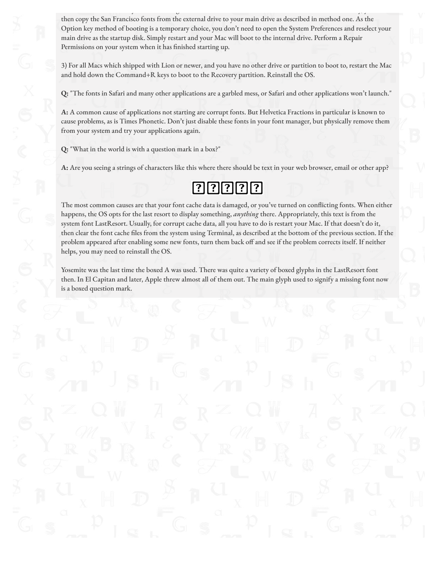then copy the San Francisco fonts from the external drive to your main drive as described in method one. As the Option key method of booting is a temporary choice, you don't need to open the System Preferences and reselect your main drive as the startup disk. Simply restart and your Mac will boot to the internal drive. Perform a Repair Permissions on your system when it has finished starting up.

select the external drive by double clicking on its icon. The Mac will boot to the external device. Once ready, you can

3) For all Macs which shipped with Lion or newer, and you have no other drive or partition to boot to, restart the Mac and hold down the Command+R keys to boot to the Recovery partition. Reinstall the OS.

**Q:** "The fonts in Safari and many other applications are a garbled mess, or Safari and other applications won't launch."

**A:** A common cause of applications not starting are corrupt fonts. But Helvetica Fractions in particular is known to cause problems, as is Times Phonetic. Don't just disable these fonts in your font manager, but physically remove them from your system and try your applications again.

**Q:** "What in the world is with a question mark in a box?"

**A:** Are you seeing a strings of characters like this where there should be text in your web browser, email or other app?

# 00000

The most common causes are that your font cache data is damaged, or you've turned on conflicting fonts. When either happens, the OS opts for the last resort to display something, *anything* there. Appropriately, this text is from the system font LastResort. Usually, for corrupt cache data, all you have to do is restart your Mac. If that doesn't do it, then clear the font cache files from the system using Terminal, as described at the bottom of the previous section. If the problem appeared after enabling some new fonts, turn them back off and see if the problem corrects itself. If neither helps, you may need to reinstall the OS.

Yosemite was the last time the boxed A was used. There was quite a variety of boxed glyphs in the LastResort font then. In El Capitan and later, Apple threw almost all of them out. The main glyph used to signify a missing font now is a boxed question mark.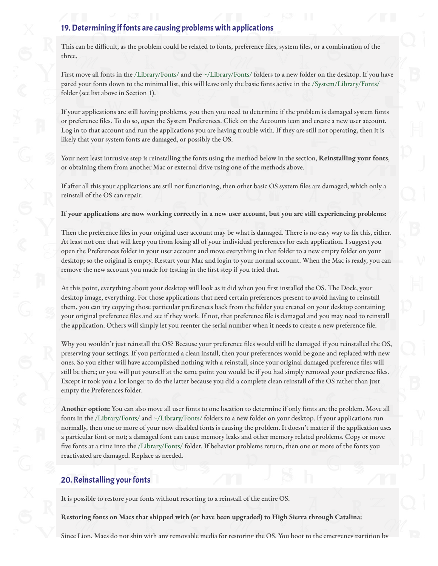# 19. Determining if fonts are causing problems with applications

This can be difficult, as the problem could be related to fonts, preference files, system files, or a combination of the three.

First move all fonts in the /Library/Fonts/ and the ~/Library/Fonts/ folders to a new folder on the desktop. If you have pared your fonts down to the minimal list, this will leave only the basic fonts active in the /System/Library/Fonts/ folder (see list above in Section 1).

If your applications are still having problems, you then you need to determine if the problem is damaged system fonts or preference files. To do so, open the System Preferences. Click on the Accounts icon and create a new user account. Log in to that account and run the applications you are having trouble with. If they are still not operating, then it is likely that your system fonts are damaged, or possibly the OS.

Your next least intrusive step is reinstalling the fonts using the method below in the section, **Reinstalling your fonts**, or obtaining them from another Mac or external drive using one of the methods above.

If after all this your applications are still not functioning, then other basic OS system "les are damaged; which only a reinstall of the OS can repair.

**If your applications are now working correctly in a new user account, but you are still experiencing problems:**

Then the preference files in your original user account may be what is damaged. There is no easy way to fix this, either. At least not one that will keep you from losing all of your individual preferences for each application. I suggest you open the Preferences folder in your user account and move everything in that folder to a new empty folder on your desktop; so the original is empty. Restart your Mac and login to your normal account. When the Mac is ready, you can remove the new account you made for testing in the first step if you tried that.

At this point, everything about your desktop will look as it did when you first installed the OS. The Dock, your desktop image, everything. For those applications that need certain preferences present to avoid having to reinstall them, you can try copying those particular preferences back from the folder you created on your desktop containing your original preference files and see if they work. If not, that preference file is damaged and you may need to reinstall the application. Others will simply let you reenter the serial number when it needs to create a new preference file.

Why you wouldn't just reinstall the OS? Because your preference files would still be damaged if you reinstalled the OS, preserving your settings. If you performed a clean install, then your preferences would be gone and replaced with new ones. So you either will have accomplished nothing with a reinstall, since your original damaged preference files will still be there; or you will put yourself at the same point you would be if you had simply removed your preference files. Except it took you a lot longer to do the latter because you did a complete clean reinstall of the OS rather than just empty the Preferences folder.

**Another option:** You can also move all user fonts to one location to determine if only fonts are the problem. Move all fonts in the /Library/Fonts/ and ~/Library/Fonts/ folders to a new folder on your desktop. If your applications run normally, then one or more of your now disabled fonts is causing the problem. It doesn't matter if the application uses a particular font or not; a damaged font can cause memory leaks and other memory related problems. Copy or move five fonts at a time into the /Library/Fonts/ folder. If behavior problems return, then one or more of the fonts you reactivated are damaged. Replace as needed.

### 20. Reinstalling your fonts

It is possible to restore your fonts without resorting to a reinstall of the entire OS.

**Restoring fonts on Macs that shipped with (or have been upgraded) to High Sierra through Catalina:**

Since Lion, Macs do not ship with any removable media for restoring the OS. You boot to the emergency partition by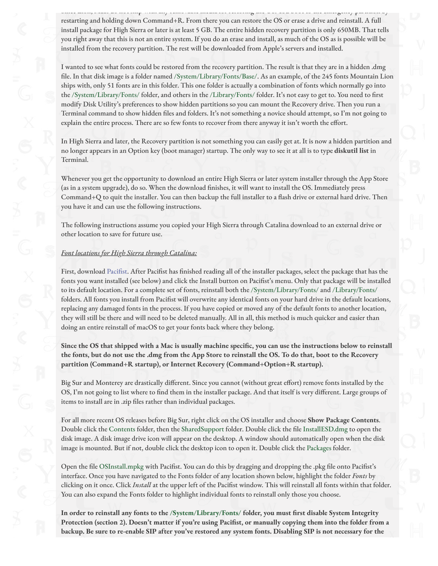Since Lion, Macs do not ship with any removable media for restoring the OS. You boot to the emergency partition by restarting and holding down Command+R. From there you can restore the OS or erase a drive and reinstall. A full install package for High Sierra or later is at least 5 GB. The entire hidden recovery partition is only 650MB. That tells you right away that this is not an entire system. If you do an erase and install, as much of the OS as is possible will be installed from the recovery partition. The rest will be downloaded from Apple's servers and installed.

I wanted to see what fonts could be restored from the recovery partition. The result is that they are in a hidden .dmg file. In that disk image is a folder named /System/Library/Fonts/Base/. As an example, of the 245 fonts Mountain Lion ships with, only 51 fonts are in this folder. This one folder is actually a combination of fonts which normally go into the /System/Library/Fonts/ folder, and others in the /Library/Fonts/ folder. It's not easy to get to. You need to first modify Disk Utility's preferences to show hidden partitions so you can mount the Recovery drive. Then you run a Terminal command to show hidden files and folders. It's not something a novice should attempt, so I'm not going to explain the entire process. There are so few fonts to recover from there anyway it isn't worth the effort.

In High Sierra and later, the Recovery partition is not something you can easily get at. It is now a hidden partition and no longer appears in an Option key (boot manager) startup. The only way to see it at all is to type **diskutil list** in Terminal.

Whenever you get the opportunity to download an entire High Sierra or later system installer through the App Store (as in a system upgrade), do so. When the download finishes, it will want to install the OS. Immediately press Command+Q to quit the installer. You can then backup the full installer to a flash drive or external hard drive. Then you have it and can use the following instructions.

The following instructions assume you copied your High Sierra through Catalina download to an external drive or other location to save for future use.

### *Font locations for High Sierra through Catalina:*

First, download [Paci](http://www.charlessoft.com/)fist. After Pacifist has finished reading all of the installer packages, select the package that has the fonts you want installed (see below) and click the Install button on Pacifist's menu. Only that package will be installed to its default location. For a complete set of fonts, reinstall both the /System/Library/Fonts/ and /Library/Fonts/ folders. All fonts you install from Pacifist will overwrite any identical fonts on your hard drive in the default locations, replacing any damaged fonts in the process. If you have copied or moved any of the default fonts to another location, they will still be there and will need to be deleted manually. All in all, this method is much quicker and easier than doing an entire reinstall of macOS to get your fonts back where they belong.

**Since the OS that shipped with a Mac is usually machine speci!c, you can use the instructions below to reinstall the fonts, but do not use the .dmg from the App Store to reinstall the OS. To do that, boot to the Recovery partition (Command+R startup), or Internet Recovery (Command+Option+R startup).**

Big Sur and Monterey are drastically different. Since you cannot (without great effort) remove fonts installed by the OS, I'm not going to list where to find them in the installer package. And that itself is very different. Large groups of items to install are in .zip files rather than individual packages.

For all more recent OS releases before Big Sur, right click on the OS installer and choose **Show Package Contents**. Double click the Contents folder, then the SharedSupport folder. Double click the file InstallESD.dmg to open the disk image. A disk image drive icon will appear on the desktop. A window should automatically open when the disk image is mounted. But if not, double click the desktop icon to open it. Double click the Packages folder.

Open the file OSInstall.mpkg with Pacifist. You can do this by dragging and dropping the .pkg file onto Pacifist's interface. Once you have navigated to the Fonts folder of any location shown below, highlight the folder *Fonts* by clicking on it once. Click *Install* at the upper left of the Pacifist window. This will reinstall all fonts within that folder. You can also expand the Fonts folder to highlight individual fonts to reinstall only those you choose.

**In order to reinstall any fonts to the /System/Library/Fonts/ folder, you must !rst disable System Integrity Protection (section 2). Doesn't matter if you're using Paci!st, or manually copying them into the folder from a backup. Be sure to re-enable SIP after you've restored any system fonts. Disabling SIP is not necessary for the**